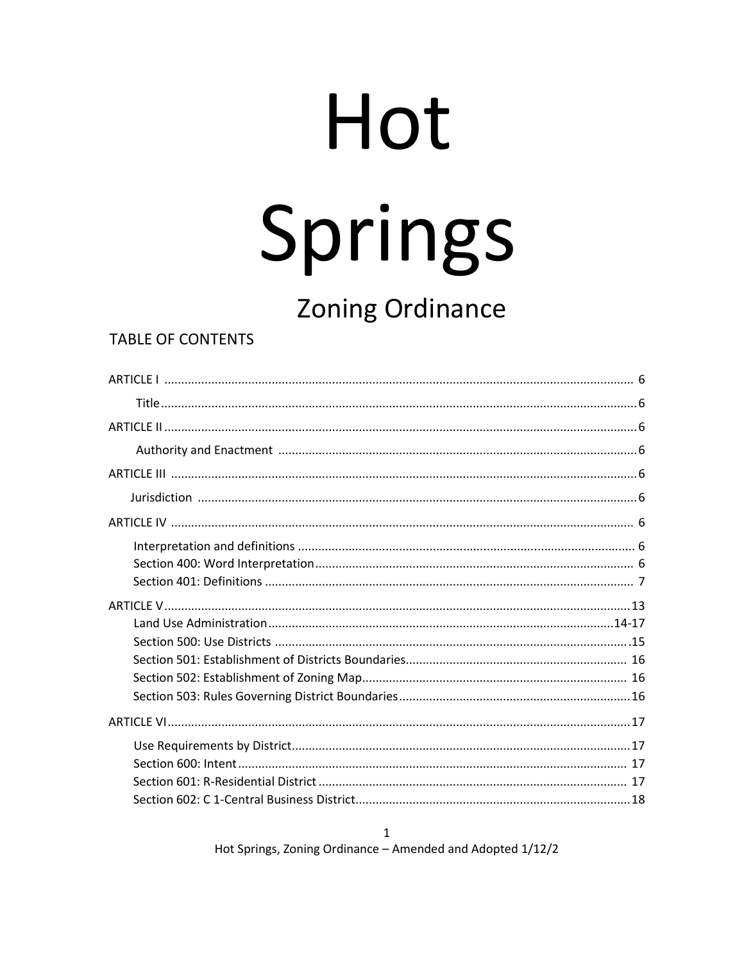# Hot Springs

# **Zoning Ordinance**

# **TABLE OF CONTENTS**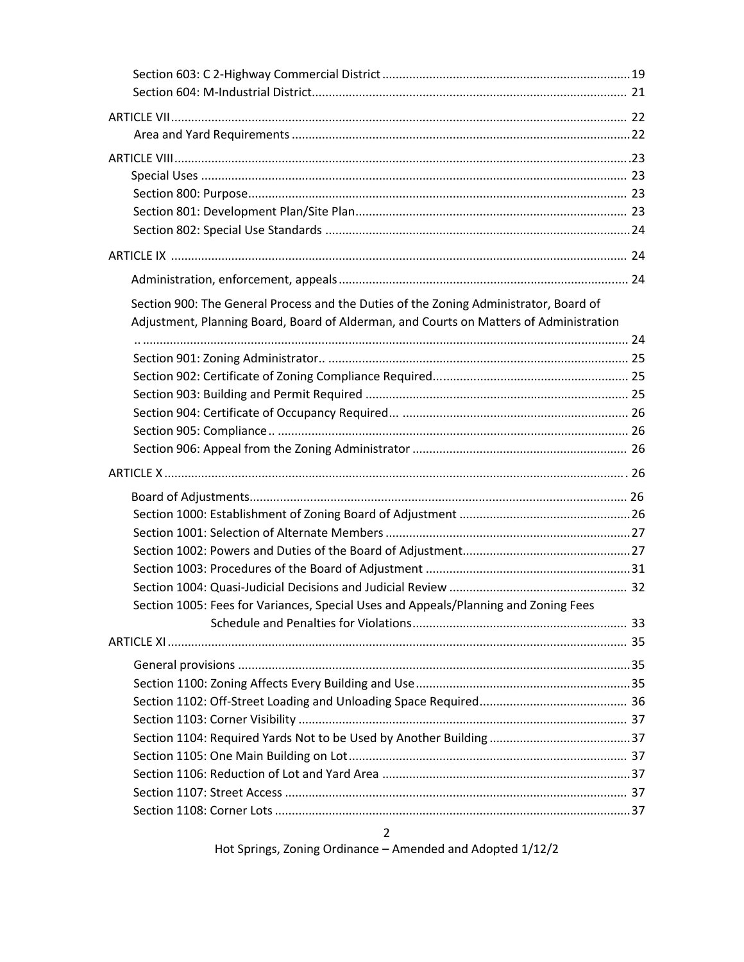| Section 900: The General Process and the Duties of the Zoning Administrator, Board of  |  |
|----------------------------------------------------------------------------------------|--|
| Adjustment, Planning Board, Board of Alderman, and Courts on Matters of Administration |  |
|                                                                                        |  |
|                                                                                        |  |
|                                                                                        |  |
|                                                                                        |  |
|                                                                                        |  |
|                                                                                        |  |
|                                                                                        |  |
|                                                                                        |  |
|                                                                                        |  |
|                                                                                        |  |
|                                                                                        |  |
|                                                                                        |  |
|                                                                                        |  |
|                                                                                        |  |
| Section 1005: Fees for Variances, Special Uses and Appeals/Planning and Zoning Fees    |  |
|                                                                                        |  |
|                                                                                        |  |
|                                                                                        |  |
|                                                                                        |  |
|                                                                                        |  |
|                                                                                        |  |
|                                                                                        |  |
|                                                                                        |  |
|                                                                                        |  |
|                                                                                        |  |
|                                                                                        |  |
| $\overline{2}$                                                                         |  |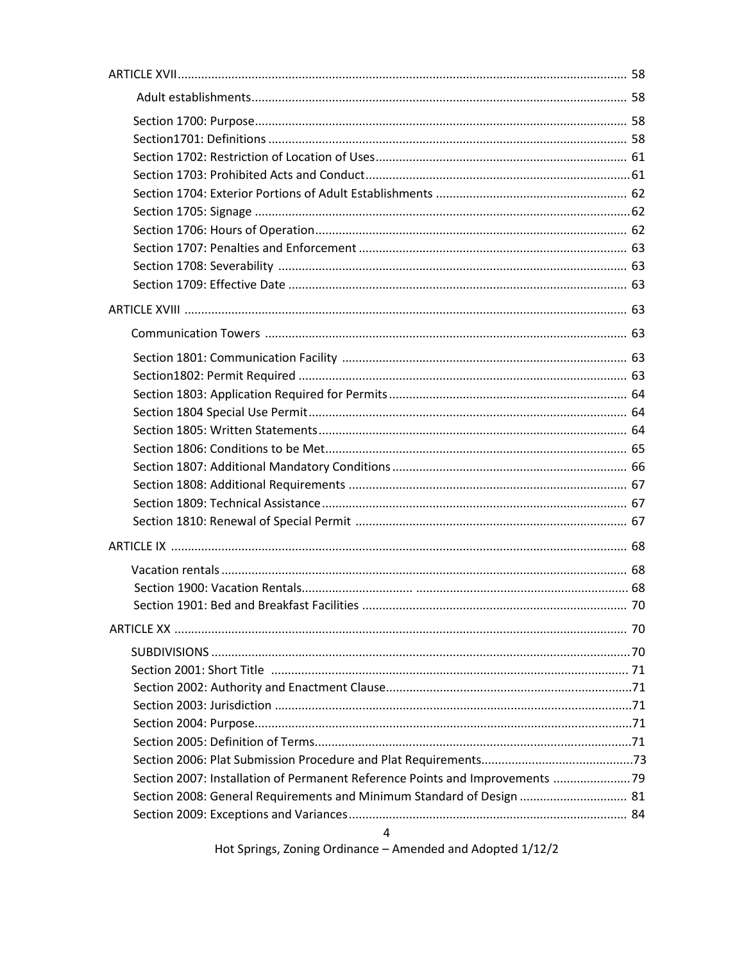| Section 2007: Installation of Permanent Reference Points and Improvements 79 |  |
|------------------------------------------------------------------------------|--|
| Section 2008: General Requirements and Minimum Standard of Design  81        |  |
|                                                                              |  |
| 4                                                                            |  |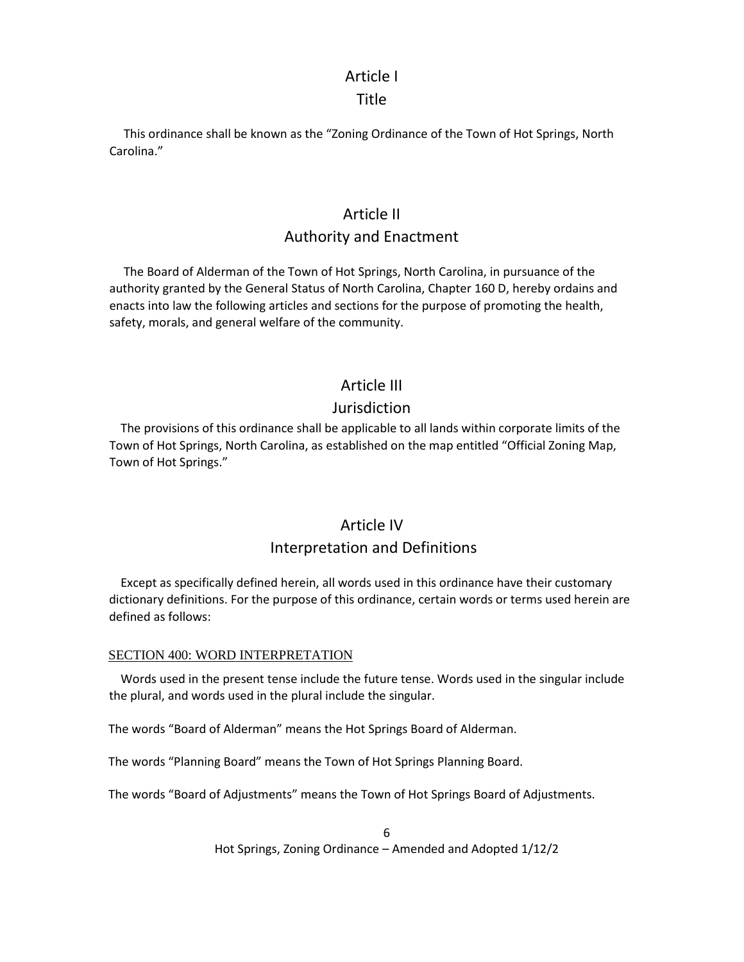### Article I

### Title

 This ordinance shall be known as the "Zoning Ordinance of the Town of Hot Springs, North Carolina."

### Article II

### Authority and Enactment

 The Board of Alderman of the Town of Hot Springs, North Carolina, in pursuance of the authority granted by the General Status of North Carolina, Chapter 160 D, hereby ordains and enacts into law the following articles and sections for the purpose of promoting the health, safety, morals, and general welfare of the community.

## Article III

### Jurisdiction

 The provisions of this ordinance shall be applicable to all lands within corporate limits of the Town of Hot Springs, North Carolina, as established on the map entitled "Official Zoning Map, Town of Hot Springs."

# Article IV Interpretation and Definitions

 Except as specifically defined herein, all words used in this ordinance have their customary dictionary definitions. For the purpose of this ordinance, certain words or terms used herein are defined as follows:

### SECTION 400: WORD INTERPRETATION

 Words used in the present tense include the future tense. Words used in the singular include the plural, and words used in the plural include the singular.

The words "Board of Alderman" means the Hot Springs Board of Alderman.

The words "Planning Board" means the Town of Hot Springs Planning Board.

The words "Board of Adjustments" means the Town of Hot Springs Board of Adjustments.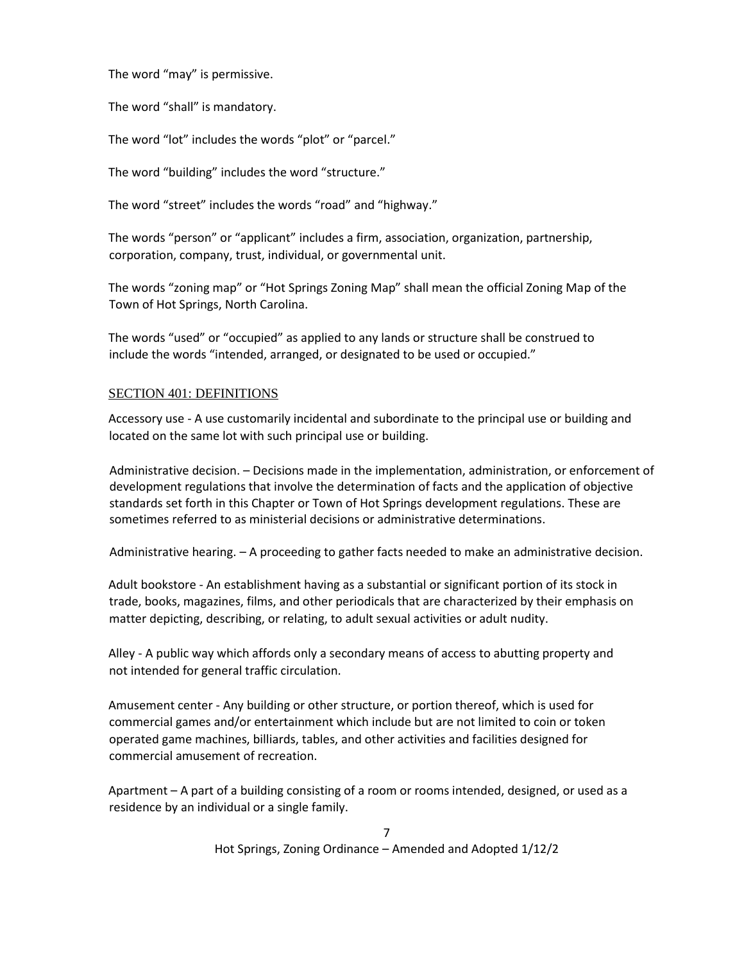The word "may" is permissive.

The word "shall" is mandatory.

The word "lot" includes the words "plot" or "parcel."

The word "building" includes the word "structure."

The word "street" includes the words "road" and "highway."

The words "person" or "applicant" includes a firm, association, organization, partnership, corporation, company, trust, individual, or governmental unit.

The words "zoning map" or "Hot Springs Zoning Map" shall mean the official Zoning Map of the Town of Hot Springs, North Carolina.

The words "used" or "occupied" as applied to any lands or structure shall be construed to include the words "intended, arranged, or designated to be used or occupied."

### SECTION 401: DEFINITIONS

Accessory use - A use customarily incidental and subordinate to the principal use or building and located on the same lot with such principal use or building.

Administrative decision. – Decisions made in the implementation, administration, or enforcement of development regulations that involve the determination of facts and the application of objective standards set forth in this Chapter or Town of Hot Springs development regulations. These are sometimes referred to as ministerial decisions or administrative determinations.

Administrative hearing. – A proceeding to gather facts needed to make an administrative decision.

Adult bookstore - An establishment having as a substantial or significant portion of its stock in trade, books, magazines, films, and other periodicals that are characterized by their emphasis on matter depicting, describing, or relating, to adult sexual activities or adult nudity.

Alley - A public way which affords only a secondary means of access to abutting property and not intended for general traffic circulation.

Amusement center - Any building or other structure, or portion thereof, which is used for commercial games and/or entertainment which include but are not limited to coin or token operated game machines, billiards, tables, and other activities and facilities designed for commercial amusement of recreation.

Apartment – A part of a building consisting of a room or rooms intended, designed, or used as a residence by an individual or a single family.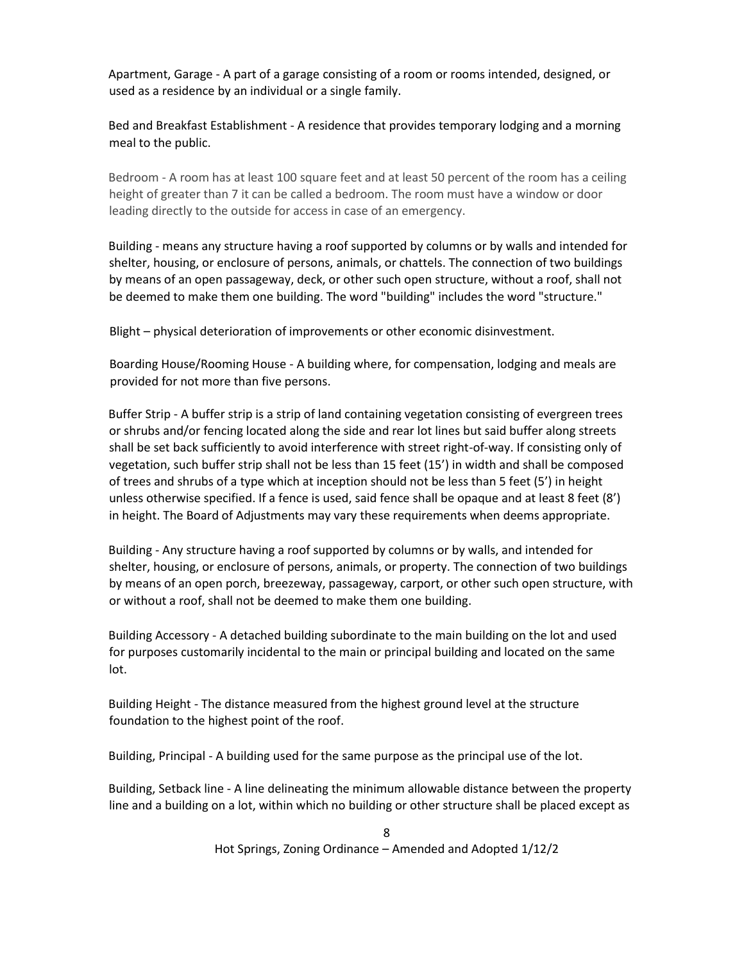Apartment, Garage - A part of a garage consisting of a room or rooms intended, designed, or used as a residence by an individual or a single family.

Bed and Breakfast Establishment - A residence that provides temporary lodging and a morning meal to the public.

Bedroom - A room has at least 100 square feet and at least 50 percent of the room has a ceiling height of greater than 7 it can be called a bedroom. The room must have a window or door leading directly to the outside for access in case of an emergency.

Building - means any structure having a roof supported by columns or by walls and intended for shelter, housing, or enclosure of persons, animals, or chattels. The connection of two buildings by means of an open passageway, deck, or other such open structure, without a roof, shall not be deemed to make them one building. The word "building" includes the word "structure."

Blight – physical deterioration of improvements or other economic disinvestment.

Boarding House/Rooming House - A building where, for compensation, lodging and meals are provided for not more than five persons.

Buffer Strip - A buffer strip is a strip of land containing vegetation consisting of evergreen trees or shrubs and/or fencing located along the side and rear lot lines but said buffer along streets shall be set back sufficiently to avoid interference with street right-of-way. If consisting only of vegetation, such buffer strip shall not be less than 15 feet (15') in width and shall be composed of trees and shrubs of a type which at inception should not be less than 5 feet (5') in height unless otherwise specified. If a fence is used, said fence shall be opaque and at least 8 feet (8') in height. The Board of Adjustments may vary these requirements when deems appropriate.

Building - Any structure having a roof supported by columns or by walls, and intended for shelter, housing, or enclosure of persons, animals, or property. The connection of two buildings by means of an open porch, breezeway, passageway, carport, or other such open structure, with or without a roof, shall not be deemed to make them one building.

Building Accessory - A detached building subordinate to the main building on the lot and used for purposes customarily incidental to the main or principal building and located on the same lot.

Building Height - The distance measured from the highest ground level at the structure foundation to the highest point of the roof.

Building, Principal - A building used for the same purpose as the principal use of the lot.

Building, Setback line - A line delineating the minimum allowable distance between the property line and a building on a lot, within which no building or other structure shall be placed except as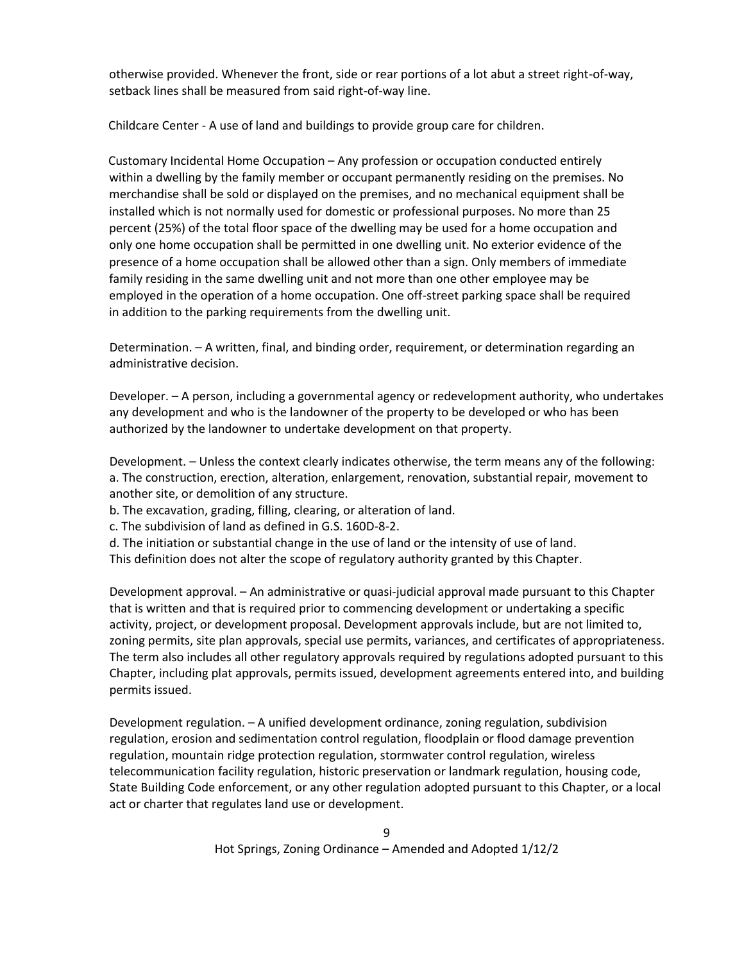otherwise provided. Whenever the front, side or rear portions of a lot abut a street right-of-way, setback lines shall be measured from said right-of-way line.

Childcare Center - A use of land and buildings to provide group care for children.

Customary Incidental Home Occupation – Any profession or occupation conducted entirely within a dwelling by the family member or occupant permanently residing on the premises. No merchandise shall be sold or displayed on the premises, and no mechanical equipment shall be installed which is not normally used for domestic or professional purposes. No more than 25 percent (25%) of the total floor space of the dwelling may be used for a home occupation and only one home occupation shall be permitted in one dwelling unit. No exterior evidence of the presence of a home occupation shall be allowed other than a sign. Only members of immediate family residing in the same dwelling unit and not more than one other employee may be employed in the operation of a home occupation. One off-street parking space shall be required in addition to the parking requirements from the dwelling unit.

Determination. – A written, final, and binding order, requirement, or determination regarding an administrative decision.

Developer. – A person, including a governmental agency or redevelopment authority, who undertakes any development and who is the landowner of the property to be developed or who has been authorized by the landowner to undertake development on that property.

Development. – Unless the context clearly indicates otherwise, the term means any of the following: a. The construction, erection, alteration, enlargement, renovation, substantial repair, movement to another site, or demolition of any structure.

b. The excavation, grading, filling, clearing, or alteration of land.

c. The subdivision of land as defined in G.S. 160D-8-2.

d. The initiation or substantial change in the use of land or the intensity of use of land.

This definition does not alter the scope of regulatory authority granted by this Chapter.

Development approval. – An administrative or quasi-judicial approval made pursuant to this Chapter that is written and that is required prior to commencing development or undertaking a specific activity, project, or development proposal. Development approvals include, but are not limited to, zoning permits, site plan approvals, special use permits, variances, and certificates of appropriateness. The term also includes all other regulatory approvals required by regulations adopted pursuant to this Chapter, including plat approvals, permits issued, development agreements entered into, and building permits issued.

Development regulation. – A unified development ordinance, zoning regulation, subdivision regulation, erosion and sedimentation control regulation, floodplain or flood damage prevention regulation, mountain ridge protection regulation, stormwater control regulation, wireless telecommunication facility regulation, historic preservation or landmark regulation, housing code, State Building Code enforcement, or any other regulation adopted pursuant to this Chapter, or a local act or charter that regulates land use or development.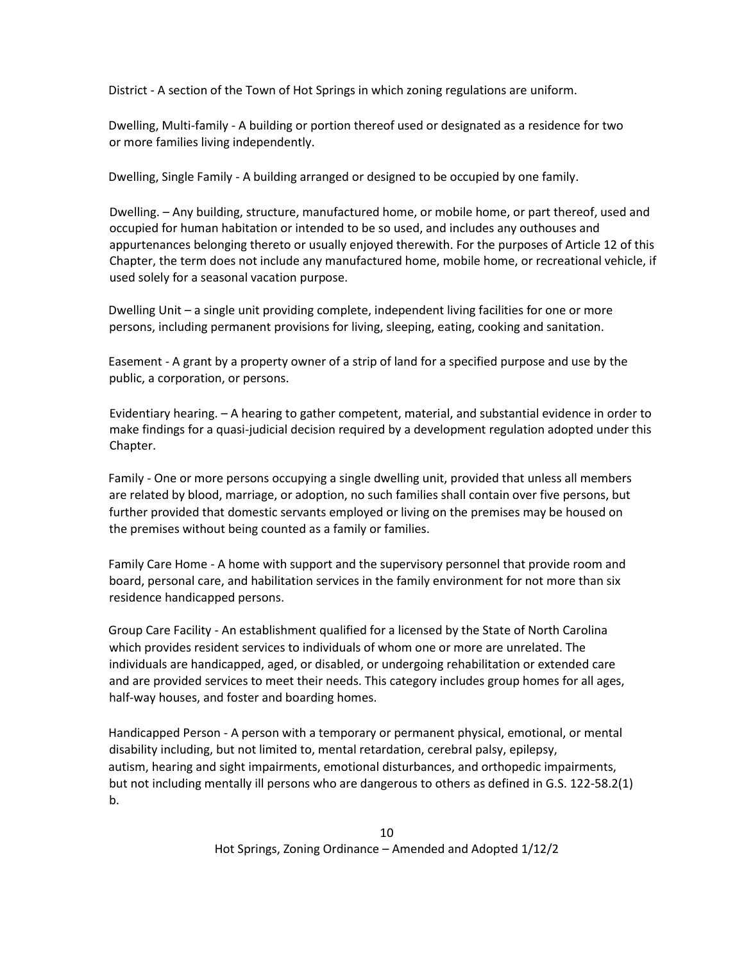District - A section of the Town of Hot Springs in which zoning regulations are uniform.

Dwelling, Multi-family - A building or portion thereof used or designated as a residence for two or more families living independently.

Dwelling, Single Family - A building arranged or designed to be occupied by one family.

Dwelling. – Any building, structure, manufactured home, or mobile home, or part thereof, used and occupied for human habitation or intended to be so used, and includes any outhouses and appurtenances belonging thereto or usually enjoyed therewith. For the purposes of Article 12 of this Chapter, the term does not include any manufactured home, mobile home, or recreational vehicle, if used solely for a seasonal vacation purpose.

Dwelling Unit – a single unit providing complete, independent living facilities for one or more persons, including permanent provisions for living, sleeping, eating, cooking and sanitation.

Easement - A grant by a property owner of a strip of land for a specified purpose and use by the public, a corporation, or persons.

Evidentiary hearing. – A hearing to gather competent, material, and substantial evidence in order to make findings for a quasi-judicial decision required by a development regulation adopted under this Chapter.

Family - One or more persons occupying a single dwelling unit, provided that unless all members are related by blood, marriage, or adoption, no such families shall contain over five persons, but further provided that domestic servants employed or living on the premises may be housed on the premises without being counted as a family or families.

Family Care Home - A home with support and the supervisory personnel that provide room and board, personal care, and habilitation services in the family environment for not more than six residence handicapped persons.

Group Care Facility - An establishment qualified for a licensed by the State of North Carolina which provides resident services to individuals of whom one or more are unrelated. The individuals are handicapped, aged, or disabled, or undergoing rehabilitation or extended care and are provided services to meet their needs. This category includes group homes for all ages, half-way houses, and foster and boarding homes.

Handicapped Person - A person with a temporary or permanent physical, emotional, or mental disability including, but not limited to, mental retardation, cerebral palsy, epilepsy, autism, hearing and sight impairments, emotional disturbances, and orthopedic impairments, but not including mentally ill persons who are dangerous to others as defined in G.S. 122-58.2(1) b.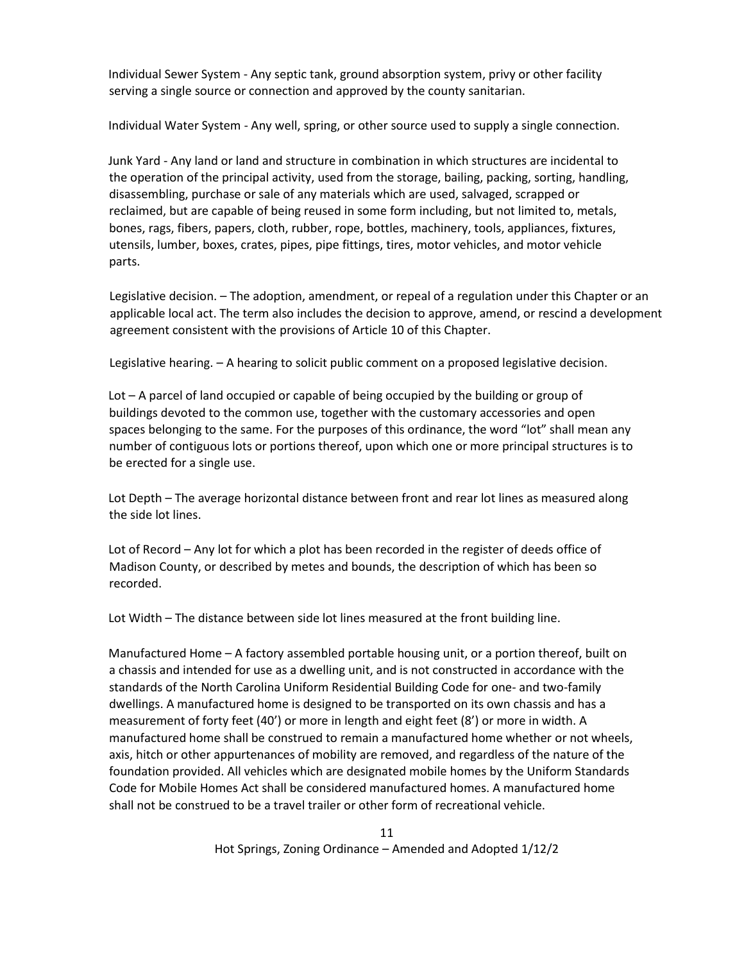Individual Sewer System - Any septic tank, ground absorption system, privy or other facility serving a single source or connection and approved by the county sanitarian.

Individual Water System - Any well, spring, or other source used to supply a single connection.

Junk Yard - Any land or land and structure in combination in which structures are incidental to the operation of the principal activity, used from the storage, bailing, packing, sorting, handling, disassembling, purchase or sale of any materials which are used, salvaged, scrapped or reclaimed, but are capable of being reused in some form including, but not limited to, metals, bones, rags, fibers, papers, cloth, rubber, rope, bottles, machinery, tools, appliances, fixtures, utensils, lumber, boxes, crates, pipes, pipe fittings, tires, motor vehicles, and motor vehicle parts.

Legislative decision. – The adoption, amendment, or repeal of a regulation under this Chapter or an applicable local act. The term also includes the decision to approve, amend, or rescind a development agreement consistent with the provisions of Article 10 of this Chapter.

Legislative hearing. – A hearing to solicit public comment on a proposed legislative decision.

Lot – A parcel of land occupied or capable of being occupied by the building or group of buildings devoted to the common use, together with the customary accessories and open spaces belonging to the same. For the purposes of this ordinance, the word "lot" shall mean any number of contiguous lots or portions thereof, upon which one or more principal structures is to be erected for a single use.

Lot Depth – The average horizontal distance between front and rear lot lines as measured along the side lot lines.

Lot of Record – Any lot for which a plot has been recorded in the register of deeds office of Madison County, or described by metes and bounds, the description of which has been so recorded.

Lot Width – The distance between side lot lines measured at the front building line.

Manufactured Home – A factory assembled portable housing unit, or a portion thereof, built on a chassis and intended for use as a dwelling unit, and is not constructed in accordance with the standards of the North Carolina Uniform Residential Building Code for one- and two-family dwellings. A manufactured home is designed to be transported on its own chassis and has a measurement of forty feet (40') or more in length and eight feet (8') or more in width. A manufactured home shall be construed to remain a manufactured home whether or not wheels, axis, hitch or other appurtenances of mobility are removed, and regardless of the nature of the foundation provided. All vehicles which are designated mobile homes by the Uniform Standards Code for Mobile Homes Act shall be considered manufactured homes. A manufactured home shall not be construed to be a travel trailer or other form of recreational vehicle.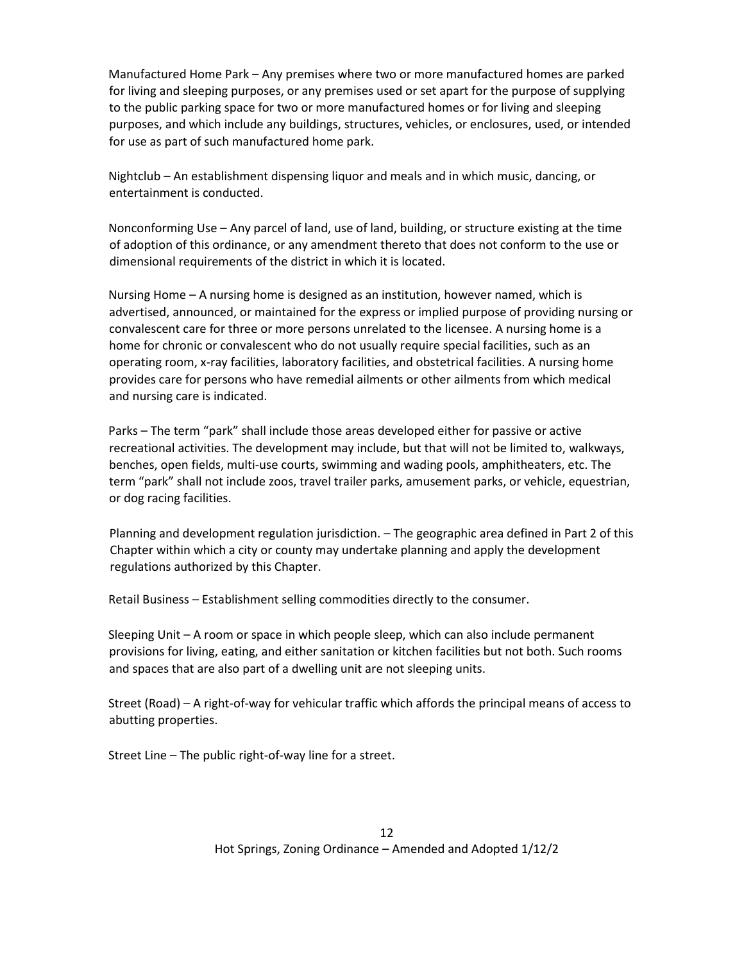Manufactured Home Park – Any premises where two or more manufactured homes are parked for living and sleeping purposes, or any premises used or set apart for the purpose of supplying to the public parking space for two or more manufactured homes or for living and sleeping purposes, and which include any buildings, structures, vehicles, or enclosures, used, or intended for use as part of such manufactured home park.

Nightclub – An establishment dispensing liquor and meals and in which music, dancing, or entertainment is conducted.

Nonconforming Use – Any parcel of land, use of land, building, or structure existing at the time of adoption of this ordinance, or any amendment thereto that does not conform to the use or dimensional requirements of the district in which it is located.

Nursing Home – A nursing home is designed as an institution, however named, which is advertised, announced, or maintained for the express or implied purpose of providing nursing or convalescent care for three or more persons unrelated to the licensee. A nursing home is a home for chronic or convalescent who do not usually require special facilities, such as an operating room, x-ray facilities, laboratory facilities, and obstetrical facilities. A nursing home provides care for persons who have remedial ailments or other ailments from which medical and nursing care is indicated.

Parks – The term "park" shall include those areas developed either for passive or active recreational activities. The development may include, but that will not be limited to, walkways, benches, open fields, multi-use courts, swimming and wading pools, amphitheaters, etc. The term "park" shall not include zoos, travel trailer parks, amusement parks, or vehicle, equestrian, or dog racing facilities.

Planning and development regulation jurisdiction. – The geographic area defined in Part 2 of this Chapter within which a city or county may undertake planning and apply the development regulations authorized by this Chapter.

Retail Business – Establishment selling commodities directly to the consumer.

Sleeping Unit – A room or space in which people sleep, which can also include permanent provisions for living, eating, and either sanitation or kitchen facilities but not both. Such rooms and spaces that are also part of a dwelling unit are not sleeping units.

Street (Road) – A right-of-way for vehicular traffic which affords the principal means of access to abutting properties.

Street Line – The public right-of-way line for a street.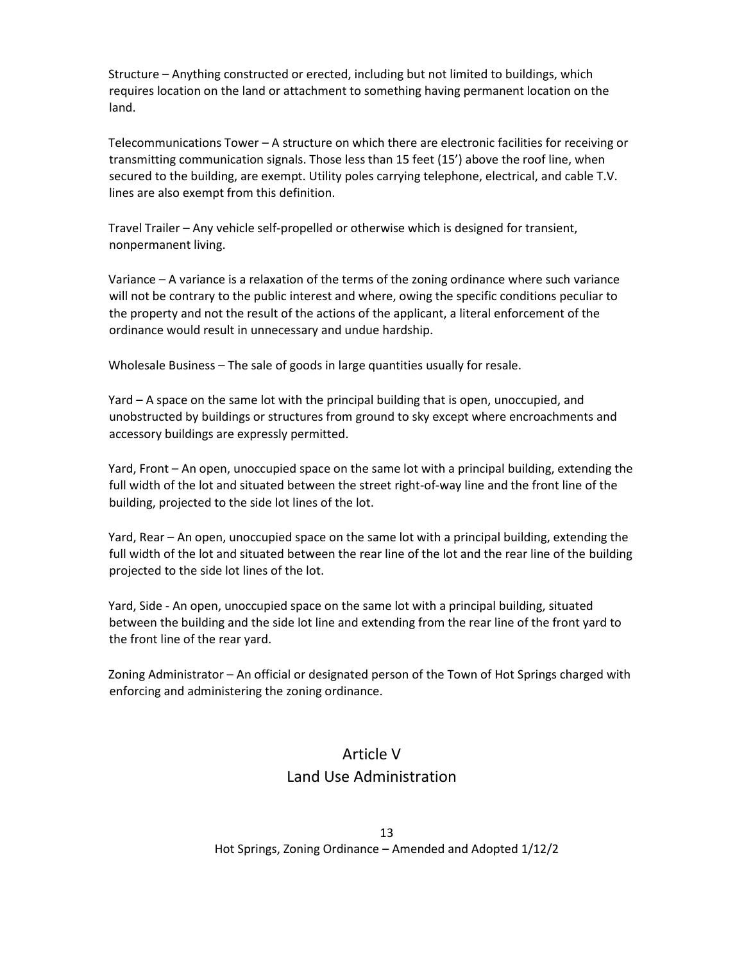Structure – Anything constructed or erected, including but not limited to buildings, which requires location on the land or attachment to something having permanent location on the land.

Telecommunications Tower – A structure on which there are electronic facilities for receiving or transmitting communication signals. Those less than 15 feet (15') above the roof line, when secured to the building, are exempt. Utility poles carrying telephone, electrical, and cable T.V. lines are also exempt from this definition.

Travel Trailer – Any vehicle self-propelled or otherwise which is designed for transient, nonpermanent living.

Variance – A variance is a relaxation of the terms of the zoning ordinance where such variance will not be contrary to the public interest and where, owing the specific conditions peculiar to the property and not the result of the actions of the applicant, a literal enforcement of the ordinance would result in unnecessary and undue hardship.

Wholesale Business – The sale of goods in large quantities usually for resale.

Yard – A space on the same lot with the principal building that is open, unoccupied, and unobstructed by buildings or structures from ground to sky except where encroachments and accessory buildings are expressly permitted.

Yard, Front – An open, unoccupied space on the same lot with a principal building, extending the full width of the lot and situated between the street right-of-way line and the front line of the building, projected to the side lot lines of the lot.

Yard, Rear – An open, unoccupied space on the same lot with a principal building, extending the full width of the lot and situated between the rear line of the lot and the rear line of the building projected to the side lot lines of the lot.

Yard, Side - An open, unoccupied space on the same lot with a principal building, situated between the building and the side lot line and extending from the rear line of the front yard to the front line of the rear yard.

Zoning Administrator – An official or designated person of the Town of Hot Springs charged with enforcing and administering the zoning ordinance.

# Article V Land Use Administration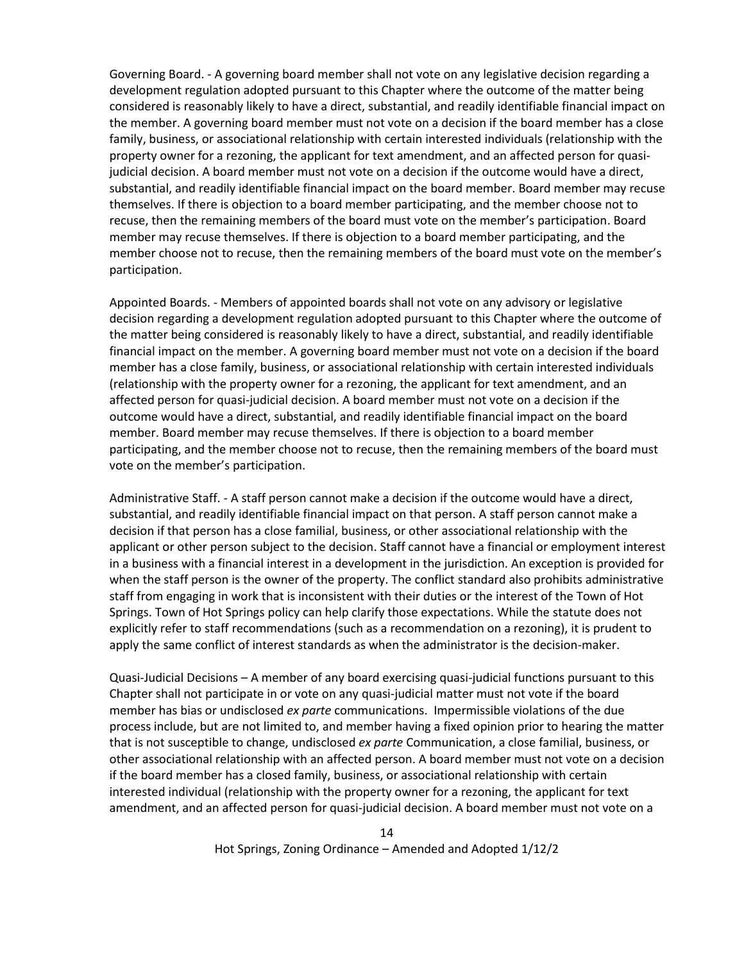Governing Board. - A governing board member shall not vote on any legislative decision regarding a development regulation adopted pursuant to this Chapter where the outcome of the matter being considered is reasonably likely to have a direct, substantial, and readily identifiable financial impact on the member. A governing board member must not vote on a decision if the board member has a close family, business, or associational relationship with certain interested individuals (relationship with the property owner for a rezoning, the applicant for text amendment, and an affected person for quasijudicial decision. A board member must not vote on a decision if the outcome would have a direct, substantial, and readily identifiable financial impact on the board member. Board member may recuse themselves. If there is objection to a board member participating, and the member choose not to recuse, then the remaining members of the board must vote on the member's participation. Board member may recuse themselves. If there is objection to a board member participating, and the member choose not to recuse, then the remaining members of the board must vote on the member's participation.

Appointed Boards. - Members of appointed boards shall not vote on any advisory or legislative decision regarding a development regulation adopted pursuant to this Chapter where the outcome of the matter being considered is reasonably likely to have a direct, substantial, and readily identifiable financial impact on the member. A governing board member must not vote on a decision if the board member has a close family, business, or associational relationship with certain interested individuals (relationship with the property owner for a rezoning, the applicant for text amendment, and an affected person for quasi-judicial decision. A board member must not vote on a decision if the outcome would have a direct, substantial, and readily identifiable financial impact on the board member. Board member may recuse themselves. If there is objection to a board member participating, and the member choose not to recuse, then the remaining members of the board must vote on the member's participation.

Administrative Staff. - A staff person cannot make a decision if the outcome would have a direct, substantial, and readily identifiable financial impact on that person. A staff person cannot make a decision if that person has a close familial, business, or other associational relationship with the applicant or other person subject to the decision. Staff cannot have a financial or employment interest in a business with a financial interest in a development in the jurisdiction. An exception is provided for when the staff person is the owner of the property. The conflict standard also prohibits administrative staff from engaging in work that is inconsistent with their duties or the interest of the Town of Hot Springs. Town of Hot Springs policy can help clarify those expectations. While the statute does not explicitly refer to staff recommendations (such as a recommendation on a rezoning), it is prudent to apply the same conflict of interest standards as when the administrator is the decision-maker.

Quasi-Judicial Decisions – A member of any board exercising quasi-judicial functions pursuant to this Chapter shall not participate in or vote on any quasi-judicial matter must not vote if the board member has bias or undisclosed *ex parte* communications. Impermissible violations of the due process include, but are not limited to, and member having a fixed opinion prior to hearing the matter that is not susceptible to change, undisclosed *ex parte* Communication, a close familial, business, or other associational relationship with an affected person. A board member must not vote on a decision if the board member has a closed family, business, or associational relationship with certain interested individual (relationship with the property owner for a rezoning, the applicant for text amendment, and an affected person for quasi-judicial decision. A board member must not vote on a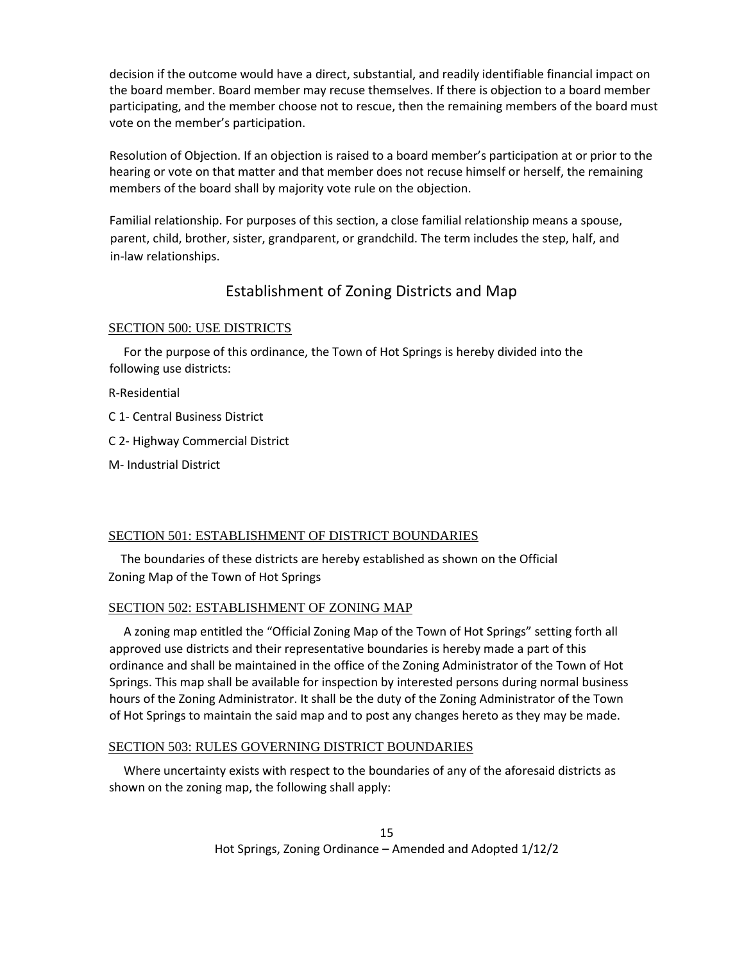decision if the outcome would have a direct, substantial, and readily identifiable financial impact on the board member. Board member may recuse themselves. If there is objection to a board member participating, and the member choose not to rescue, then the remaining members of the board must vote on the member's participation.

Resolution of Objection. If an objection is raised to a board member's participation at or prior to the hearing or vote on that matter and that member does not recuse himself or herself, the remaining members of the board shall by majority vote rule on the objection.

Familial relationship. For purposes of this section, a close familial relationship means a spouse, parent, child, brother, sister, grandparent, or grandchild. The term includes the step, half, and in-law relationships.

# Establishment of Zoning Districts and Map

### SECTION 500: USE DISTRICTS

 For the purpose of this ordinance, the Town of Hot Springs is hereby divided into the following use districts:

R-Residential

C 1- Central Business District

C 2- Highway Commercial District

M- Industrial District

### SECTION 501: ESTABLISHMENT OF DISTRICT BOUNDARIES

 The boundaries of these districts are hereby established as shown on the Official Zoning Map of the Town of Hot Springs

### SECTION 502: ESTABLISHMENT OF ZONING MAP

 A zoning map entitled the "Official Zoning Map of the Town of Hot Springs" setting forth all approved use districts and their representative boundaries is hereby made a part of this ordinance and shall be maintained in the office of the Zoning Administrator of the Town of Hot Springs. This map shall be available for inspection by interested persons during normal business hours of the Zoning Administrator. It shall be the duty of the Zoning Administrator of the Town of Hot Springs to maintain the said map and to post any changes hereto as they may be made.

### SECTION 503: RULES GOVERNING DISTRICT BOUNDARIES

 Where uncertainty exists with respect to the boundaries of any of the aforesaid districts as shown on the zoning map, the following shall apply: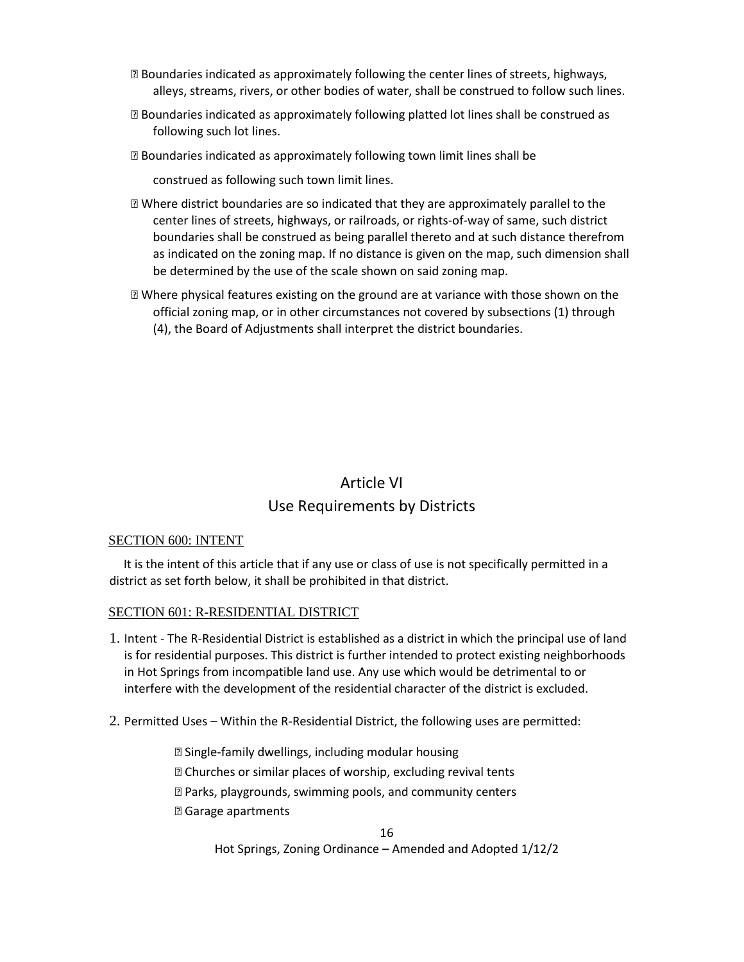- ⦁ Boundaries indicated as approximately following the center lines of streets, highways, alleys, streams, rivers, or other bodies of water, shall be construed to follow such lines.
- ⦁ Boundaries indicated as approximately following platted lot lines shall be construed as following such lot lines.
- ⦁ Boundaries indicated as approximately following town limit lines shall be

construed as following such town limit lines.

- ⦁ Where district boundaries are so indicated that they are approximately parallel to the center lines of streets, highways, or railroads, or rights-of-way of same, such district boundaries shall be construed as being parallel thereto and at such distance therefrom as indicated on the zoning map. If no distance is given on the map, such dimension shall be determined by the use of the scale shown on said zoning map.
- ⦁ Where physical features existing on the ground are at variance with those shown on the official zoning map, or in other circumstances not covered by subsections (1) through (4), the Board of Adjustments shall interpret the district boundaries.

# Article VI Use Requirements by Districts

### SECTION 600: INTENT

 It is the intent of this article that if any use or class of use is not specifically permitted in a district as set forth below, it shall be prohibited in that district.

### SECTION 601: R-RESIDENTIAL DISTRICT

- 1. Intent The R-Residential District is established as a district in which the principal use of land is for residential purposes. This district is further intended to protect existing neighborhoods in Hot Springs from incompatible land use. Any use which would be detrimental to or interfere with the development of the residential character of the district is excluded.
- 2. Permitted Uses Within the R-Residential District, the following uses are permitted:

⦁ Single-family dwellings, including modular housing ⦁ Churches or similar places of worship, excluding revival tents ⦁ Parks, playgrounds, swimming pools, and community centers ⦁ Garage apartments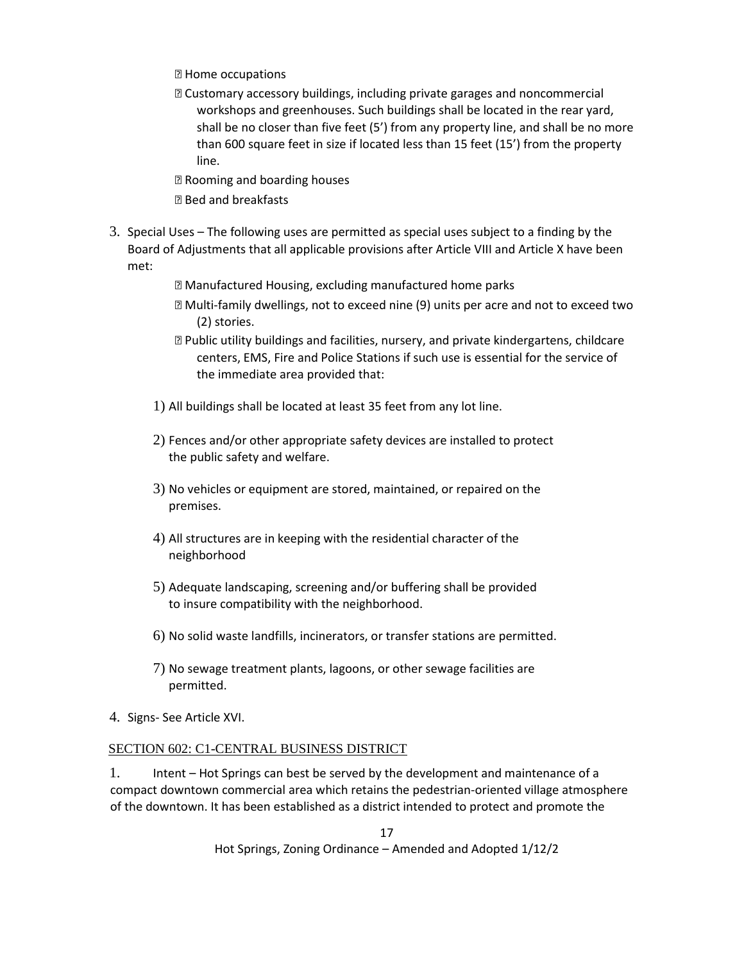- ⦁ Home occupations
- ⦁ Customary accessory buildings, including private garages and noncommercial workshops and greenhouses. Such buildings shall be located in the rear yard, shall be no closer than five feet (5') from any property line, and shall be no more than 600 square feet in size if located less than 15 feet (15') from the property line.
- ⦁ Rooming and boarding houses
- ⦁ Bed and breakfasts
- 3. Special Uses The following uses are permitted as special uses subject to a finding by the Board of Adjustments that all applicable provisions after Article VIII and Article X have been met:
	- ⦁ Manufactured Housing, excluding manufactured home parks
	- ⦁ Multi-family dwellings, not to exceed nine (9) units per acre and not to exceed two (2) stories.
	- ⦁ Public utility buildings and facilities, nursery, and private kindergartens, childcare centers, EMS, Fire and Police Stations if such use is essential for the service of the immediate area provided that:
	- 1) All buildings shall be located at least 35 feet from any lot line.
	- 2) Fences and/or other appropriate safety devices are installed to protect the public safety and welfare.
	- 3) No vehicles or equipment are stored, maintained, or repaired on the premises.
	- 4) All structures are in keeping with the residential character of the neighborhood
	- 5) Adequate landscaping, screening and/or buffering shall be provided to insure compatibility with the neighborhood.
	- 6) No solid waste landfills, incinerators, or transfer stations are permitted.
	- 7) No sewage treatment plants, lagoons, or other sewage facilities are permitted.
- 4. Signs- See Article XVI.

### SECTION 602: C1-CENTRAL BUSINESS DISTRICT

1. Intent – Hot Springs can best be served by the development and maintenance of a compact downtown commercial area which retains the pedestrian-oriented village atmosphere of the downtown. It has been established as a district intended to protect and promote the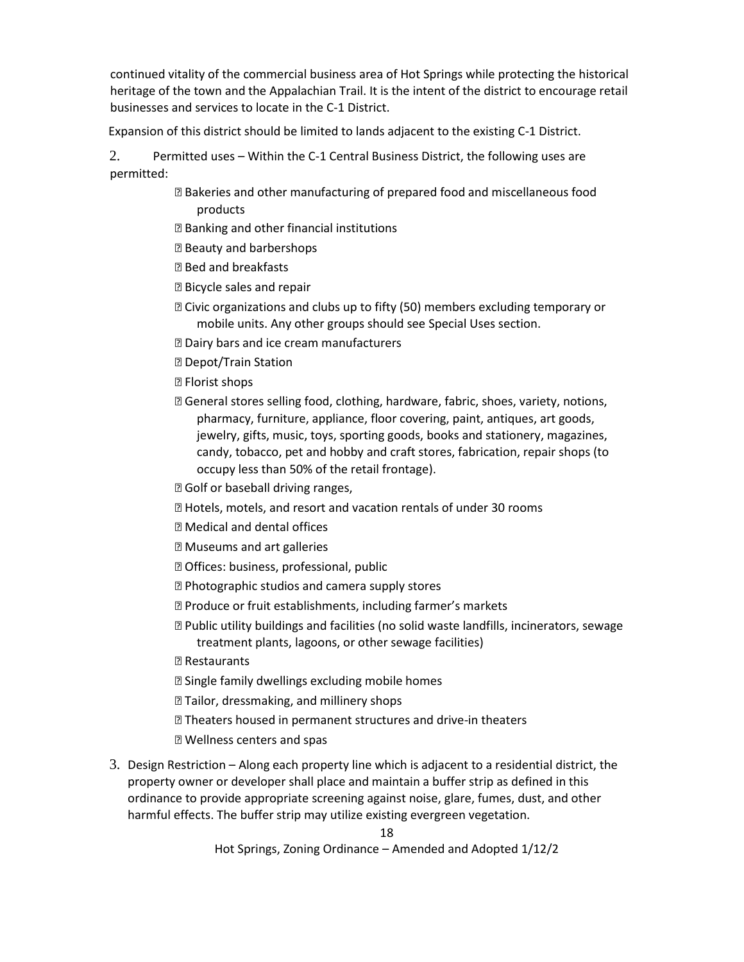continued vitality of the commercial business area of Hot Springs while protecting the historical heritage of the town and the Appalachian Trail. It is the intent of the district to encourage retail businesses and services to locate in the C-1 District.

Expansion of this district should be limited to lands adjacent to the existing C-1 District.

2. Permitted uses – Within the C-1 Central Business District, the following uses are permitted:

- ⦁ Bakeries and other manufacturing of prepared food and miscellaneous food products
- ⦁ Banking and other financial institutions
- **图 Beauty and barbershops**
- ⦁ Bed and breakfasts
- ⦁ Bicycle sales and repair
- **sqrt2 Civic organizations and clubs up to fifty (50) members excluding temporary or** mobile units. Any other groups should see Special Uses section.
- ⦁ Dairy bars and ice cream manufacturers
- **2 Depot/Train Station**
- **图 Florist shops**
- ⦁ General stores selling food, clothing, hardware, fabric, shoes, variety, notions, pharmacy, furniture, appliance, floor covering, paint, antiques, art goods, jewelry, gifts, music, toys, sporting goods, books and stationery, magazines, candy, tobacco, pet and hobby and craft stores, fabrication, repair shops (to occupy less than 50% of the retail frontage).
- **D** Golf or baseball driving ranges,
- ⦁ Hotels, motels, and resort and vacation rentals of under 30 rooms
- ⦁ Medical and dental offices
- ⦁ Museums and art galleries
- ⦁ Offices: business, professional, public
- ⦁ Photographic studios and camera supply stores
- **<b>sqrtP}** Produce or fruit establishments, including farmer's markets
- ⦁ Public utility buildings and facilities (no solid waste landfills, incinerators, sewage treatment plants, lagoons, or other sewage facilities)
- ⦁ Restaurants
- ⦁ Single family dwellings excluding mobile homes
- **P** Tailor, dressmaking, and millinery shops
- **Z Theaters housed in permanent structures and drive-in theaters**
- ⦁ Wellness centers and spas
- 3. Design Restriction Along each property line which is adjacent to a residential district, the property owner or developer shall place and maintain a buffer strip as defined in this ordinance to provide appropriate screening against noise, glare, fumes, dust, and other harmful effects. The buffer strip may utilize existing evergreen vegetation.

18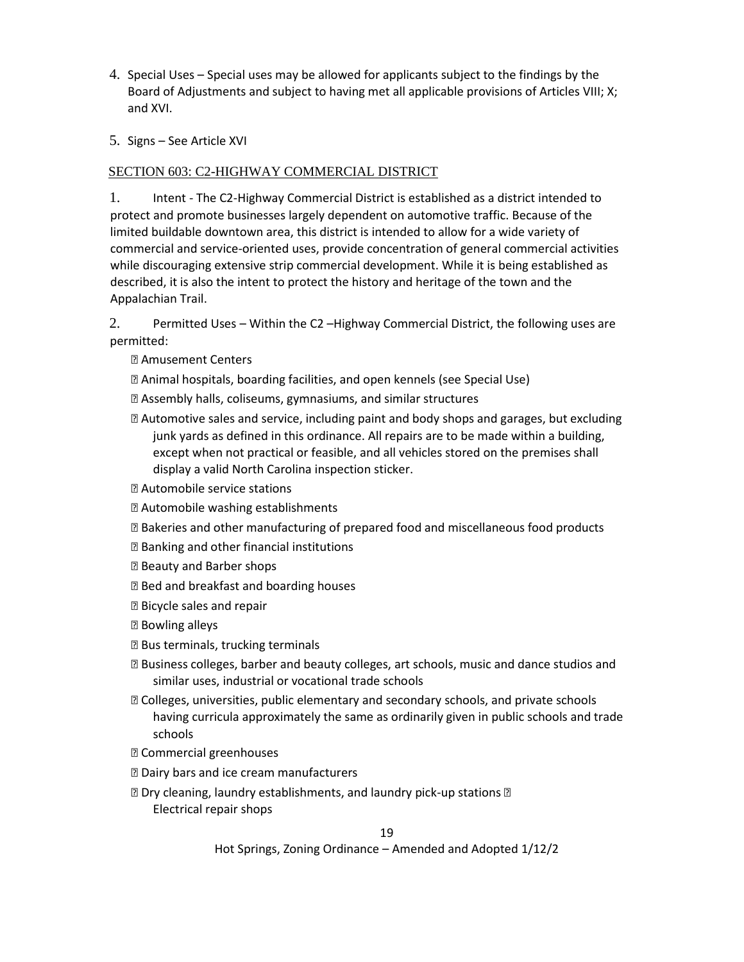- 4. Special Uses Special uses may be allowed for applicants subject to the findings by the Board of Adjustments and subject to having met all applicable provisions of Articles VIII; X; and XVI.
- 5. Signs See Article XVI

### SECTION 603: C2-HIGHWAY COMMERCIAL DISTRICT

1. Intent - The C2-Highway Commercial District is established as a district intended to protect and promote businesses largely dependent on automotive traffic. Because of the limited buildable downtown area, this district is intended to allow for a wide variety of commercial and service-oriented uses, provide concentration of general commercial activities while discouraging extensive strip commercial development. While it is being established as described, it is also the intent to protect the history and heritage of the town and the Appalachian Trail.

2. Permitted Uses – Within the C2 –Highway Commercial District, the following uses are permitted:

- ⦁ Amusement Centers
- ⦁ Animal hospitals, boarding facilities, and open kennels (see Special Use)
- ⦁ Assembly halls, coliseums, gymnasiums, and similar structures
- ⦁ Automotive sales and service, including paint and body shops and garages, but excluding junk yards as defined in this ordinance. All repairs are to be made within a building, except when not practical or feasible, and all vehicles stored on the premises shall display a valid North Carolina inspection sticker.
- ⦁ Automobile service stations
- ⦁ Automobile washing establishments
- ⦁ Bakeries and other manufacturing of prepared food and miscellaneous food products
- ⦁ Banking and other financial institutions
- ⦁ Beauty and Barber shops
- **<b>■** Bed and breakfast and boarding houses
- ⦁ Bicycle sales and repair
- ⦁ Bowling alleys
- **<b>■** Bus terminals, trucking terminals
- ⦁ Business colleges, barber and beauty colleges, art schools, music and dance studios and similar uses, industrial or vocational trade schools
- ⦁ Colleges, universities, public elementary and secondary schools, and private schools having curricula approximately the same as ordinarily given in public schools and trade schools
- ⦁ Commercial greenhouses
- **<b>■** Dairy bars and ice cream manufacturers
- **sqrt** Dry cleaning, laundry establishments, and laundry pick-up stations <sup>ø</sup> Electrical repair shops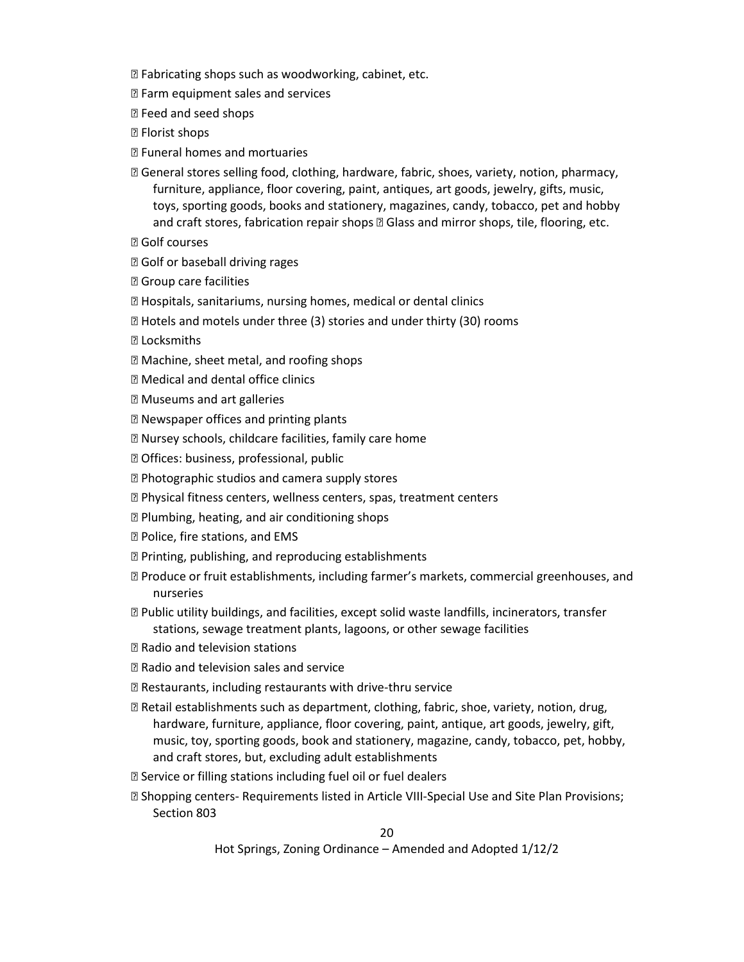- ⦁ Fabricating shops such as woodworking, cabinet, etc.
- **<b>sqrtP}** Farm equipment sales and services
- ⦁ Feed and seed shops
- **图 Florist shops**
- ⦁ Funeral homes and mortuaries
- ⦁ General stores selling food, clothing, hardware, fabric, shoes, variety, notion, pharmacy, furniture, appliance, floor covering, paint, antiques, art goods, jewelry, gifts, music, toys, sporting goods, books and stationery, magazines, candy, tobacco, pet and hobby and craft stores, fabrication repair shops @ Glass and mirror shops, tile, flooring, etc.
- ⦁ Golf courses
- ⦁ Golf or baseball driving rages
- ⦁ Group care facilities
- ⦁ Hospitals, sanitariums, nursing homes, medical or dental clinics
- ⦁ Hotels and motels under three (3) stories and under thirty (30) rooms
- ⦁ Locksmiths
- ⦁ Machine, sheet metal, and roofing shops
- ⦁ Medical and dental office clinics
- ⦁ Museums and art galleries
- ⦁ Newspaper offices and printing plants
- ⦁ Nursey schools, childcare facilities, family care home
- ⦁ Offices: business, professional, public
- ⦁ Photographic studios and camera supply stores
- ⦁ Physical fitness centers, wellness centers, spas, treatment centers
- ⦁ Plumbing, heating, and air conditioning shops
- ⦁ Police, fire stations, and EMS
- ⦁ Printing, publishing, and reproducing establishments
- ⦁ Produce or fruit establishments, including farmer's markets, commercial greenhouses, and nurseries
- ⦁ Public utility buildings, and facilities, except solid waste landfills, incinerators, transfer stations, sewage treatment plants, lagoons, or other sewage facilities
- ⦁ Radio and television stations
- ⦁ Radio and television sales and service
- ⦁ Restaurants, including restaurants with drive-thru service
- ⦁ Retail establishments such as department, clothing, fabric, shoe, variety, notion, drug, hardware, furniture, appliance, floor covering, paint, antique, art goods, jewelry, gift, music, toy, sporting goods, book and stationery, magazine, candy, tobacco, pet, hobby, and craft stores, but, excluding adult establishments
- ⦁ Service or filling stations including fuel oil or fuel dealers
- ⦁ Shopping centers- Requirements listed in Article VIII-Special Use and Site Plan Provisions; Section 803

20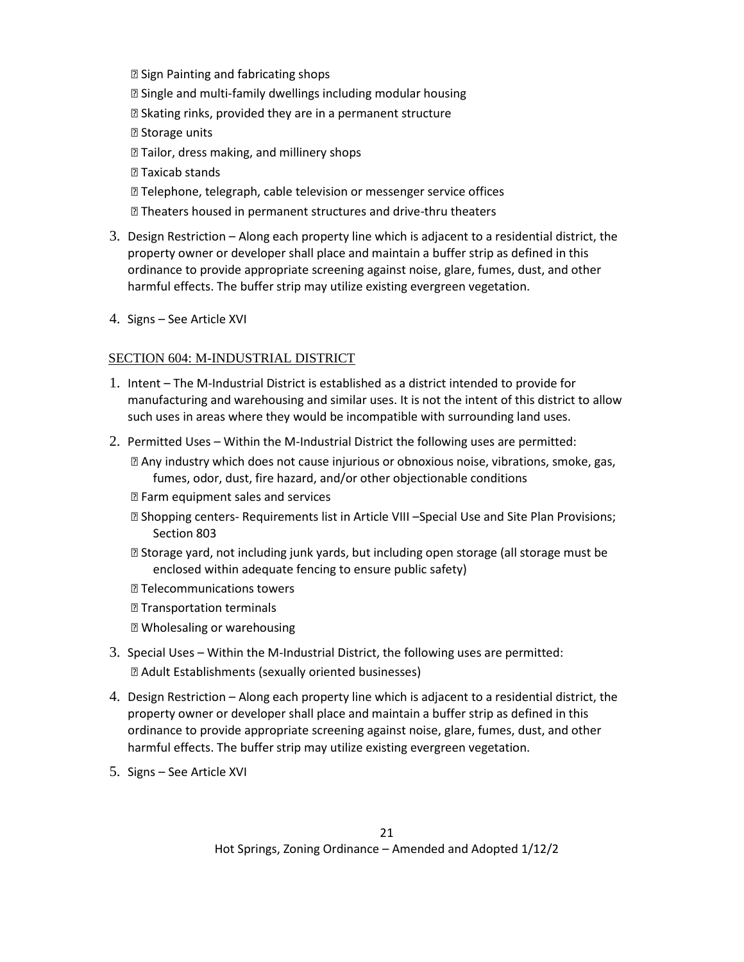⦁ Sign Painting and fabricating shops ⦁ Single and multi-family dwellings including modular housing ⦁ Skating rinks, provided they are in a permanent structure **图** Storage units **Z Tailor, dress making, and millinery shops 7** Taxicab stands ⦁ Telephone, telegraph, cable television or messenger service offices **② Theaters housed in permanent structures and drive-thru theaters** 

- 3. Design Restriction Along each property line which is adjacent to a residential district, the property owner or developer shall place and maintain a buffer strip as defined in this ordinance to provide appropriate screening against noise, glare, fumes, dust, and other harmful effects. The buffer strip may utilize existing evergreen vegetation.
- 4. Signs See Article XVI

### SECTION 604: M-INDUSTRIAL DISTRICT

- 1. Intent The M-Industrial District is established as a district intended to provide for manufacturing and warehousing and similar uses. It is not the intent of this district to allow such uses in areas where they would be incompatible with surrounding land uses.
- 2. Permitted Uses Within the M-Industrial District the following uses are permitted:

⦁ Any industry which does not cause injurious or obnoxious noise, vibrations, smoke, gas, fumes, odor, dust, fire hazard, and/or other objectionable conditions

- **<b>P** Farm equipment sales and services
- ⦁ Shopping centers- Requirements list in Article VIII –Special Use and Site Plan Provisions; Section 803
- ⦁ Storage yard, not including junk yards, but including open storage (all storage must be enclosed within adequate fencing to ensure public safety)
- ⦁ Telecommunications towers
- ⦁ Transportation terminals
- ⦁ Wholesaling or warehousing
- 3. Special Uses Within the M-Industrial District, the following uses are permitted: ⦁ Adult Establishments (sexually oriented businesses)
- 4. Design Restriction Along each property line which is adjacent to a residential district, the property owner or developer shall place and maintain a buffer strip as defined in this ordinance to provide appropriate screening against noise, glare, fumes, dust, and other harmful effects. The buffer strip may utilize existing evergreen vegetation.
- 5. Signs See Article XVI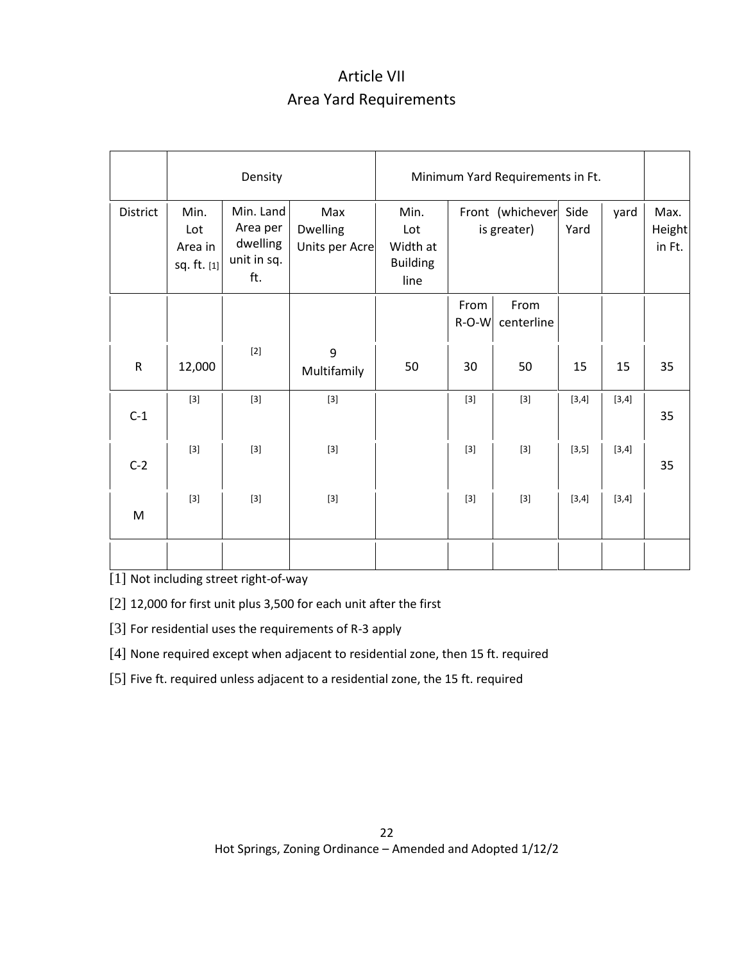# Article VII Area Yard Requirements

|              | Density                               |                                                         |                                   | Minimum Yard Requirements in Ft.                   |                                 |                    |              |       |                          |
|--------------|---------------------------------------|---------------------------------------------------------|-----------------------------------|----------------------------------------------------|---------------------------------|--------------------|--------------|-------|--------------------------|
| District     | Min.<br>Lot<br>Area in<br>sq. ft. [1] | Min. Land<br>Area per<br>dwelling<br>unit in sq.<br>ft. | Max<br>Dwelling<br>Units per Acre | Min.<br>Lot<br>Width at<br><b>Building</b><br>line | Front (whichever<br>is greater) |                    | Side<br>Yard | yard  | Max.<br>Height<br>in Ft. |
|              |                                       |                                                         |                                   |                                                    | From<br>R-O-W                   | From<br>centerline |              |       |                          |
| $\mathsf{R}$ | 12,000                                | $[2]$                                                   | 9<br>Multifamily                  | 50                                                 | 30                              | 50                 | 15           | 15    | 35                       |
| $C-1$        | $[3]$                                 | $[3]$                                                   |                                   |                                                    | $[3]$                           | $[3]$              | [3,4]        | [3,4] | 35                       |
| $C-2$        | $[3]$                                 |                                                         |                                   |                                                    | $[3]$                           | $[3]$              | [3, 5]       | [3,4] | 35                       |
| M            | $[3]$                                 | $[3]$                                                   | $[3]$                             |                                                    | $[3]$                           | $[3]$              | [3,4]        | [3,4] |                          |
|              |                                       |                                                         |                                   |                                                    |                                 |                    |              |       |                          |

[1] Not including street right-of-way

[2] 12,000 for first unit plus 3,500 for each unit after the first

[3] For residential uses the requirements of R-3 apply

[4] None required except when adjacent to residential zone, then 15 ft. required

[5] Five ft. required unless adjacent to a residential zone, the 15 ft. required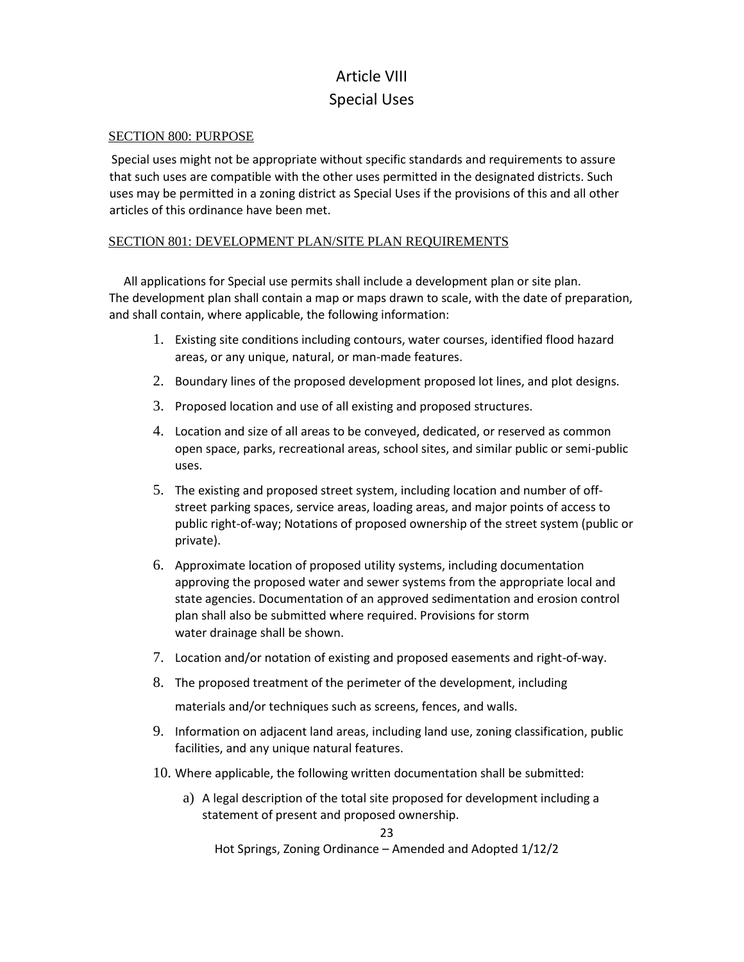# Article VIII Special Uses

### SECTION 800: PURPOSE

Special uses might not be appropriate without specific standards and requirements to assure that such uses are compatible with the other uses permitted in the designated districts. Such uses may be permitted in a zoning district as Special Uses if the provisions of this and all other articles of this ordinance have been met.

### SECTION 801: DEVELOPMENT PLAN/SITE PLAN REQUIREMENTS

 All applications for Special use permits shall include a development plan or site plan. The development plan shall contain a map or maps drawn to scale, with the date of preparation, and shall contain, where applicable, the following information:

- 1. Existing site conditions including contours, water courses, identified flood hazard areas, or any unique, natural, or man-made features.
- 2. Boundary lines of the proposed development proposed lot lines, and plot designs.
- 3. Proposed location and use of all existing and proposed structures.
- 4. Location and size of all areas to be conveyed, dedicated, or reserved as common open space, parks, recreational areas, school sites, and similar public or semi-public uses.
- 5. The existing and proposed street system, including location and number of offstreet parking spaces, service areas, loading areas, and major points of access to public right-of-way; Notations of proposed ownership of the street system (public or private).
- 6. Approximate location of proposed utility systems, including documentation approving the proposed water and sewer systems from the appropriate local and state agencies. Documentation of an approved sedimentation and erosion control plan shall also be submitted where required. Provisions for storm water drainage shall be shown.
- 7. Location and/or notation of existing and proposed easements and right-of-way.
- 8. The proposed treatment of the perimeter of the development, including materials and/or techniques such as screens, fences, and walls.
- 9. Information on adjacent land areas, including land use, zoning classification, public facilities, and any unique natural features.
- 10. Where applicable, the following written documentation shall be submitted:
	- a) A legal description of the total site proposed for development including a statement of present and proposed ownership.

23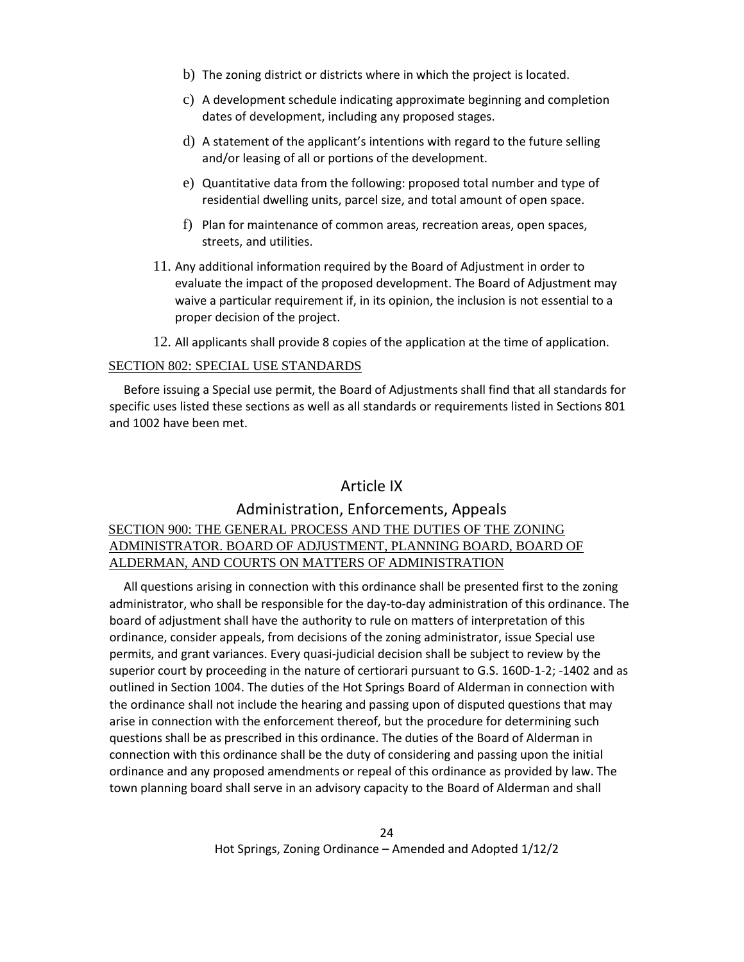- b) The zoning district or districts where in which the project is located.
- c) A development schedule indicating approximate beginning and completion dates of development, including any proposed stages.
- d) A statement of the applicant's intentions with regard to the future selling and/or leasing of all or portions of the development.
- e) Quantitative data from the following: proposed total number and type of residential dwelling units, parcel size, and total amount of open space.
- f) Plan for maintenance of common areas, recreation areas, open spaces, streets, and utilities.
- 11. Any additional information required by the Board of Adjustment in order to evaluate the impact of the proposed development. The Board of Adjustment may waive a particular requirement if, in its opinion, the inclusion is not essential to a proper decision of the project.
- 12. All applicants shall provide 8 copies of the application at the time of application.

### SECTION 802: SPECIAL USE STANDARDS

 Before issuing a Special use permit, the Board of Adjustments shall find that all standards for specific uses listed these sections as well as all standards or requirements listed in Sections 801 and 1002 have been met.

### Article IX

### Administration, Enforcements, Appeals

### SECTION 900: THE GENERAL PROCESS AND THE DUTIES OF THE ZONING ADMINISTRATOR. BOARD OF ADJUSTMENT, PLANNING BOARD, BOARD OF ALDERMAN, AND COURTS ON MATTERS OF ADMINISTRATION

 All questions arising in connection with this ordinance shall be presented first to the zoning administrator, who shall be responsible for the day-to-day administration of this ordinance. The board of adjustment shall have the authority to rule on matters of interpretation of this ordinance, consider appeals, from decisions of the zoning administrator, issue Special use permits, and grant variances. Every quasi-judicial decision shall be subject to review by the superior court by proceeding in the nature of certiorari pursuant to G.S. 160D-1-2; -1402 and as outlined in Section 1004. The duties of the Hot Springs Board of Alderman in connection with the ordinance shall not include the hearing and passing upon of disputed questions that may arise in connection with the enforcement thereof, but the procedure for determining such questions shall be as prescribed in this ordinance. The duties of the Board of Alderman in connection with this ordinance shall be the duty of considering and passing upon the initial ordinance and any proposed amendments or repeal of this ordinance as provided by law. The town planning board shall serve in an advisory capacity to the Board of Alderman and shall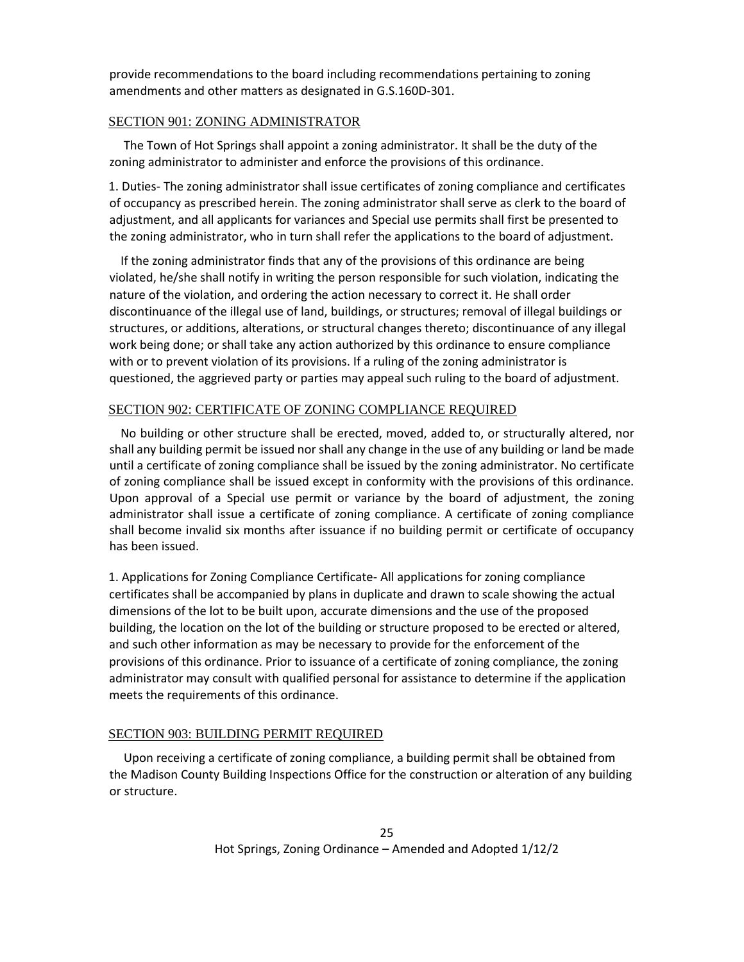provide recommendations to the board including recommendations pertaining to zoning amendments and other matters as designated in G.S.160D-301.

### SECTION 901: ZONING ADMINISTRATOR

 The Town of Hot Springs shall appoint a zoning administrator. It shall be the duty of the zoning administrator to administer and enforce the provisions of this ordinance.

1. Duties- The zoning administrator shall issue certificates of zoning compliance and certificates of occupancy as prescribed herein. The zoning administrator shall serve as clerk to the board of adjustment, and all applicants for variances and Special use permits shall first be presented to the zoning administrator, who in turn shall refer the applications to the board of adjustment.

 If the zoning administrator finds that any of the provisions of this ordinance are being violated, he/she shall notify in writing the person responsible for such violation, indicating the nature of the violation, and ordering the action necessary to correct it. He shall order discontinuance of the illegal use of land, buildings, or structures; removal of illegal buildings or structures, or additions, alterations, or structural changes thereto; discontinuance of any illegal work being done; or shall take any action authorized by this ordinance to ensure compliance with or to prevent violation of its provisions. If a ruling of the zoning administrator is questioned, the aggrieved party or parties may appeal such ruling to the board of adjustment.

### SECTION 902: CERTIFICATE OF ZONING COMPLIANCE REQUIRED

 No building or other structure shall be erected, moved, added to, or structurally altered, nor shall any building permit be issued nor shall any change in the use of any building or land be made until a certificate of zoning compliance shall be issued by the zoning administrator. No certificate of zoning compliance shall be issued except in conformity with the provisions of this ordinance. Upon approval of a Special use permit or variance by the board of adjustment, the zoning administrator shall issue a certificate of zoning compliance. A certificate of zoning compliance shall become invalid six months after issuance if no building permit or certificate of occupancy has been issued.

1. Applications for Zoning Compliance Certificate- All applications for zoning compliance certificates shall be accompanied by plans in duplicate and drawn to scale showing the actual dimensions of the lot to be built upon, accurate dimensions and the use of the proposed building, the location on the lot of the building or structure proposed to be erected or altered, and such other information as may be necessary to provide for the enforcement of the provisions of this ordinance. Prior to issuance of a certificate of zoning compliance, the zoning administrator may consult with qualified personal for assistance to determine if the application meets the requirements of this ordinance.

### SECTION 903: BUILDING PERMIT REQUIRED

 Upon receiving a certificate of zoning compliance, a building permit shall be obtained from the Madison County Building Inspections Office for the construction or alteration of any building or structure.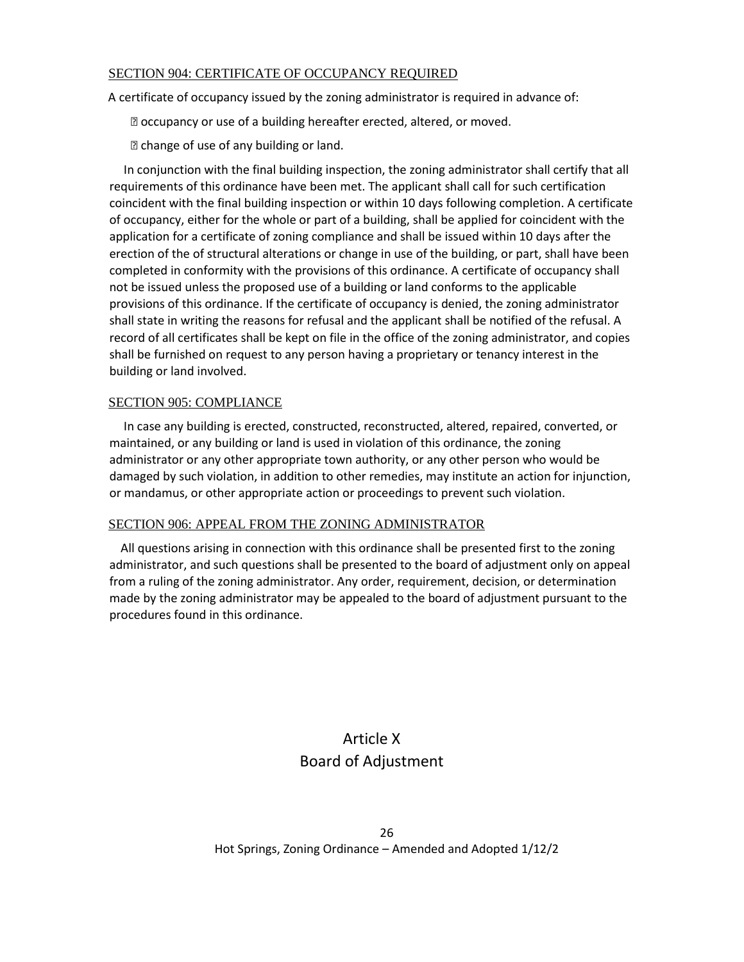### SECTION 904: CERTIFICATE OF OCCUPANCY REQUIRED

A certificate of occupancy issued by the zoning administrator is required in advance of:

⦁ occupancy or use of a building hereafter erected, altered, or moved.

⦁ change of use of any building or land.

 In conjunction with the final building inspection, the zoning administrator shall certify that all requirements of this ordinance have been met. The applicant shall call for such certification coincident with the final building inspection or within 10 days following completion. A certificate of occupancy, either for the whole or part of a building, shall be applied for coincident with the application for a certificate of zoning compliance and shall be issued within 10 days after the erection of the of structural alterations or change in use of the building, or part, shall have been completed in conformity with the provisions of this ordinance. A certificate of occupancy shall not be issued unless the proposed use of a building or land conforms to the applicable provisions of this ordinance. If the certificate of occupancy is denied, the zoning administrator shall state in writing the reasons for refusal and the applicant shall be notified of the refusal. A record of all certificates shall be kept on file in the office of the zoning administrator, and copies shall be furnished on request to any person having a proprietary or tenancy interest in the building or land involved.

### SECTION 905: COMPLIANCE

 In case any building is erected, constructed, reconstructed, altered, repaired, converted, or maintained, or any building or land is used in violation of this ordinance, the zoning administrator or any other appropriate town authority, or any other person who would be damaged by such violation, in addition to other remedies, may institute an action for injunction, or mandamus, or other appropriate action or proceedings to prevent such violation.

### SECTION 906: APPEAL FROM THE ZONING ADMINISTRATOR

 All questions arising in connection with this ordinance shall be presented first to the zoning administrator, and such questions shall be presented to the board of adjustment only on appeal from a ruling of the zoning administrator. Any order, requirement, decision, or determination made by the zoning administrator may be appealed to the board of adjustment pursuant to the procedures found in this ordinance.

# Article X Board of Adjustment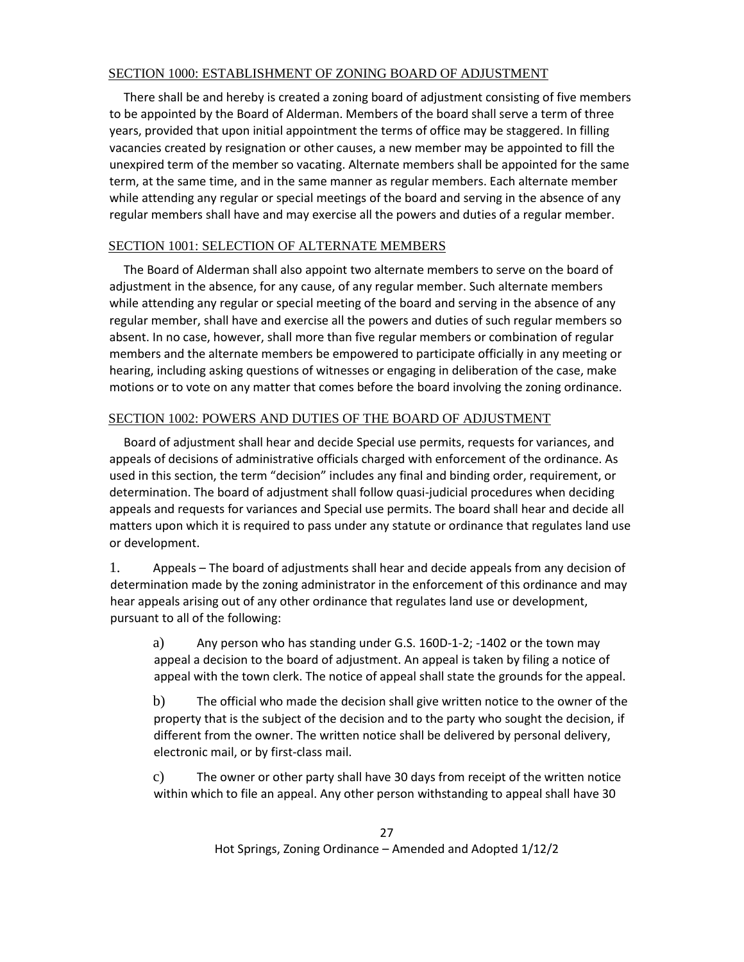### SECTION 1000: ESTABLISHMENT OF ZONING BOARD OF ADJUSTMENT

 There shall be and hereby is created a zoning board of adjustment consisting of five members to be appointed by the Board of Alderman. Members of the board shall serve a term of three years, provided that upon initial appointment the terms of office may be staggered. In filling vacancies created by resignation or other causes, a new member may be appointed to fill the unexpired term of the member so vacating. Alternate members shall be appointed for the same term, at the same time, and in the same manner as regular members. Each alternate member while attending any regular or special meetings of the board and serving in the absence of any regular members shall have and may exercise all the powers and duties of a regular member.

### SECTION 1001: SELECTION OF ALTERNATE MEMBERS

 The Board of Alderman shall also appoint two alternate members to serve on the board of adjustment in the absence, for any cause, of any regular member. Such alternate members while attending any regular or special meeting of the board and serving in the absence of any regular member, shall have and exercise all the powers and duties of such regular members so absent. In no case, however, shall more than five regular members or combination of regular members and the alternate members be empowered to participate officially in any meeting or hearing, including asking questions of witnesses or engaging in deliberation of the case, make motions or to vote on any matter that comes before the board involving the zoning ordinance.

### SECTION 1002: POWERS AND DUTIES OF THE BOARD OF ADJUSTMENT

 Board of adjustment shall hear and decide Special use permits, requests for variances, and appeals of decisions of administrative officials charged with enforcement of the ordinance. As used in this section, the term "decision" includes any final and binding order, requirement, or determination. The board of adjustment shall follow quasi-judicial procedures when deciding appeals and requests for variances and Special use permits. The board shall hear and decide all matters upon which it is required to pass under any statute or ordinance that regulates land use or development.

1. Appeals – The board of adjustments shall hear and decide appeals from any decision of determination made by the zoning administrator in the enforcement of this ordinance and may hear appeals arising out of any other ordinance that regulates land use or development, pursuant to all of the following:

a) Any person who has standing under G.S. 160D-1-2; -1402 or the town may appeal a decision to the board of adjustment. An appeal is taken by filing a notice of appeal with the town clerk. The notice of appeal shall state the grounds for the appeal.

b) The official who made the decision shall give written notice to the owner of the property that is the subject of the decision and to the party who sought the decision, if different from the owner. The written notice shall be delivered by personal delivery, electronic mail, or by first-class mail.

c) The owner or other party shall have 30 days from receipt of the written notice within which to file an appeal. Any other person withstanding to appeal shall have 30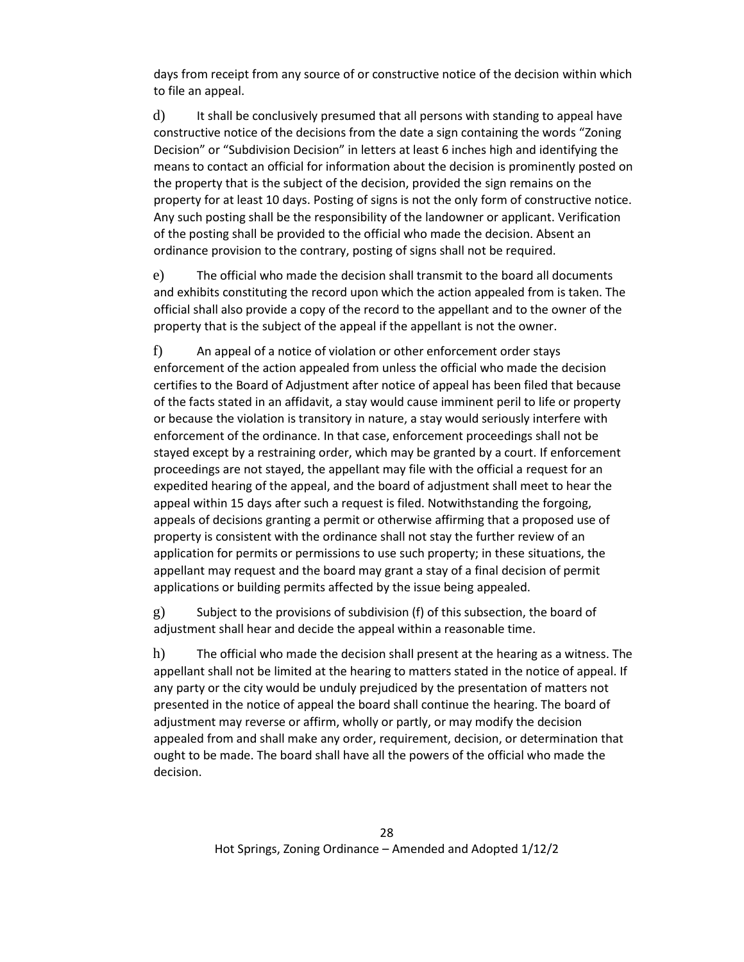days from receipt from any source of or constructive notice of the decision within which to file an appeal.

d) It shall be conclusively presumed that all persons with standing to appeal have constructive notice of the decisions from the date a sign containing the words "Zoning Decision" or "Subdivision Decision" in letters at least 6 inches high and identifying the means to contact an official for information about the decision is prominently posted on the property that is the subject of the decision, provided the sign remains on the property for at least 10 days. Posting of signs is not the only form of constructive notice. Any such posting shall be the responsibility of the landowner or applicant. Verification of the posting shall be provided to the official who made the decision. Absent an ordinance provision to the contrary, posting of signs shall not be required.

e) The official who made the decision shall transmit to the board all documents and exhibits constituting the record upon which the action appealed from is taken. The official shall also provide a copy of the record to the appellant and to the owner of the property that is the subject of the appeal if the appellant is not the owner.

f) An appeal of a notice of violation or other enforcement order stays enforcement of the action appealed from unless the official who made the decision certifies to the Board of Adjustment after notice of appeal has been filed that because of the facts stated in an affidavit, a stay would cause imminent peril to life or property or because the violation is transitory in nature, a stay would seriously interfere with enforcement of the ordinance. In that case, enforcement proceedings shall not be stayed except by a restraining order, which may be granted by a court. If enforcement proceedings are not stayed, the appellant may file with the official a request for an expedited hearing of the appeal, and the board of adjustment shall meet to hear the appeal within 15 days after such a request is filed. Notwithstanding the forgoing, appeals of decisions granting a permit or otherwise affirming that a proposed use of property is consistent with the ordinance shall not stay the further review of an application for permits or permissions to use such property; in these situations, the appellant may request and the board may grant a stay of a final decision of permit applications or building permits affected by the issue being appealed.

g) Subject to the provisions of subdivision (f) of this subsection, the board of adjustment shall hear and decide the appeal within a reasonable time.

h) The official who made the decision shall present at the hearing as a witness. The appellant shall not be limited at the hearing to matters stated in the notice of appeal. If any party or the city would be unduly prejudiced by the presentation of matters not presented in the notice of appeal the board shall continue the hearing. The board of adjustment may reverse or affirm, wholly or partly, or may modify the decision appealed from and shall make any order, requirement, decision, or determination that ought to be made. The board shall have all the powers of the official who made the decision.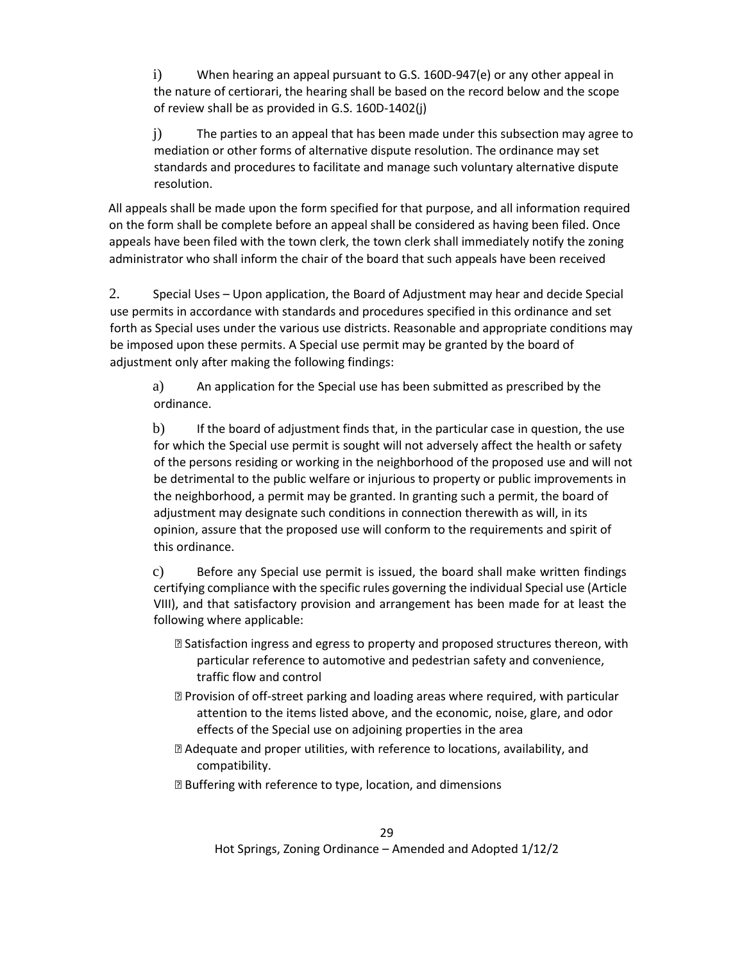i) When hearing an appeal pursuant to G.S. 160D-947(e) or any other appeal in the nature of certiorari, the hearing shall be based on the record below and the scope of review shall be as provided in G.S. 160D-1402(j)

j) The parties to an appeal that has been made under this subsection may agree to mediation or other forms of alternative dispute resolution. The ordinance may set standards and procedures to facilitate and manage such voluntary alternative dispute resolution.

All appeals shall be made upon the form specified for that purpose, and all information required on the form shall be complete before an appeal shall be considered as having been filed. Once appeals have been filed with the town clerk, the town clerk shall immediately notify the zoning administrator who shall inform the chair of the board that such appeals have been received

2. Special Uses – Upon application, the Board of Adjustment may hear and decide Special use permits in accordance with standards and procedures specified in this ordinance and set forth as Special uses under the various use districts. Reasonable and appropriate conditions may be imposed upon these permits. A Special use permit may be granted by the board of adjustment only after making the following findings:

a) An application for the Special use has been submitted as prescribed by the ordinance.

b) If the board of adjustment finds that, in the particular case in question, the use for which the Special use permit is sought will not adversely affect the health or safety of the persons residing or working in the neighborhood of the proposed use and will not be detrimental to the public welfare or injurious to property or public improvements in the neighborhood, a permit may be granted. In granting such a permit, the board of adjustment may designate such conditions in connection therewith as will, in its opinion, assure that the proposed use will conform to the requirements and spirit of this ordinance.

c) Before any Special use permit is issued, the board shall make written findings certifying compliance with the specific rules governing the individual Special use (Article VIII), and that satisfactory provision and arrangement has been made for at least the following where applicable:

- ⦁ Satisfaction ingress and egress to property and proposed structures thereon, with particular reference to automotive and pedestrian safety and convenience, traffic flow and control
- ⦁ Provision of off-street parking and loading areas where required, with particular attention to the items listed above, and the economic, noise, glare, and odor effects of the Special use on adjoining properties in the area
- ⦁ Adequate and proper utilities, with reference to locations, availability, and compatibility.
- **sqrtb>Example 22</b> Buffering with reference to type, location, and dimensions**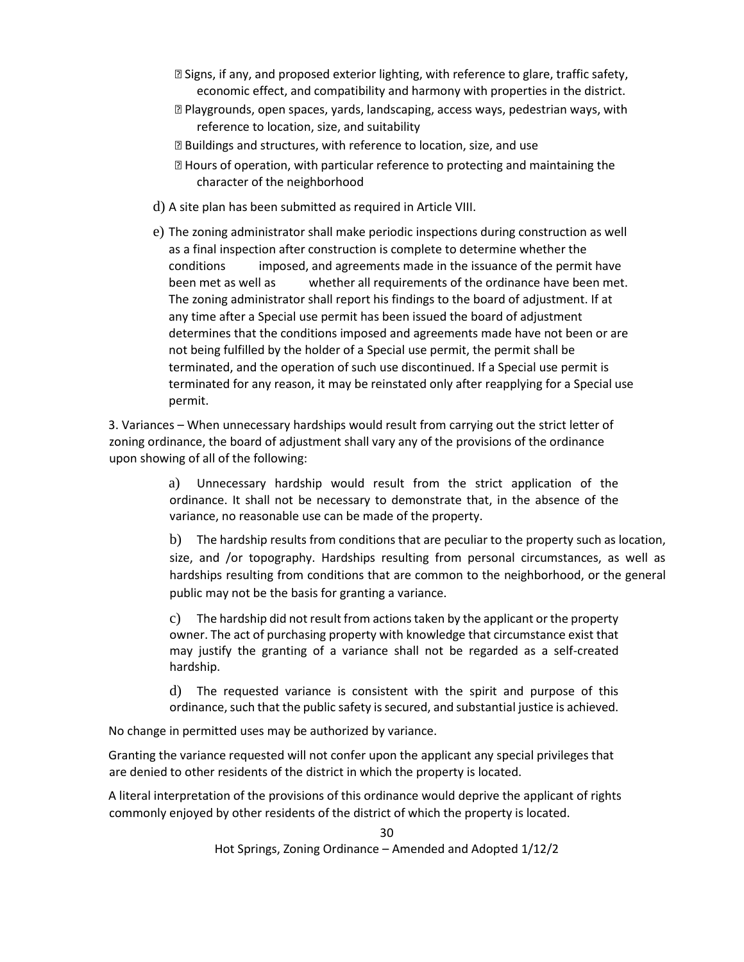- ⦁ Signs, if any, and proposed exterior lighting, with reference to glare, traffic safety, economic effect, and compatibility and harmony with properties in the district.
- ⦁ Playgrounds, open spaces, yards, landscaping, access ways, pedestrian ways, with reference to location, size, and suitability
- ⦁ Buildings and structures, with reference to location, size, and use
- ⦁ Hours of operation, with particular reference to protecting and maintaining the character of the neighborhood
- d) A site plan has been submitted as required in Article VIII.
- e) The zoning administrator shall make periodic inspections during construction as well as a final inspection after construction is complete to determine whether the conditions imposed, and agreements made in the issuance of the permit have been met as well as whether all requirements of the ordinance have been met. The zoning administrator shall report his findings to the board of adjustment. If at any time after a Special use permit has been issued the board of adjustment determines that the conditions imposed and agreements made have not been or are not being fulfilled by the holder of a Special use permit, the permit shall be terminated, and the operation of such use discontinued. If a Special use permit is terminated for any reason, it may be reinstated only after reapplying for a Special use permit.

3. Variances – When unnecessary hardships would result from carrying out the strict letter of zoning ordinance, the board of adjustment shall vary any of the provisions of the ordinance upon showing of all of the following:

> a) Unnecessary hardship would result from the strict application of the ordinance. It shall not be necessary to demonstrate that, in the absence of the variance, no reasonable use can be made of the property.

b) The hardship results from conditions that are peculiar to the property such as location, size, and /or topography. Hardships resulting from personal circumstances, as well as hardships resulting from conditions that are common to the neighborhood, or the general public may not be the basis for granting a variance.

c) The hardship did not result from actions taken by the applicant or the property owner. The act of purchasing property with knowledge that circumstance exist that may justify the granting of a variance shall not be regarded as a self-created hardship.

d) The requested variance is consistent with the spirit and purpose of this ordinance, such that the public safety is secured, and substantial justice is achieved.

No change in permitted uses may be authorized by variance.

Granting the variance requested will not confer upon the applicant any special privileges that are denied to other residents of the district in which the property is located.

A literal interpretation of the provisions of this ordinance would deprive the applicant of rights commonly enjoyed by other residents of the district of which the property is located.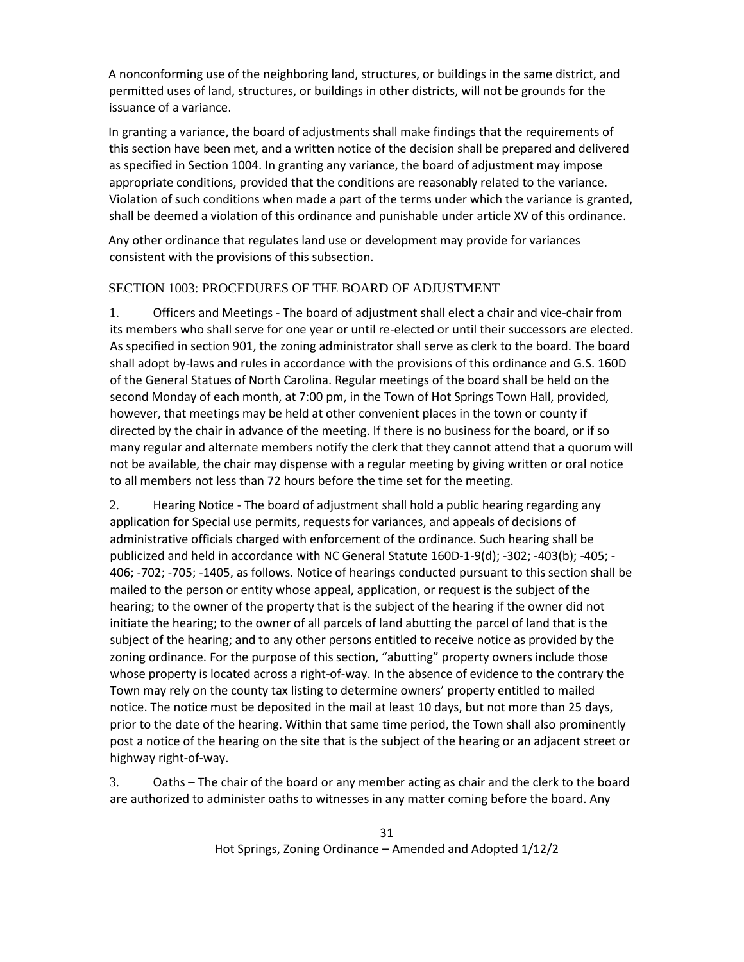A nonconforming use of the neighboring land, structures, or buildings in the same district, and permitted uses of land, structures, or buildings in other districts, will not be grounds for the issuance of a variance.

In granting a variance, the board of adjustments shall make findings that the requirements of this section have been met, and a written notice of the decision shall be prepared and delivered as specified in Section 1004. In granting any variance, the board of adjustment may impose appropriate conditions, provided that the conditions are reasonably related to the variance. Violation of such conditions when made a part of the terms under which the variance is granted, shall be deemed a violation of this ordinance and punishable under article XV of this ordinance.

Any other ordinance that regulates land use or development may provide for variances consistent with the provisions of this subsection.

### SECTION 1003: PROCEDURES OF THE BOARD OF ADJUSTMENT

1. Officers and Meetings - The board of adjustment shall elect a chair and vice-chair from its members who shall serve for one year or until re-elected or until their successors are elected. As specified in section 901, the zoning administrator shall serve as clerk to the board. The board shall adopt by-laws and rules in accordance with the provisions of this ordinance and G.S. 160D of the General Statues of North Carolina. Regular meetings of the board shall be held on the second Monday of each month, at 7:00 pm, in the Town of Hot Springs Town Hall, provided, however, that meetings may be held at other convenient places in the town or county if directed by the chair in advance of the meeting. If there is no business for the board, or if so many regular and alternate members notify the clerk that they cannot attend that a quorum will not be available, the chair may dispense with a regular meeting by giving written or oral notice to all members not less than 72 hours before the time set for the meeting.

2. Hearing Notice - The board of adjustment shall hold a public hearing regarding any application for Special use permits, requests for variances, and appeals of decisions of administrative officials charged with enforcement of the ordinance. Such hearing shall be publicized and held in accordance with NC General Statute 160D-1-9(d); -302; -403(b); -405; - 406; -702; -705; -1405, as follows. Notice of hearings conducted pursuant to this section shall be mailed to the person or entity whose appeal, application, or request is the subject of the hearing; to the owner of the property that is the subject of the hearing if the owner did not initiate the hearing; to the owner of all parcels of land abutting the parcel of land that is the subject of the hearing; and to any other persons entitled to receive notice as provided by the zoning ordinance. For the purpose of this section, "abutting" property owners include those whose property is located across a right-of-way. In the absence of evidence to the contrary the Town may rely on the county tax listing to determine owners' property entitled to mailed notice. The notice must be deposited in the mail at least 10 days, but not more than 25 days, prior to the date of the hearing. Within that same time period, the Town shall also prominently post a notice of the hearing on the site that is the subject of the hearing or an adjacent street or highway right-of-way.

3. Oaths – The chair of the board or any member acting as chair and the clerk to the board are authorized to administer oaths to witnesses in any matter coming before the board. Any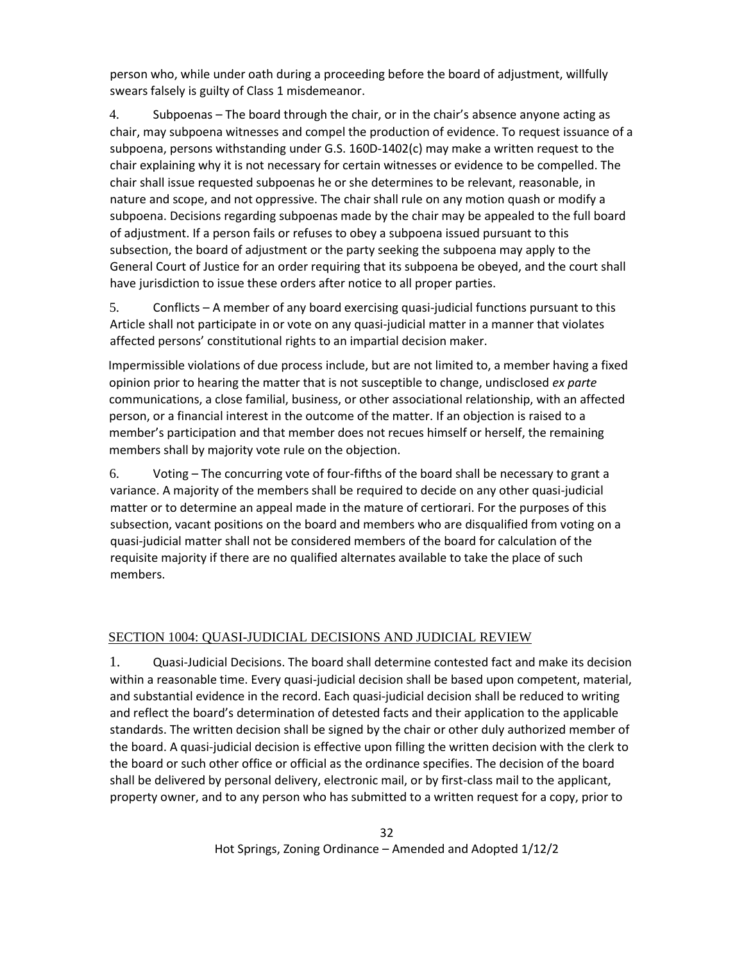person who, while under oath during a proceeding before the board of adjustment, willfully swears falsely is guilty of Class 1 misdemeanor.

4. Subpoenas – The board through the chair, or in the chair's absence anyone acting as chair, may subpoena witnesses and compel the production of evidence. To request issuance of a subpoena, persons withstanding under G.S. 160D-1402(c) may make a written request to the chair explaining why it is not necessary for certain witnesses or evidence to be compelled. The chair shall issue requested subpoenas he or she determines to be relevant, reasonable, in nature and scope, and not oppressive. The chair shall rule on any motion quash or modify a subpoena. Decisions regarding subpoenas made by the chair may be appealed to the full board of adjustment. If a person fails or refuses to obey a subpoena issued pursuant to this subsection, the board of adjustment or the party seeking the subpoena may apply to the General Court of Justice for an order requiring that its subpoena be obeyed, and the court shall have jurisdiction to issue these orders after notice to all proper parties.

5. Conflicts – A member of any board exercising quasi-judicial functions pursuant to this Article shall not participate in or vote on any quasi-judicial matter in a manner that violates affected persons' constitutional rights to an impartial decision maker.

Impermissible violations of due process include, but are not limited to, a member having a fixed opinion prior to hearing the matter that is not susceptible to change, undisclosed *ex parte* communications, a close familial, business, or other associational relationship, with an affected person, or a financial interest in the outcome of the matter. If an objection is raised to a member's participation and that member does not recues himself or herself, the remaining members shall by majority vote rule on the objection.

6. Voting – The concurring vote of four-fifths of the board shall be necessary to grant a variance. A majority of the members shall be required to decide on any other quasi-judicial matter or to determine an appeal made in the mature of certiorari. For the purposes of this subsection, vacant positions on the board and members who are disqualified from voting on a quasi-judicial matter shall not be considered members of the board for calculation of the requisite majority if there are no qualified alternates available to take the place of such members.

### SECTION 1004: QUASI-JUDICIAL DECISIONS AND JUDICIAL REVIEW

1. Quasi-Judicial Decisions. The board shall determine contested fact and make its decision within a reasonable time. Every quasi-judicial decision shall be based upon competent, material, and substantial evidence in the record. Each quasi-judicial decision shall be reduced to writing and reflect the board's determination of detested facts and their application to the applicable standards. The written decision shall be signed by the chair or other duly authorized member of the board. A quasi-judicial decision is effective upon filling the written decision with the clerk to the board or such other office or official as the ordinance specifies. The decision of the board shall be delivered by personal delivery, electronic mail, or by first-class mail to the applicant, property owner, and to any person who has submitted to a written request for a copy, prior to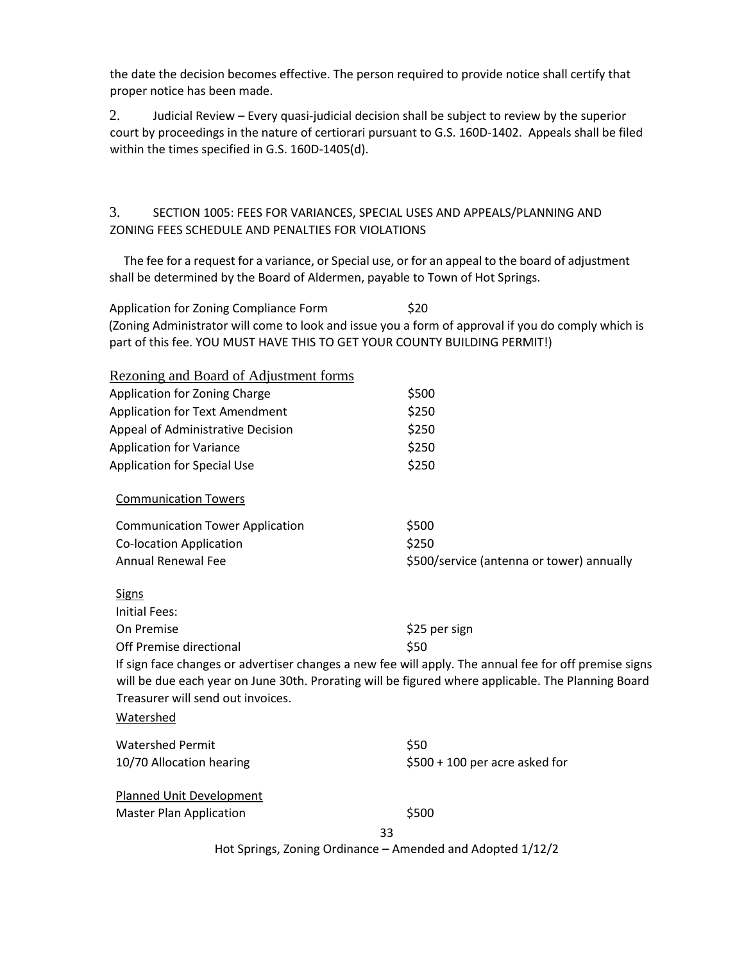the date the decision becomes effective. The person required to provide notice shall certify that proper notice has been made.

2. Judicial Review – Every quasi-judicial decision shall be subject to review by the superior court by proceedings in the nature of certiorari pursuant to G.S. 160D-1402. Appeals shall be filed within the times specified in G.S. 160D-1405(d).

### 3. SECTION 1005: FEES FOR VARIANCES, SPECIAL USES AND APPEALS/PLANNING AND ZONING FEES SCHEDULE AND PENALTIES FOR VIOLATIONS

 The fee for a request for a variance, or Special use, or for an appeal to the board of adjustment shall be determined by the Board of Aldermen, payable to Town of Hot Springs.

Application for Zoning Compliance Form \$20 (Zoning Administrator will come to look and issue you a form of approval if you do comply which is part of this fee. YOU MUST HAVE THIS TO GET YOUR COUNTY BUILDING PERMIT!)

| Rezoning and Board of Adjustment forms |                                                                                                                                                                                                             |
|----------------------------------------|-------------------------------------------------------------------------------------------------------------------------------------------------------------------------------------------------------------|
| Application for Zoning Charge          | \$500                                                                                                                                                                                                       |
| <b>Application for Text Amendment</b>  | \$250                                                                                                                                                                                                       |
| Appeal of Administrative Decision      | \$250                                                                                                                                                                                                       |
| <b>Application for Variance</b>        | \$250                                                                                                                                                                                                       |
| <b>Application for Special Use</b>     | \$250                                                                                                                                                                                                       |
| <b>Communication Towers</b>            |                                                                                                                                                                                                             |
| <b>Communication Tower Application</b> | \$500                                                                                                                                                                                                       |
| <b>Co-location Application</b>         | \$250                                                                                                                                                                                                       |
| <b>Annual Renewal Fee</b>              | \$500/service (antenna or tower) annually                                                                                                                                                                   |
| <b>Signs</b>                           |                                                                                                                                                                                                             |
| <b>Initial Fees:</b>                   |                                                                                                                                                                                                             |
| On Premise                             | \$25 per sign                                                                                                                                                                                               |
| Off Premise directional                | \$50                                                                                                                                                                                                        |
| Treasurer will send out invoices.      | If sign face changes or advertiser changes a new fee will apply. The annual fee for off premise signs<br>will be due each year on June 30th. Prorating will be figured where applicable. The Planning Board |
| Watershed                              |                                                                                                                                                                                                             |
| <b>Watershed Permit</b>                | \$50                                                                                                                                                                                                        |
| 10/70 Allocation hearing               | $$500 + 100$ per acre asked for                                                                                                                                                                             |
| <b>Planned Unit Development</b>        |                                                                                                                                                                                                             |
| <b>Master Plan Application</b>         | \$500                                                                                                                                                                                                       |
|                                        | 33                                                                                                                                                                                                          |
|                                        | Hot Springs, Zoning Ordinance - Amended and Adopted 1/12/2                                                                                                                                                  |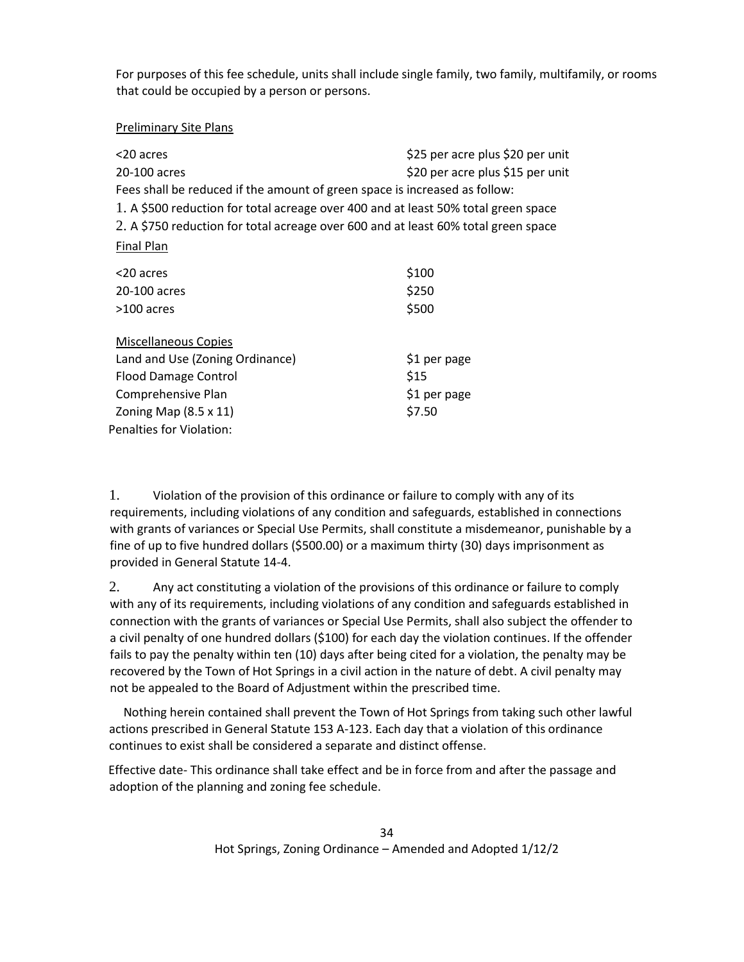For purposes of this fee schedule, units shall include single family, two family, multifamily, or rooms that could be occupied by a person or persons.

### Preliminary Site Plans

| <20 acres<br>20-100 acres                                                          | \$25 per acre plus \$20 per unit<br>\$20 per acre plus \$15 per unit |  |  |  |
|------------------------------------------------------------------------------------|----------------------------------------------------------------------|--|--|--|
| Fees shall be reduced if the amount of green space is increased as follow:         |                                                                      |  |  |  |
| 1. A \$500 reduction for total acreage over 400 and at least 50% total green space |                                                                      |  |  |  |
| 2. A \$750 reduction for total acreage over 600 and at least 60% total green space |                                                                      |  |  |  |
| Final Plan                                                                         |                                                                      |  |  |  |
| <20 acres                                                                          | \$100                                                                |  |  |  |
| 20-100 acres                                                                       | \$250                                                                |  |  |  |
| >100 acres                                                                         | \$500                                                                |  |  |  |
| <b>Miscellaneous Copies</b>                                                        |                                                                      |  |  |  |
| Land and Use (Zoning Ordinance)                                                    | \$1 per page                                                         |  |  |  |
| <b>Flood Damage Control</b>                                                        | \$15                                                                 |  |  |  |
| Comprehensive Plan                                                                 | \$1 per page                                                         |  |  |  |
| Zoning Map $(8.5 \times 11)$                                                       | \$7.50                                                               |  |  |  |
| Penalties for Violation:                                                           |                                                                      |  |  |  |

1. Violation of the provision of this ordinance or failure to comply with any of its requirements, including violations of any condition and safeguards, established in connections with grants of variances or Special Use Permits, shall constitute a misdemeanor, punishable by a fine of up to five hundred dollars (\$500.00) or a maximum thirty (30) days imprisonment as provided in General Statute 14-4.

2. Any act constituting a violation of the provisions of this ordinance or failure to comply with any of its requirements, including violations of any condition and safeguards established in connection with the grants of variances or Special Use Permits, shall also subject the offender to a civil penalty of one hundred dollars (\$100) for each day the violation continues. If the offender fails to pay the penalty within ten (10) days after being cited for a violation, the penalty may be recovered by the Town of Hot Springs in a civil action in the nature of debt. A civil penalty may not be appealed to the Board of Adjustment within the prescribed time.

 Nothing herein contained shall prevent the Town of Hot Springs from taking such other lawful actions prescribed in General Statute 153 A-123. Each day that a violation of this ordinance continues to exist shall be considered a separate and distinct offense.

Effective date- This ordinance shall take effect and be in force from and after the passage and adoption of the planning and zoning fee schedule.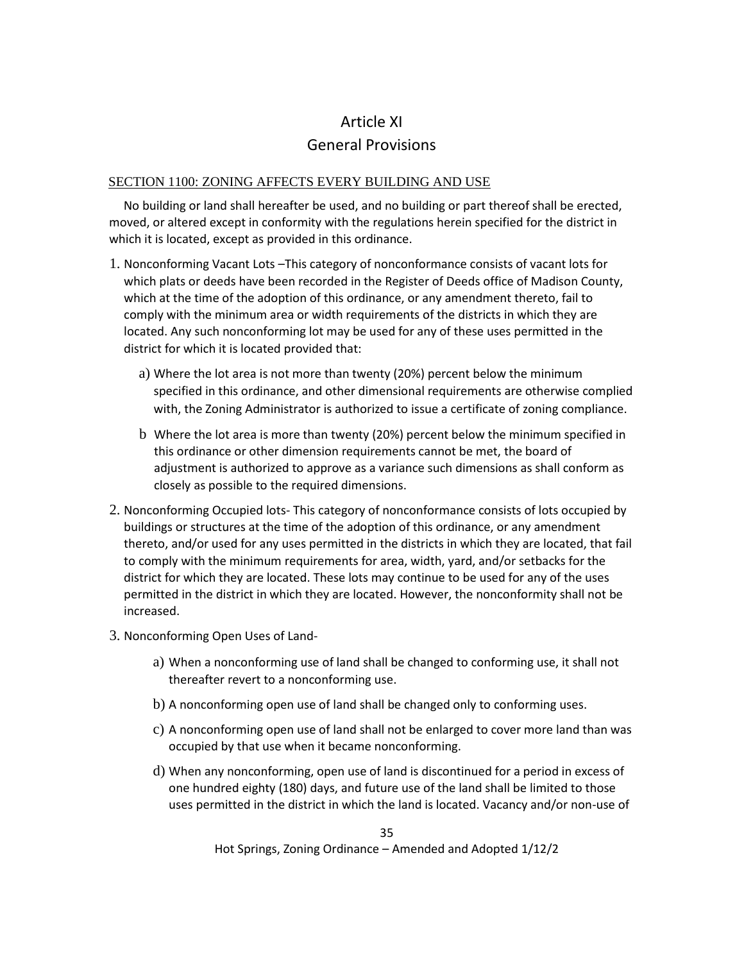# Article XI General Provisions

### SECTION 1100: ZONING AFFECTS EVERY BUILDING AND USE

 No building or land shall hereafter be used, and no building or part thereof shall be erected, moved, or altered except in conformity with the regulations herein specified for the district in which it is located, except as provided in this ordinance.

- 1. Nonconforming Vacant Lots –This category of nonconformance consists of vacant lots for which plats or deeds have been recorded in the Register of Deeds office of Madison County, which at the time of the adoption of this ordinance, or any amendment thereto, fail to comply with the minimum area or width requirements of the districts in which they are located. Any such nonconforming lot may be used for any of these uses permitted in the district for which it is located provided that:
	- a) Where the lot area is not more than twenty (20%) percent below the minimum specified in this ordinance, and other dimensional requirements are otherwise complied with, the Zoning Administrator is authorized to issue a certificate of zoning compliance.
	- b Where the lot area is more than twenty (20%) percent below the minimum specified in this ordinance or other dimension requirements cannot be met, the board of adjustment is authorized to approve as a variance such dimensions as shall conform as closely as possible to the required dimensions.
- 2. Nonconforming Occupied lots- This category of nonconformance consists of lots occupied by buildings or structures at the time of the adoption of this ordinance, or any amendment thereto, and/or used for any uses permitted in the districts in which they are located, that fail to comply with the minimum requirements for area, width, yard, and/or setbacks for the district for which they are located. These lots may continue to be used for any of the uses permitted in the district in which they are located. However, the nonconformity shall not be increased.
- 3. Nonconforming Open Uses of Land
	- a) When a nonconforming use of land shall be changed to conforming use, it shall not thereafter revert to a nonconforming use.
	- b) A nonconforming open use of land shall be changed only to conforming uses.
	- c) A nonconforming open use of land shall not be enlarged to cover more land than was occupied by that use when it became nonconforming.
	- d) When any nonconforming, open use of land is discontinued for a period in excess of one hundred eighty (180) days, and future use of the land shall be limited to those uses permitted in the district in which the land is located. Vacancy and/or non-use of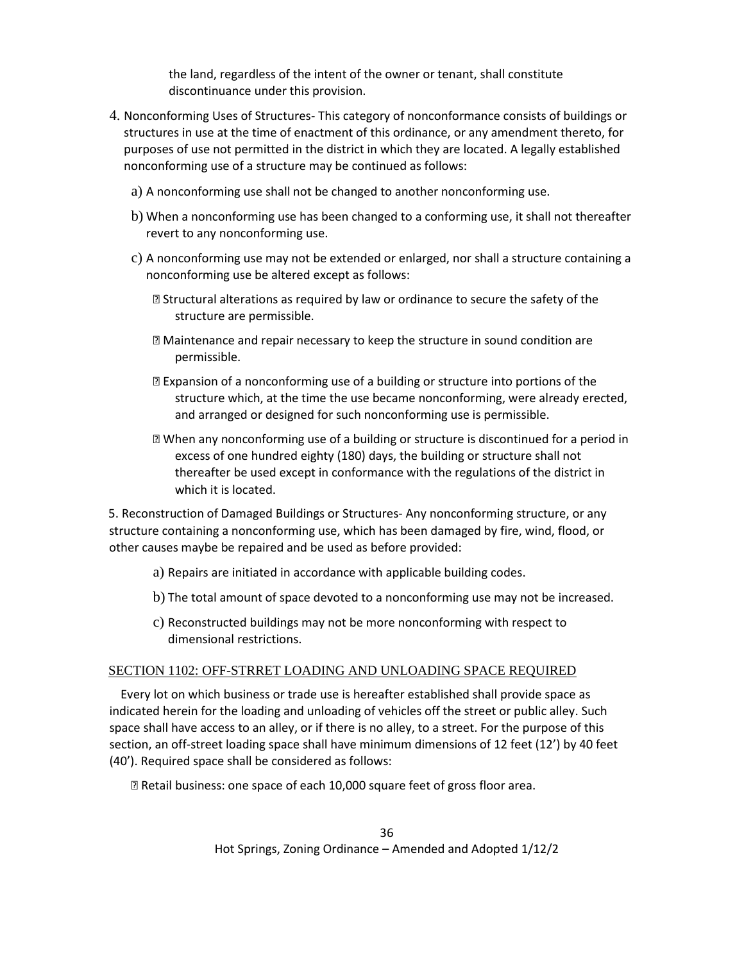the land, regardless of the intent of the owner or tenant, shall constitute discontinuance under this provision.

- 4. Nonconforming Uses of Structures- This category of nonconformance consists of buildings or structures in use at the time of enactment of this ordinance, or any amendment thereto, for purposes of use not permitted in the district in which they are located. A legally established nonconforming use of a structure may be continued as follows:
	- a) A nonconforming use shall not be changed to another nonconforming use.
	- b) When a nonconforming use has been changed to a conforming use, it shall not thereafter revert to any nonconforming use.
	- c) A nonconforming use may not be extended or enlarged, nor shall a structure containing a nonconforming use be altered except as follows:
		- **sqrt8 Structural alterations as required by law or ordinance to secure the safety of the** structure are permissible.
		- ⦁ Maintenance and repair necessary to keep the structure in sound condition are permissible.
		- ⦁ Expansion of a nonconforming use of a building or structure into portions of the structure which, at the time the use became nonconforming, were already erected, and arranged or designed for such nonconforming use is permissible.
		- ⦁ When any nonconforming use of a building or structure is discontinued for a period in excess of one hundred eighty (180) days, the building or structure shall not thereafter be used except in conformance with the regulations of the district in which it is located.

5. Reconstruction of Damaged Buildings or Structures- Any nonconforming structure, or any structure containing a nonconforming use, which has been damaged by fire, wind, flood, or other causes maybe be repaired and be used as before provided:

- a) Repairs are initiated in accordance with applicable building codes.
- b) The total amount of space devoted to a nonconforming use may not be increased.
- c) Reconstructed buildings may not be more nonconforming with respect to dimensional restrictions.

### SECTION 1102: OFF-STRRET LOADING AND UNLOADING SPACE REQUIRED

 Every lot on which business or trade use is hereafter established shall provide space as indicated herein for the loading and unloading of vehicles off the street or public alley. Such space shall have access to an alley, or if there is no alley, to a street. For the purpose of this section, an off-street loading space shall have minimum dimensions of 12 feet (12') by 40 feet (40'). Required space shall be considered as follows:

⦁ Retail business: one space of each 10,000 square feet of gross floor area.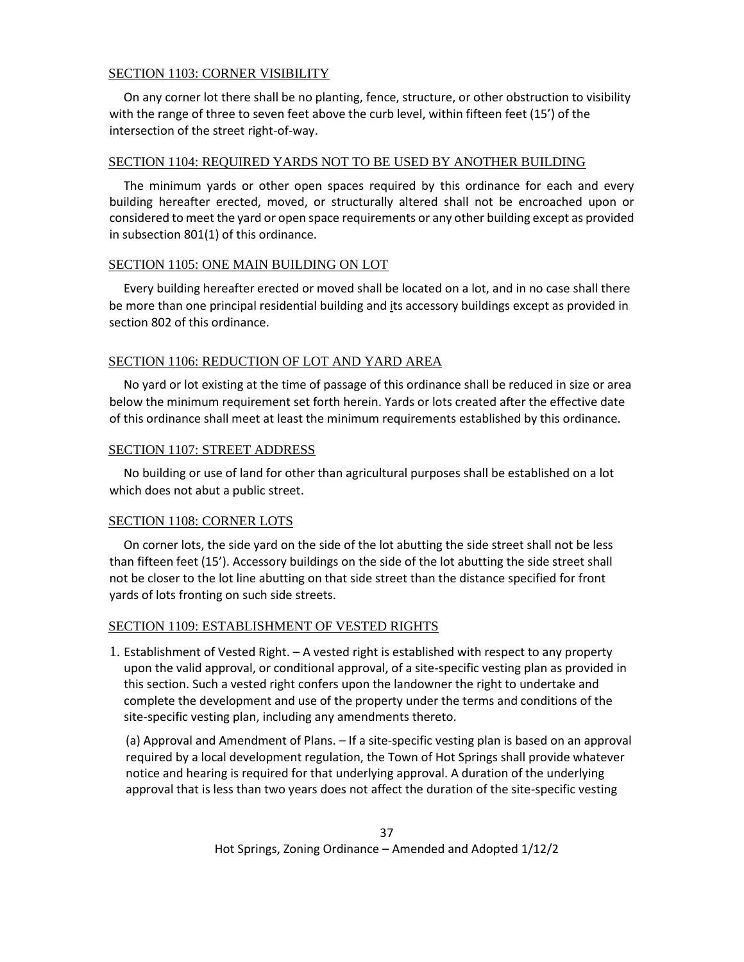## SECTION 1103: CORNER VISIBILITY

 On any corner lot there shall be no planting, fence, structure, or other obstruction to visibility with the range of three to seven feet above the curb level, within fifteen feet (15') of the intersection of the street right-of-way.

#### SECTION 1104: REQUIRED YARDS NOT TO BE USED BY ANOTHER BUILDING

 The minimum yards or other open spaces required by this ordinance for each and every building hereafter erected, moved, or structurally altered shall not be encroached upon or considered to meet the yard or open space requirements or any other building except as provided in subsection 801(1) of this ordinance.

## SECTION 1105: ONE MAIN BUILDING ON LOT

 Every building hereafter erected or moved shall be located on a lot, and in no case shall there be more than one principal residential building and its accessory buildings except as provided in section 802 of this ordinance.

## SECTION 1106: REDUCTION OF LOT AND YARD AREA

 No yard or lot existing at the time of passage of this ordinance shall be reduced in size or area below the minimum requirement set forth herein. Yards or lots created after the effective date of this ordinance shall meet at least the minimum requirements established by this ordinance.

## SECTION 1107: STREET ADDRESS

 No building or use of land for other than agricultural purposes shall be established on a lot which does not abut a public street.

## SECTION 1108: CORNER LOTS

 On corner lots, the side yard on the side of the lot abutting the side street shall not be less than fifteen feet (15'). Accessory buildings on the side of the lot abutting the side street shall not be closer to the lot line abutting on that side street than the distance specified for front yards of lots fronting on such side streets.

## SECTION 1109: ESTABLISHMENT OF VESTED RIGHTS

1. Establishment of Vested Right. – A vested right is established with respect to any property upon the valid approval, or conditional approval, of a site-specific vesting plan as provided in this section. Such a vested right confers upon the landowner the right to undertake and complete the development and use of the property under the terms and conditions of the site-specific vesting plan, including any amendments thereto.

(a) Approval and Amendment of Plans. – If a site-specific vesting plan is based on an approval required by a local development regulation, the Town of Hot Springs shall provide whatever notice and hearing is required for that underlying approval. A duration of the underlying approval that is less than two years does not affect the duration of the site-specific vesting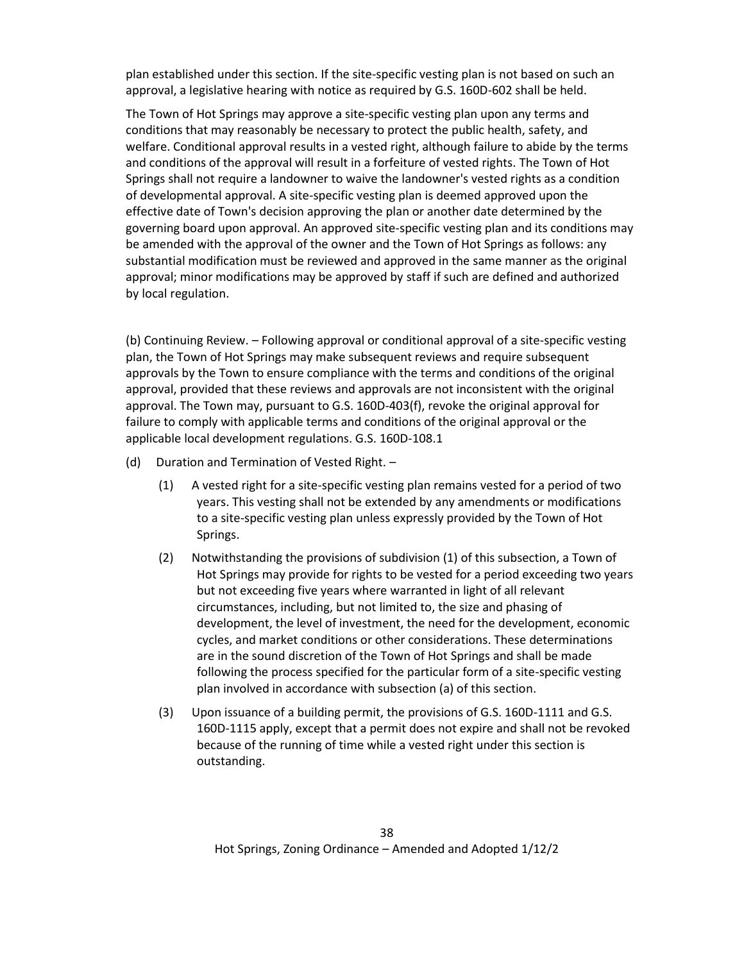plan established under this section. If the site-specific vesting plan is not based on such an approval, a legislative hearing with notice as required by G.S. 160D-602 shall be held.

The Town of Hot Springs may approve a site-specific vesting plan upon any terms and conditions that may reasonably be necessary to protect the public health, safety, and welfare. Conditional approval results in a vested right, although failure to abide by the terms and conditions of the approval will result in a forfeiture of vested rights. The Town of Hot Springs shall not require a landowner to waive the landowner's vested rights as a condition of developmental approval. A site-specific vesting plan is deemed approved upon the effective date of Town's decision approving the plan or another date determined by the governing board upon approval. An approved site-specific vesting plan and its conditions may be amended with the approval of the owner and the Town of Hot Springs as follows: any substantial modification must be reviewed and approved in the same manner as the original approval; minor modifications may be approved by staff if such are defined and authorized by local regulation.

(b) Continuing Review. – Following approval or conditional approval of a site-specific vesting plan, the Town of Hot Springs may make subsequent reviews and require subsequent approvals by the Town to ensure compliance with the terms and conditions of the original approval, provided that these reviews and approvals are not inconsistent with the original approval. The Town may, pursuant to G.S. 160D-403(f), revoke the original approval for failure to comply with applicable terms and conditions of the original approval or the applicable local development regulations. G.S. 160D-108.1

- (d) Duration and Termination of Vested Right.
	- (1) A vested right for a site-specific vesting plan remains vested for a period of two years. This vesting shall not be extended by any amendments or modifications to a site-specific vesting plan unless expressly provided by the Town of Hot Springs.
	- (2) Notwithstanding the provisions of subdivision (1) of this subsection, a Town of Hot Springs may provide for rights to be vested for a period exceeding two years but not exceeding five years where warranted in light of all relevant circumstances, including, but not limited to, the size and phasing of development, the level of investment, the need for the development, economic cycles, and market conditions or other considerations. These determinations are in the sound discretion of the Town of Hot Springs and shall be made following the process specified for the particular form of a site-specific vesting plan involved in accordance with subsection (a) of this section.
	- (3) Upon issuance of a building permit, the provisions of G.S. 160D-1111 and G.S. 160D-1115 apply, except that a permit does not expire and shall not be revoked because of the running of time while a vested right under this section is outstanding.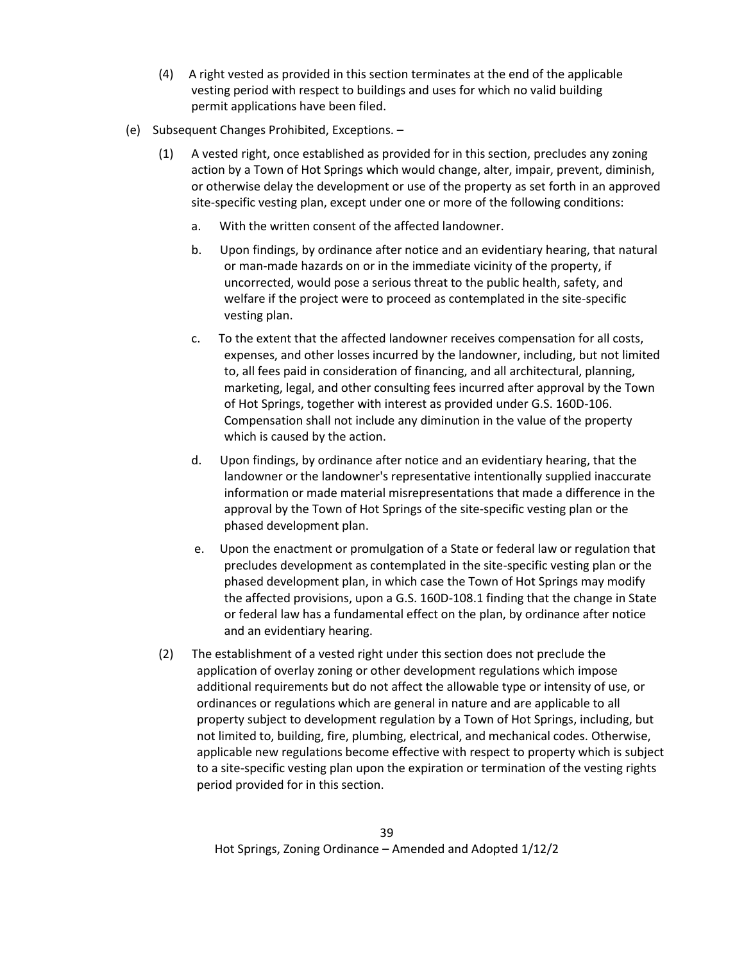- (4) A right vested as provided in this section terminates at the end of the applicable vesting period with respect to buildings and uses for which no valid building permit applications have been filed.
- (e) Subsequent Changes Prohibited, Exceptions.
	- (1) A vested right, once established as provided for in this section, precludes any zoning action by a Town of Hot Springs which would change, alter, impair, prevent, diminish, or otherwise delay the development or use of the property as set forth in an approved site-specific vesting plan, except under one or more of the following conditions:
		- a. With the written consent of the affected landowner.
		- b. Upon findings, by ordinance after notice and an evidentiary hearing, that natural or man-made hazards on or in the immediate vicinity of the property, if uncorrected, would pose a serious threat to the public health, safety, and welfare if the project were to proceed as contemplated in the site-specific vesting plan.
		- c. To the extent that the affected landowner receives compensation for all costs, expenses, and other losses incurred by the landowner, including, but not limited to, all fees paid in consideration of financing, and all architectural, planning, marketing, legal, and other consulting fees incurred after approval by the Town of Hot Springs, together with interest as provided under G.S. 160D-106. Compensation shall not include any diminution in the value of the property which is caused by the action.
		- d. Upon findings, by ordinance after notice and an evidentiary hearing, that the landowner or the landowner's representative intentionally supplied inaccurate information or made material misrepresentations that made a difference in the approval by the Town of Hot Springs of the site-specific vesting plan or the phased development plan.
		- e. Upon the enactment or promulgation of a State or federal law or regulation that precludes development as contemplated in the site-specific vesting plan or the phased development plan, in which case the Town of Hot Springs may modify the affected provisions, upon a G.S. 160D-108.1 finding that the change in State or federal law has a fundamental effect on the plan, by ordinance after notice and an evidentiary hearing.
	- (2) The establishment of a vested right under this section does not preclude the application of overlay zoning or other development regulations which impose additional requirements but do not affect the allowable type or intensity of use, or ordinances or regulations which are general in nature and are applicable to all property subject to development regulation by a Town of Hot Springs, including, but not limited to, building, fire, plumbing, electrical, and mechanical codes. Otherwise, applicable new regulations become effective with respect to property which is subject to a site-specific vesting plan upon the expiration or termination of the vesting rights period provided for in this section.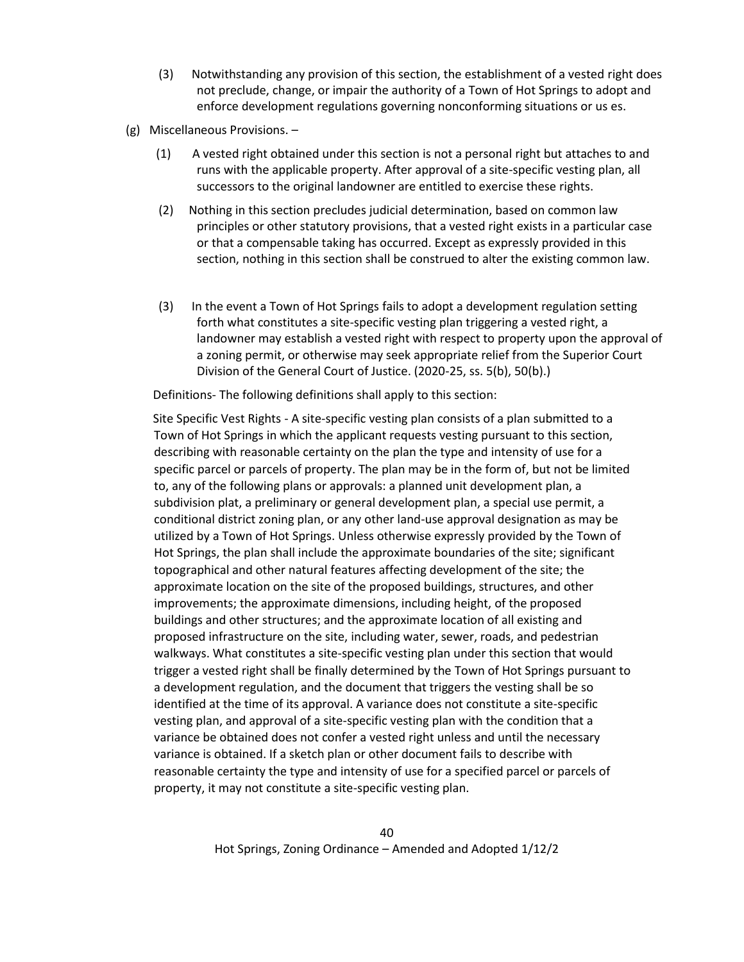- (3) Notwithstanding any provision of this section, the establishment of a vested right does not preclude, change, or impair the authority of a Town of Hot Springs to adopt and enforce development regulations governing nonconforming situations or us es.
- (g) Miscellaneous Provisions.
	- (1) A vested right obtained under this section is not a personal right but attaches to and runs with the applicable property. After approval of a site-specific vesting plan, all successors to the original landowner are entitled to exercise these rights.
	- (2) Nothing in this section precludes judicial determination, based on common law principles or other statutory provisions, that a vested right exists in a particular case or that a compensable taking has occurred. Except as expressly provided in this section, nothing in this section shall be construed to alter the existing common law.
	- (3) In the event a Town of Hot Springs fails to adopt a development regulation setting forth what constitutes a site-specific vesting plan triggering a vested right, a landowner may establish a vested right with respect to property upon the approval of a zoning permit, or otherwise may seek appropriate relief from the Superior Court Division of the General Court of Justice. (2020-25, ss. 5(b), 50(b).)

Definitions- The following definitions shall apply to this section:

Site Specific Vest Rights - A site-specific vesting plan consists of a plan submitted to a Town of Hot Springs in which the applicant requests vesting pursuant to this section, describing with reasonable certainty on the plan the type and intensity of use for a specific parcel or parcels of property. The plan may be in the form of, but not be limited to, any of the following plans or approvals: a planned unit development plan, a subdivision plat, a preliminary or general development plan, a special use permit, a conditional district zoning plan, or any other land-use approval designation as may be utilized by a Town of Hot Springs. Unless otherwise expressly provided by the Town of Hot Springs, the plan shall include the approximate boundaries of the site; significant topographical and other natural features affecting development of the site; the approximate location on the site of the proposed buildings, structures, and other improvements; the approximate dimensions, including height, of the proposed buildings and other structures; and the approximate location of all existing and proposed infrastructure on the site, including water, sewer, roads, and pedestrian walkways. What constitutes a site-specific vesting plan under this section that would trigger a vested right shall be finally determined by the Town of Hot Springs pursuant to a development regulation, and the document that triggers the vesting shall be so identified at the time of its approval. A variance does not constitute a site-specific vesting plan, and approval of a site-specific vesting plan with the condition that a variance be obtained does not confer a vested right unless and until the necessary variance is obtained. If a sketch plan or other document fails to describe with reasonable certainty the type and intensity of use for a specified parcel or parcels of property, it may not constitute a site-specific vesting plan.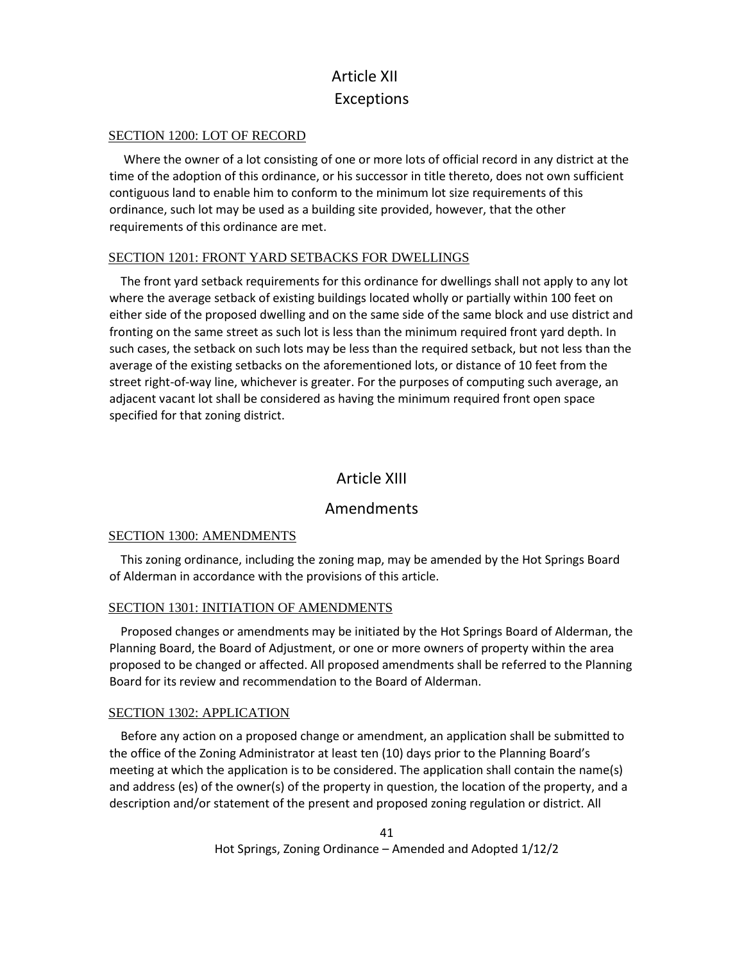## Article XII Exceptions

#### SECTION 1200: LOT OF RECORD

 Where the owner of a lot consisting of one or more lots of official record in any district at the time of the adoption of this ordinance, or his successor in title thereto, does not own sufficient contiguous land to enable him to conform to the minimum lot size requirements of this ordinance, such lot may be used as a building site provided, however, that the other requirements of this ordinance are met.

#### SECTION 1201: FRONT YARD SETBACKS FOR DWELLINGS

 The front yard setback requirements for this ordinance for dwellings shall not apply to any lot where the average setback of existing buildings located wholly or partially within 100 feet on either side of the proposed dwelling and on the same side of the same block and use district and fronting on the same street as such lot is less than the minimum required front yard depth. In such cases, the setback on such lots may be less than the required setback, but not less than the average of the existing setbacks on the aforementioned lots, or distance of 10 feet from the street right-of-way line, whichever is greater. For the purposes of computing such average, an adjacent vacant lot shall be considered as having the minimum required front open space specified for that zoning district.

## Article XIII

## Amendments

#### SECTION 1300: AMENDMENTS

 This zoning ordinance, including the zoning map, may be amended by the Hot Springs Board of Alderman in accordance with the provisions of this article.

## SECTION 1301: INITIATION OF AMENDMENTS

 Proposed changes or amendments may be initiated by the Hot Springs Board of Alderman, the Planning Board, the Board of Adjustment, or one or more owners of property within the area proposed to be changed or affected. All proposed amendments shall be referred to the Planning Board for its review and recommendation to the Board of Alderman.

## SECTION 1302: APPLICATION

 Before any action on a proposed change or amendment, an application shall be submitted to the office of the Zoning Administrator at least ten (10) days prior to the Planning Board's meeting at which the application is to be considered. The application shall contain the name(s) and address (es) of the owner(s) of the property in question, the location of the property, and a description and/or statement of the present and proposed zoning regulation or district. All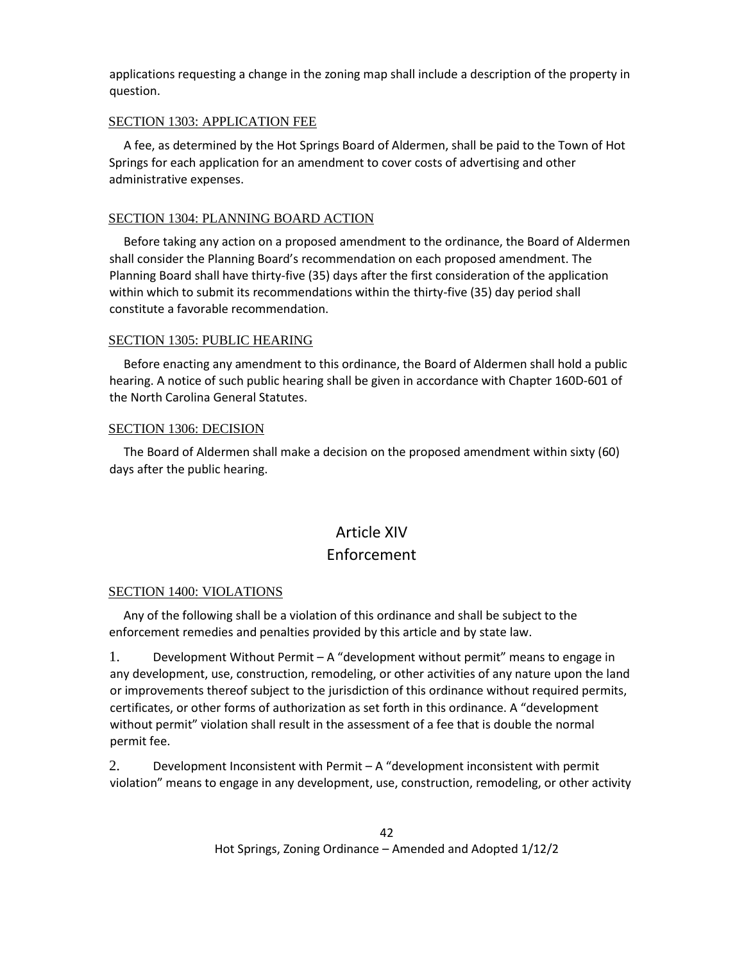applications requesting a change in the zoning map shall include a description of the property in question.

#### SECTION 1303: APPLICATION FEE

 A fee, as determined by the Hot Springs Board of Aldermen, shall be paid to the Town of Hot Springs for each application for an amendment to cover costs of advertising and other administrative expenses.

## SECTION 1304: PLANNING BOARD ACTION

 Before taking any action on a proposed amendment to the ordinance, the Board of Aldermen shall consider the Planning Board's recommendation on each proposed amendment. The Planning Board shall have thirty-five (35) days after the first consideration of the application within which to submit its recommendations within the thirty-five (35) day period shall constitute a favorable recommendation.

## SECTION 1305: PUBLIC HEARING

 Before enacting any amendment to this ordinance, the Board of Aldermen shall hold a public hearing. A notice of such public hearing shall be given in accordance with Chapter 160D-601 of the North Carolina General Statutes.

## SECTION 1306: DECISION

 The Board of Aldermen shall make a decision on the proposed amendment within sixty (60) days after the public hearing.

# Article XIV

## Enforcement

## SECTION 1400: VIOLATIONS

 Any of the following shall be a violation of this ordinance and shall be subject to the enforcement remedies and penalties provided by this article and by state law.

1. Development Without Permit – A "development without permit" means to engage in any development, use, construction, remodeling, or other activities of any nature upon the land or improvements thereof subject to the jurisdiction of this ordinance without required permits, certificates, or other forms of authorization as set forth in this ordinance. A "development without permit" violation shall result in the assessment of a fee that is double the normal permit fee.

2. Development Inconsistent with Permit – A "development inconsistent with permit violation" means to engage in any development, use, construction, remodeling, or other activity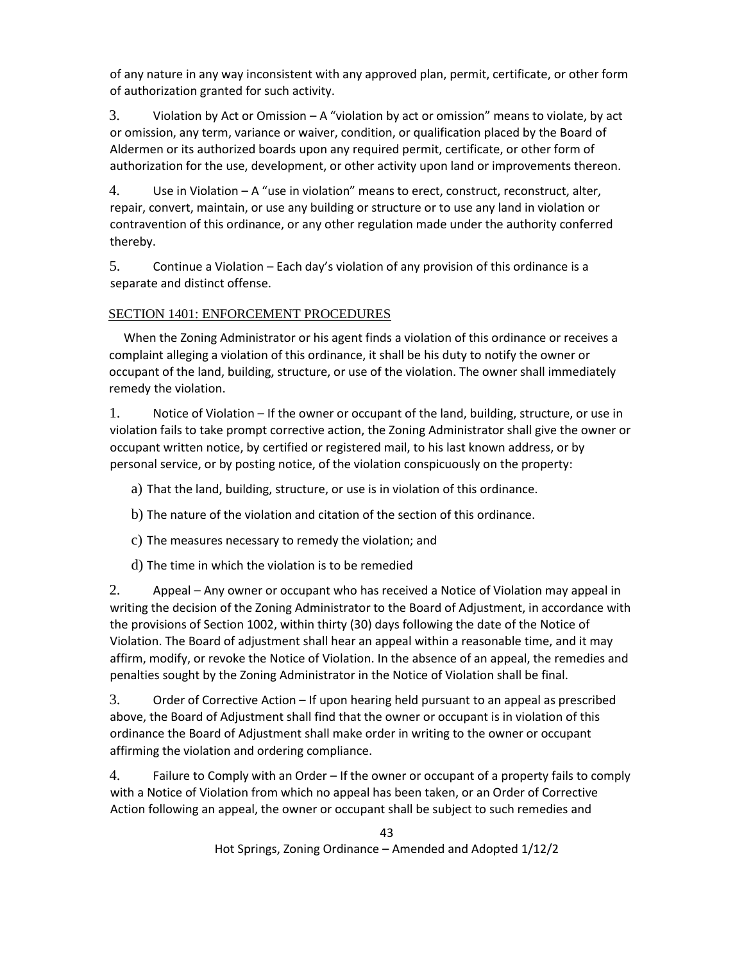of any nature in any way inconsistent with any approved plan, permit, certificate, or other form of authorization granted for such activity.

3. Violation by Act or Omission – A "violation by act or omission" means to violate, by act or omission, any term, variance or waiver, condition, or qualification placed by the Board of Aldermen or its authorized boards upon any required permit, certificate, or other form of authorization for the use, development, or other activity upon land or improvements thereon.

4. Use in Violation – A "use in violation" means to erect, construct, reconstruct, alter, repair, convert, maintain, or use any building or structure or to use any land in violation or contravention of this ordinance, or any other regulation made under the authority conferred thereby.

5. Continue a Violation – Each day's violation of any provision of this ordinance is a separate and distinct offense.

## SECTION 1401: ENFORCEMENT PROCEDURES

 When the Zoning Administrator or his agent finds a violation of this ordinance or receives a complaint alleging a violation of this ordinance, it shall be his duty to notify the owner or occupant of the land, building, structure, or use of the violation. The owner shall immediately remedy the violation.

1. Notice of Violation – If the owner or occupant of the land, building, structure, or use in violation fails to take prompt corrective action, the Zoning Administrator shall give the owner or occupant written notice, by certified or registered mail, to his last known address, or by personal service, or by posting notice, of the violation conspicuously on the property:

a) That the land, building, structure, or use is in violation of this ordinance.

b) The nature of the violation and citation of the section of this ordinance.

c) The measures necessary to remedy the violation; and

d) The time in which the violation is to be remedied

2. Appeal – Any owner or occupant who has received a Notice of Violation may appeal in writing the decision of the Zoning Administrator to the Board of Adjustment, in accordance with the provisions of Section 1002, within thirty (30) days following the date of the Notice of Violation. The Board of adjustment shall hear an appeal within a reasonable time, and it may affirm, modify, or revoke the Notice of Violation. In the absence of an appeal, the remedies and penalties sought by the Zoning Administrator in the Notice of Violation shall be final.

3. Order of Corrective Action – If upon hearing held pursuant to an appeal as prescribed above, the Board of Adjustment shall find that the owner or occupant is in violation of this ordinance the Board of Adjustment shall make order in writing to the owner or occupant affirming the violation and ordering compliance.

4. Failure to Comply with an Order – If the owner or occupant of a property fails to comply with a Notice of Violation from which no appeal has been taken, or an Order of Corrective Action following an appeal, the owner or occupant shall be subject to such remedies and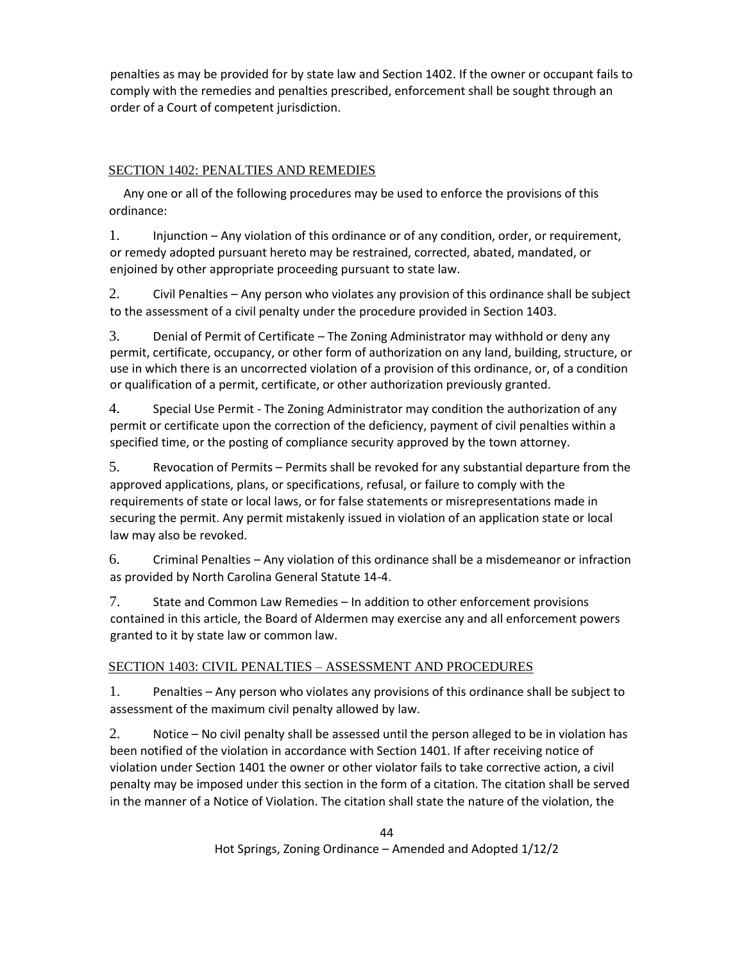penalties as may be provided for by state law and Section 1402. If the owner or occupant fails to comply with the remedies and penalties prescribed, enforcement shall be sought through an order of a Court of competent jurisdiction.

## SECTION 1402: PENALTIES AND REMEDIES

 Any one or all of the following procedures may be used to enforce the provisions of this ordinance:

1. Injunction – Any violation of this ordinance or of any condition, order, or requirement, or remedy adopted pursuant hereto may be restrained, corrected, abated, mandated, or enjoined by other appropriate proceeding pursuant to state law.

2. Civil Penalties – Any person who violates any provision of this ordinance shall be subject to the assessment of a civil penalty under the procedure provided in Section 1403.

3. Denial of Permit of Certificate – The Zoning Administrator may withhold or deny any permit, certificate, occupancy, or other form of authorization on any land, building, structure, or use in which there is an uncorrected violation of a provision of this ordinance, or, of a condition or qualification of a permit, certificate, or other authorization previously granted.

4. Special Use Permit - The Zoning Administrator may condition the authorization of any permit or certificate upon the correction of the deficiency, payment of civil penalties within a specified time, or the posting of compliance security approved by the town attorney.

5. Revocation of Permits – Permits shall be revoked for any substantial departure from the approved applications, plans, or specifications, refusal, or failure to comply with the requirements of state or local laws, or for false statements or misrepresentations made in securing the permit. Any permit mistakenly issued in violation of an application state or local law may also be revoked.

6. Criminal Penalties – Any violation of this ordinance shall be a misdemeanor or infraction as provided by North Carolina General Statute 14-4.

7. State and Common Law Remedies – In addition to other enforcement provisions contained in this article, the Board of Aldermen may exercise any and all enforcement powers granted to it by state law or common law.

## SECTION 1403: CIVIL PENALTIES – ASSESSMENT AND PROCEDURES

1. Penalties – Any person who violates any provisions of this ordinance shall be subject to assessment of the maximum civil penalty allowed by law.

2. Notice – No civil penalty shall be assessed until the person alleged to be in violation has been notified of the violation in accordance with Section 1401. If after receiving notice of violation under Section 1401 the owner or other violator fails to take corrective action, a civil penalty may be imposed under this section in the form of a citation. The citation shall be served in the manner of a Notice of Violation. The citation shall state the nature of the violation, the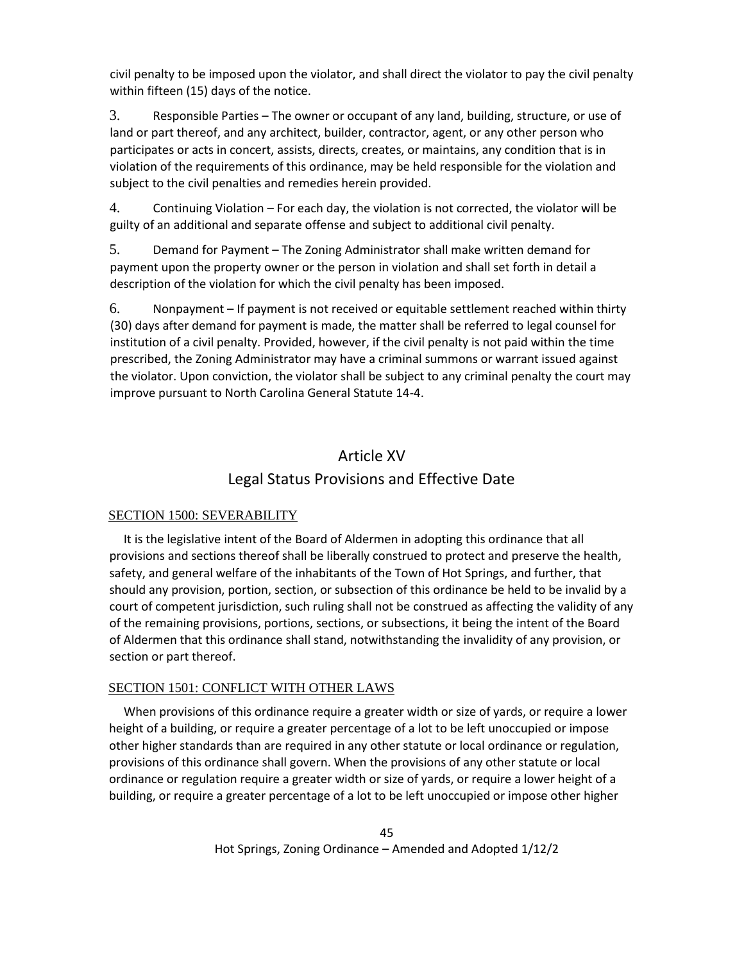civil penalty to be imposed upon the violator, and shall direct the violator to pay the civil penalty within fifteen (15) days of the notice.

3. Responsible Parties – The owner or occupant of any land, building, structure, or use of land or part thereof, and any architect, builder, contractor, agent, or any other person who participates or acts in concert, assists, directs, creates, or maintains, any condition that is in violation of the requirements of this ordinance, may be held responsible for the violation and subject to the civil penalties and remedies herein provided.

4. Continuing Violation – For each day, the violation is not corrected, the violator will be guilty of an additional and separate offense and subject to additional civil penalty.

5. Demand for Payment – The Zoning Administrator shall make written demand for payment upon the property owner or the person in violation and shall set forth in detail a description of the violation for which the civil penalty has been imposed.

6. Nonpayment – If payment is not received or equitable settlement reached within thirty (30) days after demand for payment is made, the matter shall be referred to legal counsel for institution of a civil penalty. Provided, however, if the civil penalty is not paid within the time prescribed, the Zoning Administrator may have a criminal summons or warrant issued against the violator. Upon conviction, the violator shall be subject to any criminal penalty the court may improve pursuant to North Carolina General Statute 14-4.

## Article XV Legal Status Provisions and Effective Date

## SECTION 1500: SEVERABILITY

 It is the legislative intent of the Board of Aldermen in adopting this ordinance that all provisions and sections thereof shall be liberally construed to protect and preserve the health, safety, and general welfare of the inhabitants of the Town of Hot Springs, and further, that should any provision, portion, section, or subsection of this ordinance be held to be invalid by a court of competent jurisdiction, such ruling shall not be construed as affecting the validity of any of the remaining provisions, portions, sections, or subsections, it being the intent of the Board of Aldermen that this ordinance shall stand, notwithstanding the invalidity of any provision, or section or part thereof.

## SECTION 1501: CONFLICT WITH OTHER LAWS

 When provisions of this ordinance require a greater width or size of yards, or require a lower height of a building, or require a greater percentage of a lot to be left unoccupied or impose other higher standards than are required in any other statute or local ordinance or regulation, provisions of this ordinance shall govern. When the provisions of any other statute or local ordinance or regulation require a greater width or size of yards, or require a lower height of a building, or require a greater percentage of a lot to be left unoccupied or impose other higher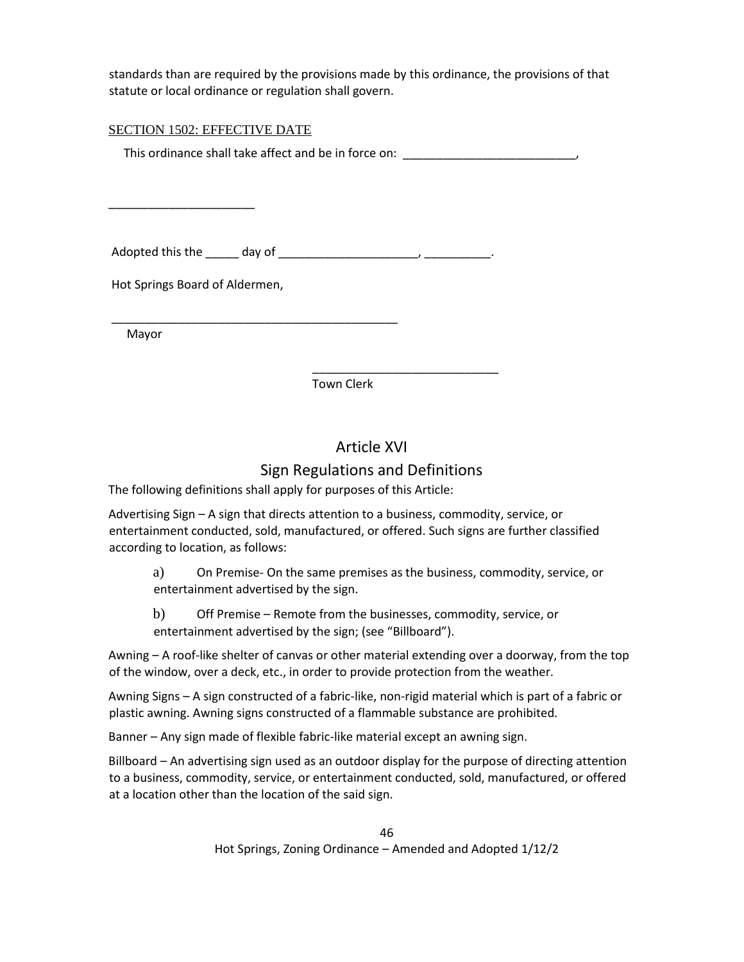standards than are required by the provisions made by this ordinance, the provisions of that statute or local ordinance or regulation shall govern.

## SECTION 1502: EFFECTIVE DATE

This ordinance shall take affect and be in force on:

Adopted this the \_\_\_\_\_ day of \_\_\_\_\_\_\_\_\_\_\_\_\_\_\_\_\_\_\_\_\_, \_\_\_\_\_\_\_\_\_\_.

Hot Springs Board of Aldermen,

\_\_\_\_\_\_\_\_\_\_\_\_\_\_\_\_\_\_\_\_\_\_

Mayor

Town Clerk

## Article XVI

\_\_\_\_\_\_\_\_\_\_\_\_\_\_\_\_\_\_\_\_\_\_\_\_\_\_\_\_

## Sign Regulations and Definitions

The following definitions shall apply for purposes of this Article:

\_\_\_\_\_\_\_\_\_\_\_\_\_\_\_\_\_\_\_\_\_\_\_\_\_\_\_\_\_\_\_\_\_\_\_\_\_\_\_\_\_\_\_

Advertising Sign – A sign that directs attention to a business, commodity, service, or entertainment conducted, sold, manufactured, or offered. Such signs are further classified according to location, as follows:

a) On Premise- On the same premises as the business, commodity, service, or entertainment advertised by the sign.

b) Off Premise – Remote from the businesses, commodity, service, or entertainment advertised by the sign; (see "Billboard").

Awning – A roof-like shelter of canvas or other material extending over a doorway, from the top of the window, over a deck, etc., in order to provide protection from the weather.

Awning Signs – A sign constructed of a fabric-like, non-rigid material which is part of a fabric or plastic awning. Awning signs constructed of a flammable substance are prohibited.

Banner – Any sign made of flexible fabric-like material except an awning sign.

Billboard – An advertising sign used as an outdoor display for the purpose of directing attention to a business, commodity, service, or entertainment conducted, sold, manufactured, or offered at a location other than the location of the said sign.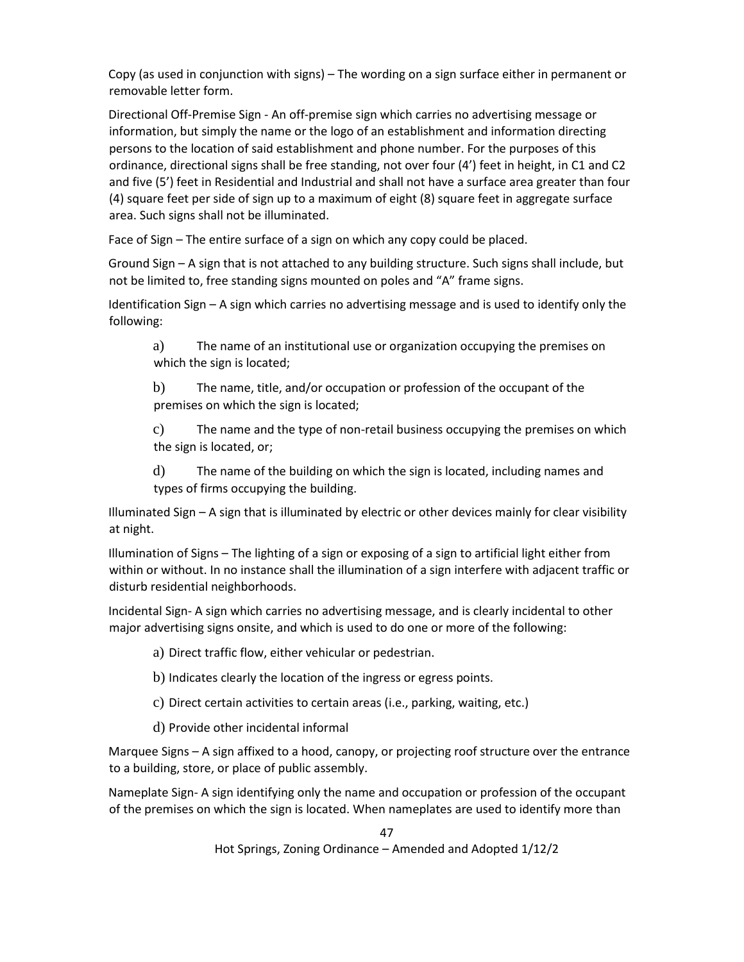Copy (as used in conjunction with signs) – The wording on a sign surface either in permanent or removable letter form.

Directional Off-Premise Sign - An off-premise sign which carries no advertising message or information, but simply the name or the logo of an establishment and information directing persons to the location of said establishment and phone number. For the purposes of this ordinance, directional signs shall be free standing, not over four (4') feet in height, in C1 and C2 and five (5') feet in Residential and Industrial and shall not have a surface area greater than four (4) square feet per side of sign up to a maximum of eight (8) square feet in aggregate surface area. Such signs shall not be illuminated.

Face of Sign – The entire surface of a sign on which any copy could be placed.

Ground Sign – A sign that is not attached to any building structure. Such signs shall include, but not be limited to, free standing signs mounted on poles and "A" frame signs.

Identification Sign – A sign which carries no advertising message and is used to identify only the following:

a) The name of an institutional use or organization occupying the premises on which the sign is located;

b) The name, title, and/or occupation or profession of the occupant of the premises on which the sign is located;

c) The name and the type of non-retail business occupying the premises on which the sign is located, or;

d) The name of the building on which the sign is located, including names and types of firms occupying the building.

Illuminated Sign – A sign that is illuminated by electric or other devices mainly for clear visibility at night.

Illumination of Signs – The lighting of a sign or exposing of a sign to artificial light either from within or without. In no instance shall the illumination of a sign interfere with adjacent traffic or disturb residential neighborhoods.

Incidental Sign- A sign which carries no advertising message, and is clearly incidental to other major advertising signs onsite, and which is used to do one or more of the following:

a) Direct traffic flow, either vehicular or pedestrian.

b) Indicates clearly the location of the ingress or egress points.

- c) Direct certain activities to certain areas (i.e., parking, waiting, etc.)
- d) Provide other incidental informal

Marquee Signs – A sign affixed to a hood, canopy, or projecting roof structure over the entrance to a building, store, or place of public assembly.

Nameplate Sign- A sign identifying only the name and occupation or profession of the occupant of the premises on which the sign is located. When nameplates are used to identify more than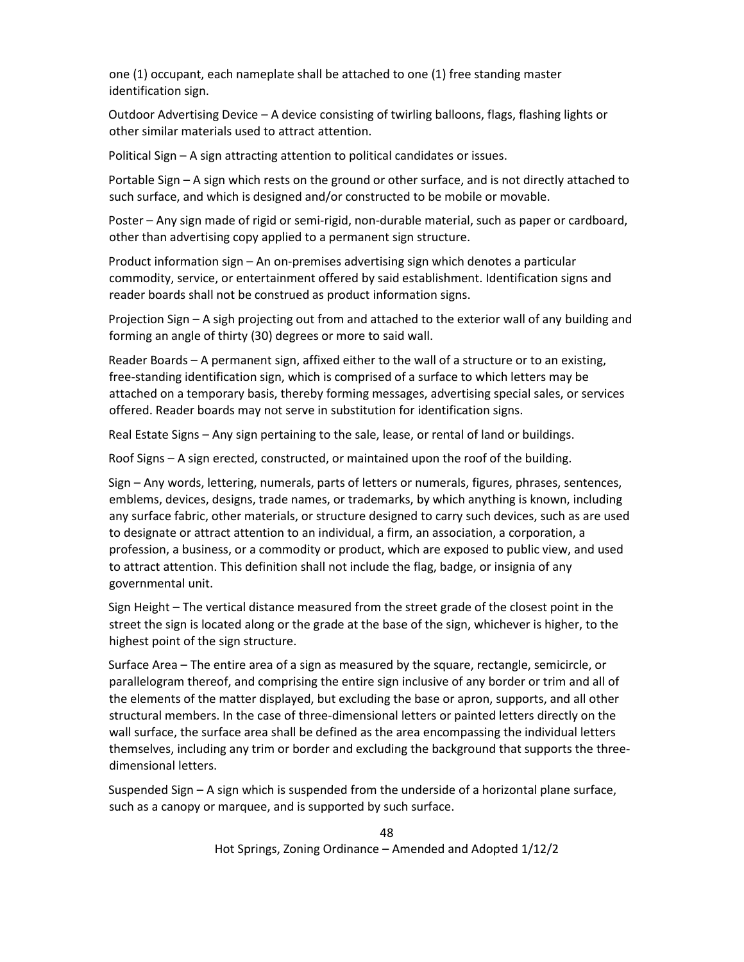one (1) occupant, each nameplate shall be attached to one (1) free standing master identification sign.

Outdoor Advertising Device – A device consisting of twirling balloons, flags, flashing lights or other similar materials used to attract attention.

Political Sign – A sign attracting attention to political candidates or issues.

Portable Sign – A sign which rests on the ground or other surface, and is not directly attached to such surface, and which is designed and/or constructed to be mobile or movable.

Poster – Any sign made of rigid or semi-rigid, non-durable material, such as paper or cardboard, other than advertising copy applied to a permanent sign structure.

Product information sign – An on-premises advertising sign which denotes a particular commodity, service, or entertainment offered by said establishment. Identification signs and reader boards shall not be construed as product information signs.

Projection Sign – A sigh projecting out from and attached to the exterior wall of any building and forming an angle of thirty (30) degrees or more to said wall.

Reader Boards – A permanent sign, affixed either to the wall of a structure or to an existing, free-standing identification sign, which is comprised of a surface to which letters may be attached on a temporary basis, thereby forming messages, advertising special sales, or services offered. Reader boards may not serve in substitution for identification signs.

Real Estate Signs – Any sign pertaining to the sale, lease, or rental of land or buildings.

Roof Signs – A sign erected, constructed, or maintained upon the roof of the building.

Sign – Any words, lettering, numerals, parts of letters or numerals, figures, phrases, sentences, emblems, devices, designs, trade names, or trademarks, by which anything is known, including any surface fabric, other materials, or structure designed to carry such devices, such as are used to designate or attract attention to an individual, a firm, an association, a corporation, a profession, a business, or a commodity or product, which are exposed to public view, and used to attract attention. This definition shall not include the flag, badge, or insignia of any governmental unit.

Sign Height – The vertical distance measured from the street grade of the closest point in the street the sign is located along or the grade at the base of the sign, whichever is higher, to the highest point of the sign structure.

Surface Area – The entire area of a sign as measured by the square, rectangle, semicircle, or parallelogram thereof, and comprising the entire sign inclusive of any border or trim and all of the elements of the matter displayed, but excluding the base or apron, supports, and all other structural members. In the case of three-dimensional letters or painted letters directly on the wall surface, the surface area shall be defined as the area encompassing the individual letters themselves, including any trim or border and excluding the background that supports the threedimensional letters.

Suspended Sign – A sign which is suspended from the underside of a horizontal plane surface, such as a canopy or marquee, and is supported by such surface.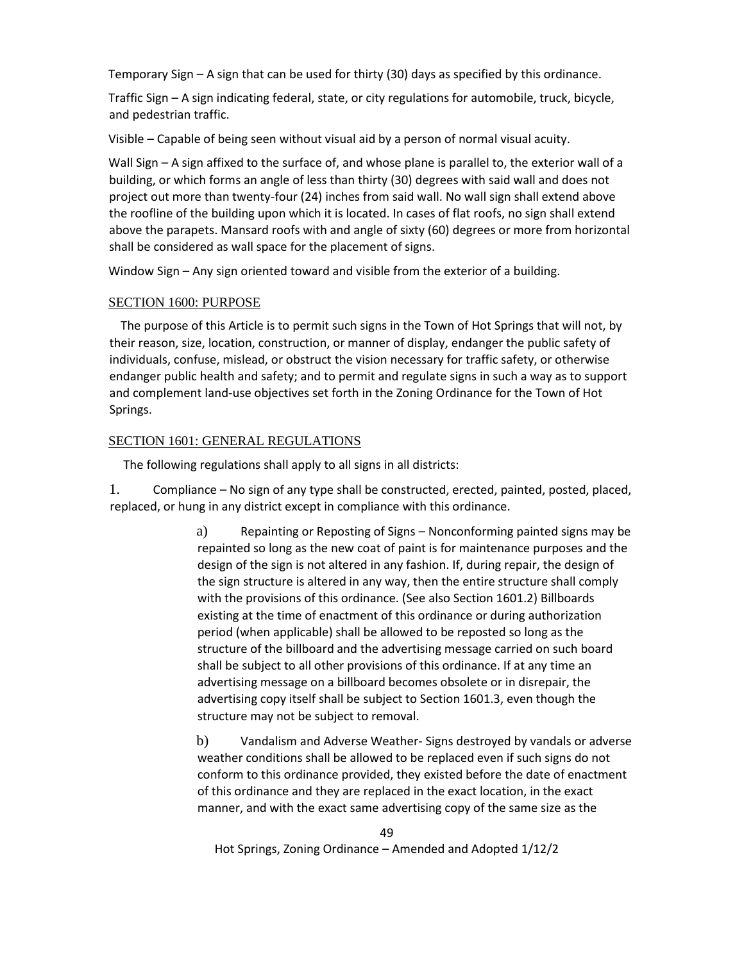Temporary Sign – A sign that can be used for thirty (30) days as specified by this ordinance.

Traffic Sign – A sign indicating federal, state, or city regulations for automobile, truck, bicycle, and pedestrian traffic.

Visible – Capable of being seen without visual aid by a person of normal visual acuity.

Wall Sign – A sign affixed to the surface of, and whose plane is parallel to, the exterior wall of a building, or which forms an angle of less than thirty (30) degrees with said wall and does not project out more than twenty-four (24) inches from said wall. No wall sign shall extend above the roofline of the building upon which it is located. In cases of flat roofs, no sign shall extend above the parapets. Mansard roofs with and angle of sixty (60) degrees or more from horizontal shall be considered as wall space for the placement of signs.

Window Sign – Any sign oriented toward and visible from the exterior of a building.

## SECTION 1600: PURPOSE

 The purpose of this Article is to permit such signs in the Town of Hot Springs that will not, by their reason, size, location, construction, or manner of display, endanger the public safety of individuals, confuse, mislead, or obstruct the vision necessary for traffic safety, or otherwise endanger public health and safety; and to permit and regulate signs in such a way as to support and complement land-use objectives set forth in the Zoning Ordinance for the Town of Hot Springs.

## SECTION 1601: GENERAL REGULATIONS

The following regulations shall apply to all signs in all districts:

1. Compliance – No sign of any type shall be constructed, erected, painted, posted, placed, replaced, or hung in any district except in compliance with this ordinance.

> a) Repainting or Reposting of Signs – Nonconforming painted signs may be repainted so long as the new coat of paint is for maintenance purposes and the design of the sign is not altered in any fashion. If, during repair, the design of the sign structure is altered in any way, then the entire structure shall comply with the provisions of this ordinance. (See also Section 1601.2) Billboards existing at the time of enactment of this ordinance or during authorization period (when applicable) shall be allowed to be reposted so long as the structure of the billboard and the advertising message carried on such board shall be subject to all other provisions of this ordinance. If at any time an advertising message on a billboard becomes obsolete or in disrepair, the advertising copy itself shall be subject to Section 1601.3, even though the structure may not be subject to removal.

> b) Vandalism and Adverse Weather- Signs destroyed by vandals or adverse weather conditions shall be allowed to be replaced even if such signs do not conform to this ordinance provided, they existed before the date of enactment of this ordinance and they are replaced in the exact location, in the exact manner, and with the exact same advertising copy of the same size as the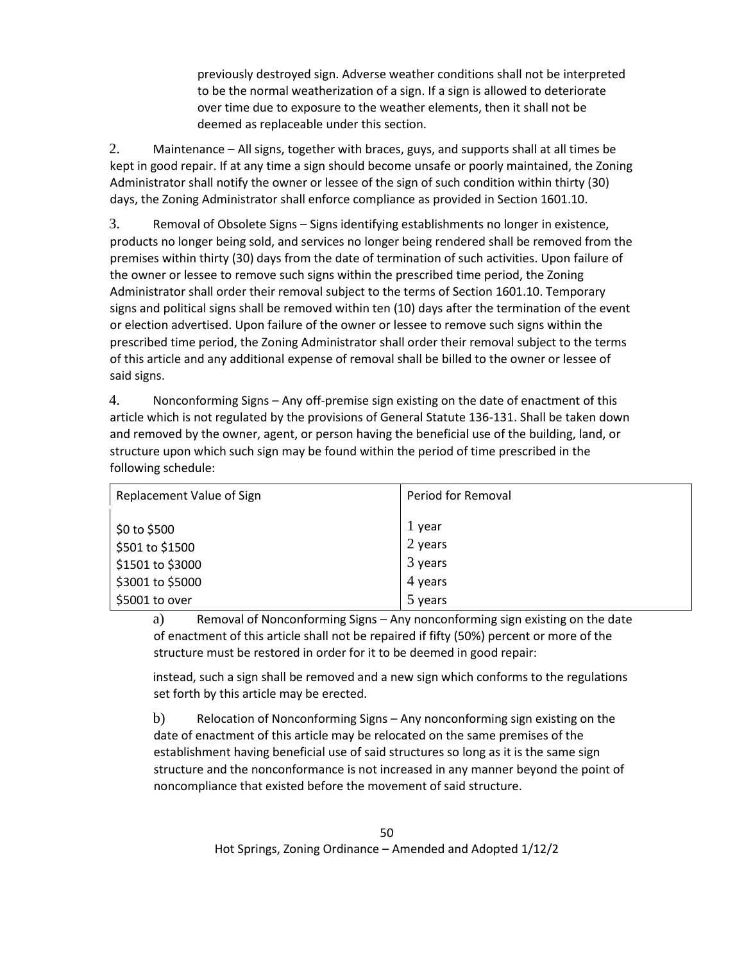previously destroyed sign. Adverse weather conditions shall not be interpreted to be the normal weatherization of a sign. If a sign is allowed to deteriorate over time due to exposure to the weather elements, then it shall not be deemed as replaceable under this section.

2. Maintenance – All signs, together with braces, guys, and supports shall at all times be kept in good repair. If at any time a sign should become unsafe or poorly maintained, the Zoning Administrator shall notify the owner or lessee of the sign of such condition within thirty (30) days, the Zoning Administrator shall enforce compliance as provided in Section 1601.10.

3. Removal of Obsolete Signs – Signs identifying establishments no longer in existence, products no longer being sold, and services no longer being rendered shall be removed from the premises within thirty (30) days from the date of termination of such activities. Upon failure of the owner or lessee to remove such signs within the prescribed time period, the Zoning Administrator shall order their removal subject to the terms of Section 1601.10. Temporary signs and political signs shall be removed within ten (10) days after the termination of the event or election advertised. Upon failure of the owner or lessee to remove such signs within the prescribed time period, the Zoning Administrator shall order their removal subject to the terms of this article and any additional expense of removal shall be billed to the owner or lessee of said signs.

4. Nonconforming Signs – Any off-premise sign existing on the date of enactment of this article which is not regulated by the provisions of General Statute 136-131. Shall be taken down and removed by the owner, agent, or person having the beneficial use of the building, land, or structure upon which such sign may be found within the period of time prescribed in the following schedule:

| Replacement Value of Sign | Period for Removal |
|---------------------------|--------------------|
|                           |                    |
| \$0 to \$500              | 1 year             |
| \$501 to \$1500           | 2 years            |
| \$1501 to \$3000          | $3$ years          |
| \$3001 to \$5000          | 4 years            |
| \$5001 to over            | 5 years            |

a) Removal of Nonconforming Signs – Any nonconforming sign existing on the date of enactment of this article shall not be repaired if fifty (50%) percent or more of the structure must be restored in order for it to be deemed in good repair:

instead, such a sign shall be removed and a new sign which conforms to the regulations set forth by this article may be erected.

b) Relocation of Nonconforming Signs – Any nonconforming sign existing on the date of enactment of this article may be relocated on the same premises of the establishment having beneficial use of said structures so long as it is the same sign structure and the nonconformance is not increased in any manner beyond the point of noncompliance that existed before the movement of said structure.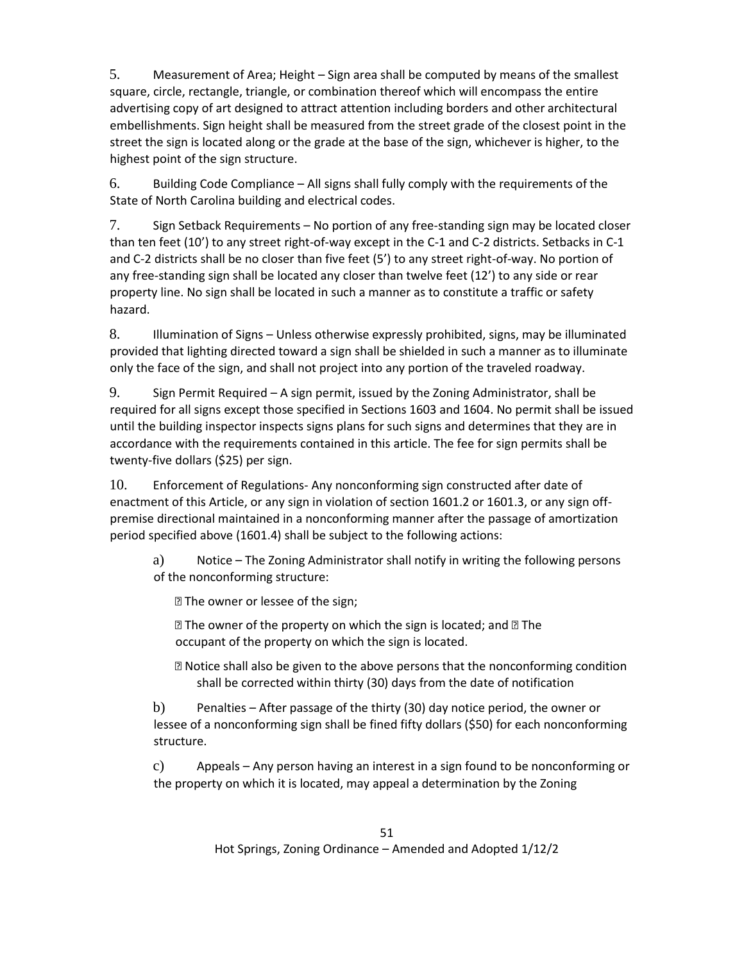5. Measurement of Area; Height – Sign area shall be computed by means of the smallest square, circle, rectangle, triangle, or combination thereof which will encompass the entire advertising copy of art designed to attract attention including borders and other architectural embellishments. Sign height shall be measured from the street grade of the closest point in the street the sign is located along or the grade at the base of the sign, whichever is higher, to the highest point of the sign structure.

6. Building Code Compliance – All signs shall fully comply with the requirements of the State of North Carolina building and electrical codes.

7. Sign Setback Requirements – No portion of any free-standing sign may be located closer than ten feet (10') to any street right-of-way except in the C-1 and C-2 districts. Setbacks in C-1 and C-2 districts shall be no closer than five feet (5') to any street right-of-way. No portion of any free-standing sign shall be located any closer than twelve feet (12') to any side or rear property line. No sign shall be located in such a manner as to constitute a traffic or safety hazard.

8. Illumination of Signs – Unless otherwise expressly prohibited, signs, may be illuminated provided that lighting directed toward a sign shall be shielded in such a manner as to illuminate only the face of the sign, and shall not project into any portion of the traveled roadway.

9. Sign Permit Required – A sign permit, issued by the Zoning Administrator, shall be required for all signs except those specified in Sections 1603 and 1604. No permit shall be issued until the building inspector inspects signs plans for such signs and determines that they are in accordance with the requirements contained in this article. The fee for sign permits shall be twenty-five dollars (\$25) per sign.

10. Enforcement of Regulations- Any nonconforming sign constructed after date of enactment of this Article, or any sign in violation of section 1601.2 or 1601.3, or any sign offpremise directional maintained in a nonconforming manner after the passage of amortization period specified above (1601.4) shall be subject to the following actions:

a) Notice – The Zoning Administrator shall notify in writing the following persons of the nonconforming structure:

**P** The owner or lessee of the sign;

 $\mathbb D$  The owner of the property on which the sign is located; and  $\mathbb D$  The occupant of the property on which the sign is located.

⦁ Notice shall also be given to the above persons that the nonconforming condition shall be corrected within thirty (30) days from the date of notification

b) Penalties – After passage of the thirty (30) day notice period, the owner or lessee of a nonconforming sign shall be fined fifty dollars (\$50) for each nonconforming structure.

c) Appeals – Any person having an interest in a sign found to be nonconforming or the property on which it is located, may appeal a determination by the Zoning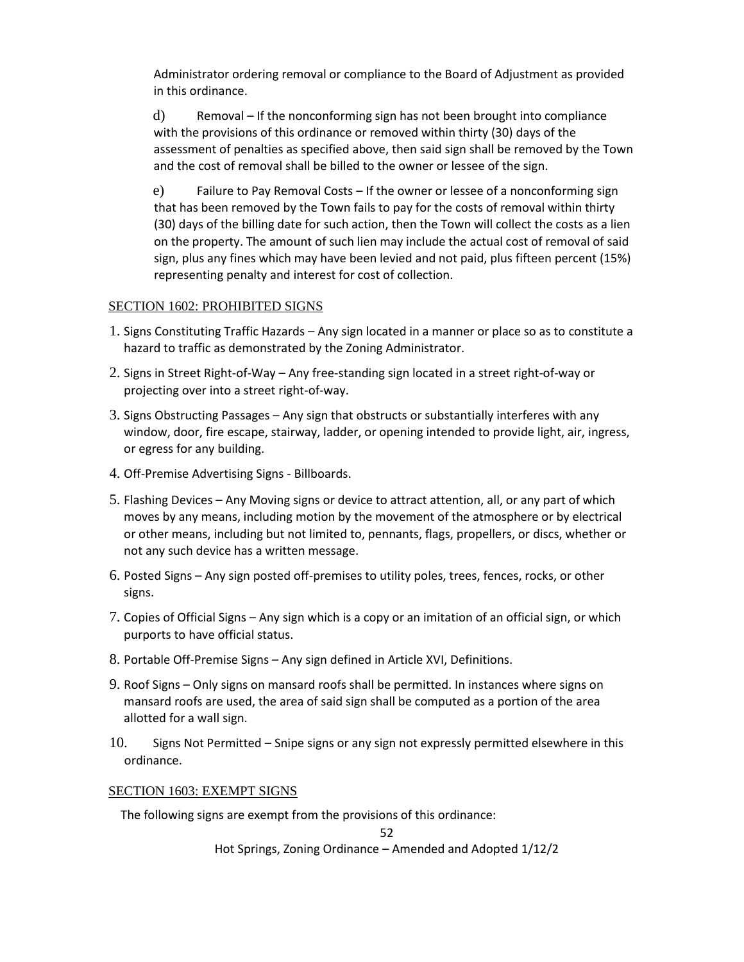Administrator ordering removal or compliance to the Board of Adjustment as provided in this ordinance.

d) Removal – If the nonconforming sign has not been brought into compliance with the provisions of this ordinance or removed within thirty (30) days of the assessment of penalties as specified above, then said sign shall be removed by the Town and the cost of removal shall be billed to the owner or lessee of the sign.

e) Failure to Pay Removal Costs – If the owner or lessee of a nonconforming sign that has been removed by the Town fails to pay for the costs of removal within thirty (30) days of the billing date for such action, then the Town will collect the costs as a lien on the property. The amount of such lien may include the actual cost of removal of said sign, plus any fines which may have been levied and not paid, plus fifteen percent (15%) representing penalty and interest for cost of collection.

## SECTION 1602: PROHIBITED SIGNS

- 1. Signs Constituting Traffic Hazards Any sign located in a manner or place so as to constitute a hazard to traffic as demonstrated by the Zoning Administrator.
- 2. Signs in Street Right-of-Way Any free-standing sign located in a street right-of-way or projecting over into a street right-of-way.
- 3. Signs Obstructing Passages Any sign that obstructs or substantially interferes with any window, door, fire escape, stairway, ladder, or opening intended to provide light, air, ingress, or egress for any building.
- 4. Off-Premise Advertising Signs Billboards.
- 5. Flashing Devices Any Moving signs or device to attract attention, all, or any part of which moves by any means, including motion by the movement of the atmosphere or by electrical or other means, including but not limited to, pennants, flags, propellers, or discs, whether or not any such device has a written message.
- 6. Posted Signs Any sign posted off-premises to utility poles, trees, fences, rocks, or other signs.
- 7. Copies of Official Signs Any sign which is a copy or an imitation of an official sign, or which purports to have official status.
- 8. Portable Off-Premise Signs Any sign defined in Article XVI, Definitions.
- 9. Roof Signs Only signs on mansard roofs shall be permitted. In instances where signs on mansard roofs are used, the area of said sign shall be computed as a portion of the area allotted for a wall sign.
- 10. Signs Not Permitted Snipe signs or any sign not expressly permitted elsewhere in this ordinance.

#### SECTION 1603: EXEMPT SIGNS

The following signs are exempt from the provisions of this ordinance:

52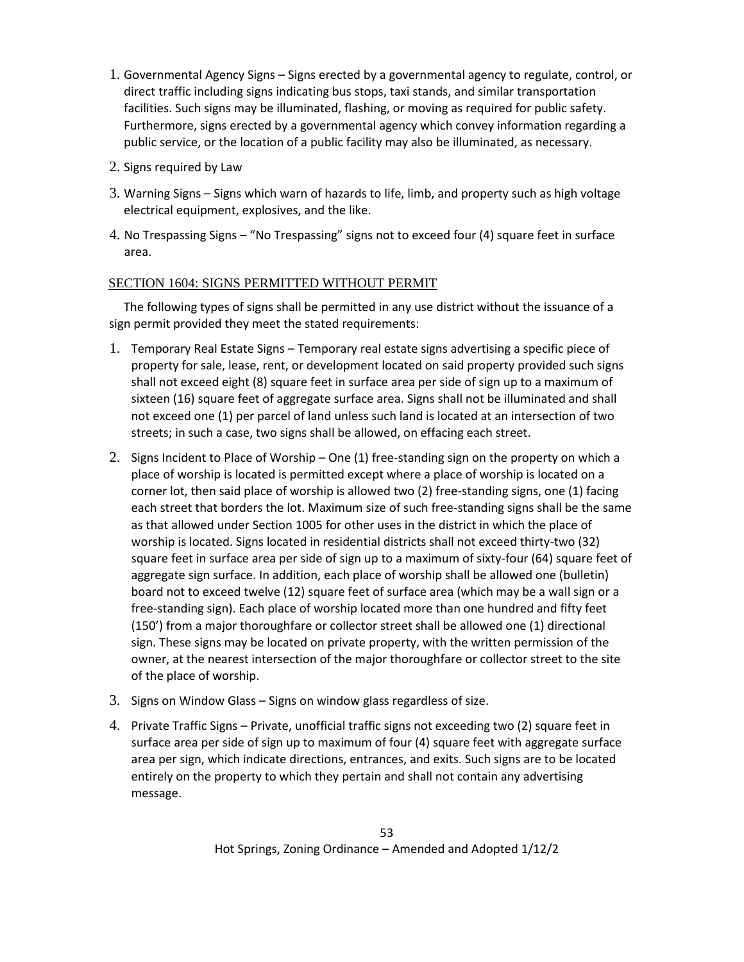- 1. Governmental Agency Signs Signs erected by a governmental agency to regulate, control, or direct traffic including signs indicating bus stops, taxi stands, and similar transportation facilities. Such signs may be illuminated, flashing, or moving as required for public safety. Furthermore, signs erected by a governmental agency which convey information regarding a public service, or the location of a public facility may also be illuminated, as necessary.
- 2. Signs required by Law
- 3. Warning Signs Signs which warn of hazards to life, limb, and property such as high voltage electrical equipment, explosives, and the like.
- 4. No Trespassing Signs "No Trespassing" signs not to exceed four (4) square feet in surface area.

## SECTION 1604: SIGNS PERMITTED WITHOUT PERMIT

 The following types of signs shall be permitted in any use district without the issuance of a sign permit provided they meet the stated requirements:

- 1. Temporary Real Estate Signs Temporary real estate signs advertising a specific piece of property for sale, lease, rent, or development located on said property provided such signs shall not exceed eight (8) square feet in surface area per side of sign up to a maximum of sixteen (16) square feet of aggregate surface area. Signs shall not be illuminated and shall not exceed one (1) per parcel of land unless such land is located at an intersection of two streets; in such a case, two signs shall be allowed, on effacing each street.
- 2. Signs Incident to Place of Worship One (1) free-standing sign on the property on which a place of worship is located is permitted except where a place of worship is located on a corner lot, then said place of worship is allowed two (2) free-standing signs, one (1) facing each street that borders the lot. Maximum size of such free-standing signs shall be the same as that allowed under Section 1005 for other uses in the district in which the place of worship is located. Signs located in residential districts shall not exceed thirty-two (32) square feet in surface area per side of sign up to a maximum of sixty-four (64) square feet of aggregate sign surface. In addition, each place of worship shall be allowed one (bulletin) board not to exceed twelve (12) square feet of surface area (which may be a wall sign or a free-standing sign). Each place of worship located more than one hundred and fifty feet (150') from a major thoroughfare or collector street shall be allowed one (1) directional sign. These signs may be located on private property, with the written permission of the owner, at the nearest intersection of the major thoroughfare or collector street to the site of the place of worship.
- 3. Signs on Window Glass Signs on window glass regardless of size.
- 4. Private Traffic Signs Private, unofficial traffic signs not exceeding two (2) square feet in surface area per side of sign up to maximum of four (4) square feet with aggregate surface area per sign, which indicate directions, entrances, and exits. Such signs are to be located entirely on the property to which they pertain and shall not contain any advertising message.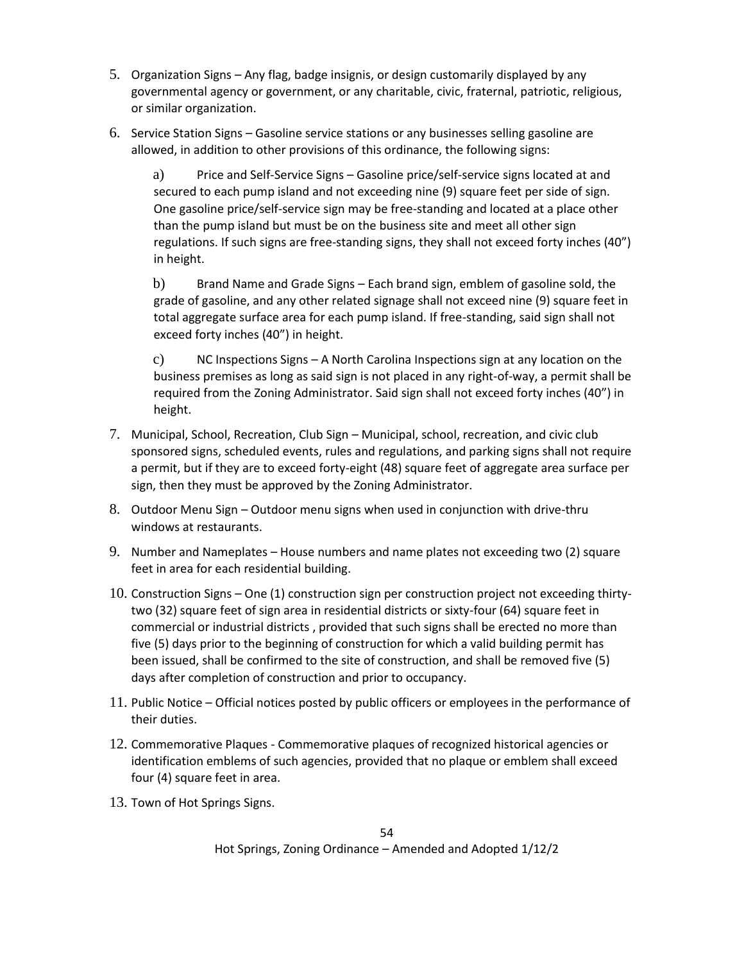- 5. Organization Signs Any flag, badge insignis, or design customarily displayed by any governmental agency or government, or any charitable, civic, fraternal, patriotic, religious, or similar organization.
- 6. Service Station Signs Gasoline service stations or any businesses selling gasoline are allowed, in addition to other provisions of this ordinance, the following signs:

a) Price and Self-Service Signs – Gasoline price/self-service signs located at and secured to each pump island and not exceeding nine (9) square feet per side of sign. One gasoline price/self-service sign may be free-standing and located at a place other than the pump island but must be on the business site and meet all other sign regulations. If such signs are free-standing signs, they shall not exceed forty inches (40") in height.

b) Brand Name and Grade Signs – Each brand sign, emblem of gasoline sold, the grade of gasoline, and any other related signage shall not exceed nine (9) square feet in total aggregate surface area for each pump island. If free-standing, said sign shall not exceed forty inches (40") in height.

c) NC Inspections Signs – A North Carolina Inspections sign at any location on the business premises as long as said sign is not placed in any right-of-way, a permit shall be required from the Zoning Administrator. Said sign shall not exceed forty inches (40") in height.

- 7. Municipal, School, Recreation, Club Sign Municipal, school, recreation, and civic club sponsored signs, scheduled events, rules and regulations, and parking signs shall not require a permit, but if they are to exceed forty-eight (48) square feet of aggregate area surface per sign, then they must be approved by the Zoning Administrator.
- 8. Outdoor Menu Sign Outdoor menu signs when used in conjunction with drive-thru windows at restaurants.
- 9. Number and Nameplates House numbers and name plates not exceeding two (2) square feet in area for each residential building.
- 10. Construction Signs One (1) construction sign per construction project not exceeding thirtytwo (32) square feet of sign area in residential districts or sixty-four (64) square feet in commercial or industrial districts , provided that such signs shall be erected no more than five (5) days prior to the beginning of construction for which a valid building permit has been issued, shall be confirmed to the site of construction, and shall be removed five (5) days after completion of construction and prior to occupancy.
- 11. Public Notice Official notices posted by public officers or employees in the performance of their duties.
- 12. Commemorative Plaques Commemorative plaques of recognized historical agencies or identification emblems of such agencies, provided that no plaque or emblem shall exceed four (4) square feet in area.
- 13. Town of Hot Springs Signs.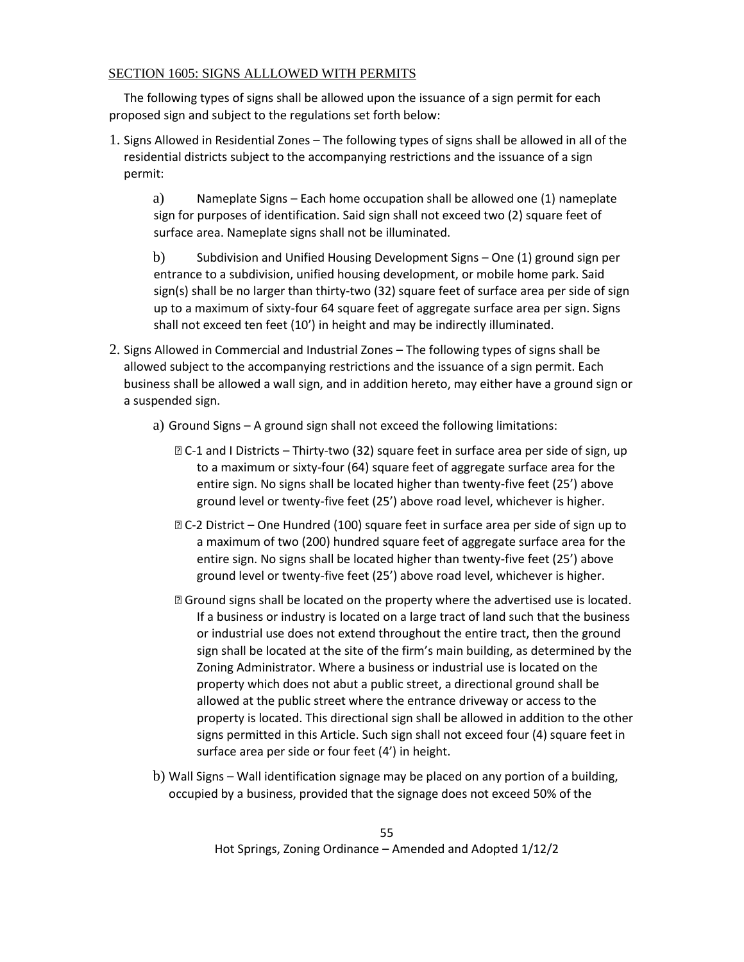## SECTION 1605: SIGNS ALLLOWED WITH PERMITS

 The following types of signs shall be allowed upon the issuance of a sign permit for each proposed sign and subject to the regulations set forth below:

1. Signs Allowed in Residential Zones – The following types of signs shall be allowed in all of the residential districts subject to the accompanying restrictions and the issuance of a sign permit:

a) Nameplate Signs – Each home occupation shall be allowed one (1) nameplate sign for purposes of identification. Said sign shall not exceed two (2) square feet of surface area. Nameplate signs shall not be illuminated.

b) Subdivision and Unified Housing Development Signs – One (1) ground sign per entrance to a subdivision, unified housing development, or mobile home park. Said sign(s) shall be no larger than thirty-two (32) square feet of surface area per side of sign up to a maximum of sixty-four 64 square feet of aggregate surface area per sign. Signs shall not exceed ten feet (10') in height and may be indirectly illuminated.

- 2. Signs Allowed in Commercial and Industrial Zones The following types of signs shall be allowed subject to the accompanying restrictions and the issuance of a sign permit. Each business shall be allowed a wall sign, and in addition hereto, may either have a ground sign or a suspended sign.
	- a) Ground Signs A ground sign shall not exceed the following limitations:
		- ⦁ C-1 and I Districts Thirty-two (32) square feet in surface area per side of sign, up to a maximum or sixty-four (64) square feet of aggregate surface area for the entire sign. No signs shall be located higher than twenty-five feet (25') above ground level or twenty-five feet (25') above road level, whichever is higher.
		- ⦁ C-2 District One Hundred (100) square feet in surface area per side of sign up to a maximum of two (200) hundred square feet of aggregate surface area for the entire sign. No signs shall be located higher than twenty-five feet (25') above ground level or twenty-five feet (25') above road level, whichever is higher.
		- ⦁ Ground signs shall be located on the property where the advertised use is located. If a business or industry is located on a large tract of land such that the business or industrial use does not extend throughout the entire tract, then the ground sign shall be located at the site of the firm's main building, as determined by the Zoning Administrator. Where a business or industrial use is located on the property which does not abut a public street, a directional ground shall be allowed at the public street where the entrance driveway or access to the property is located. This directional sign shall be allowed in addition to the other signs permitted in this Article. Such sign shall not exceed four (4) square feet in surface area per side or four feet (4') in height.
	- b) Wall Signs Wall identification signage may be placed on any portion of a building, occupied by a business, provided that the signage does not exceed 50% of the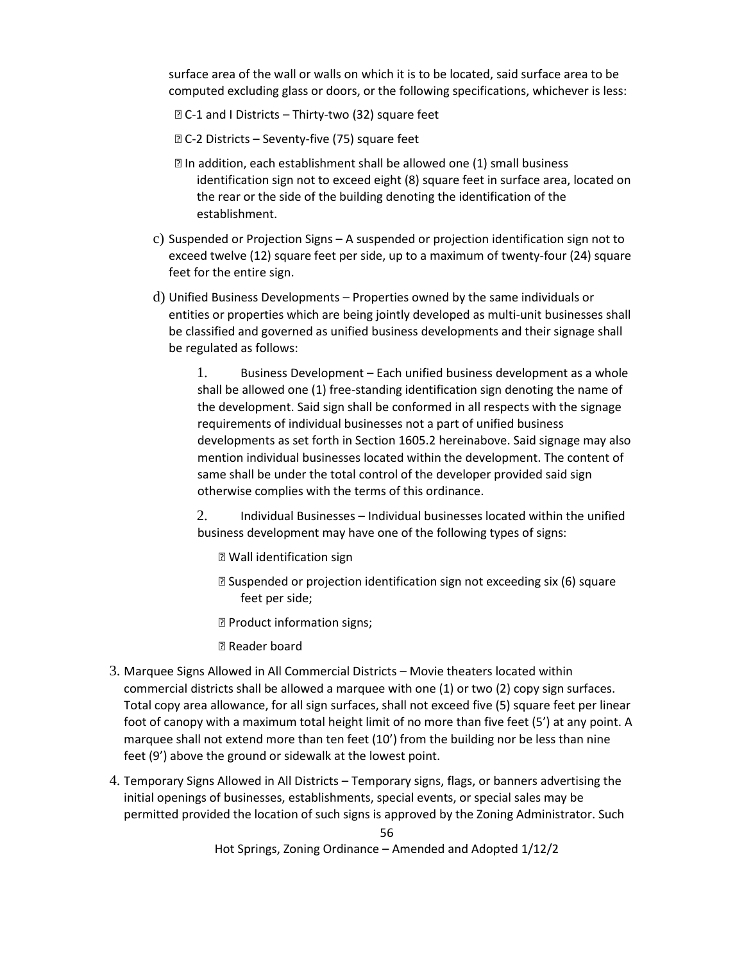surface area of the wall or walls on which it is to be located, said surface area to be computed excluding glass or doors, or the following specifications, whichever is less:

- ⦁ C-1 and I Districts Thirty-two (32) square feet
- ⦁ C-2 Districts Seventy-five (75) square feet
- ⦁ In addition, each establishment shall be allowed one (1) small business identification sign not to exceed eight (8) square feet in surface area, located on the rear or the side of the building denoting the identification of the establishment.
- c) Suspended or Projection Signs A suspended or projection identification sign not to exceed twelve (12) square feet per side, up to a maximum of twenty-four (24) square feet for the entire sign.
- d) Unified Business Developments Properties owned by the same individuals or entities or properties which are being jointly developed as multi-unit businesses shall be classified and governed as unified business developments and their signage shall be regulated as follows:

1. Business Development – Each unified business development as a whole shall be allowed one (1) free-standing identification sign denoting the name of the development. Said sign shall be conformed in all respects with the signage requirements of individual businesses not a part of unified business developments as set forth in Section 1605.2 hereinabove. Said signage may also mention individual businesses located within the development. The content of same shall be under the total control of the developer provided said sign otherwise complies with the terms of this ordinance.

2. Individual Businesses – Individual businesses located within the unified business development may have one of the following types of signs:

- ⦁ Wall identification sign
- ⦁ Suspended or projection identification sign not exceeding six (6) square feet per side;
- ⦁ Product information signs;

⦁ Reader board

- 3. Marquee Signs Allowed in All Commercial Districts Movie theaters located within commercial districts shall be allowed a marquee with one (1) or two (2) copy sign surfaces. Total copy area allowance, for all sign surfaces, shall not exceed five (5) square feet per linear foot of canopy with a maximum total height limit of no more than five feet (5') at any point. A marquee shall not extend more than ten feet (10') from the building nor be less than nine feet (9') above the ground or sidewalk at the lowest point.
- 4. Temporary Signs Allowed in All Districts Temporary signs, flags, or banners advertising the initial openings of businesses, establishments, special events, or special sales may be permitted provided the location of such signs is approved by the Zoning Administrator. Such

56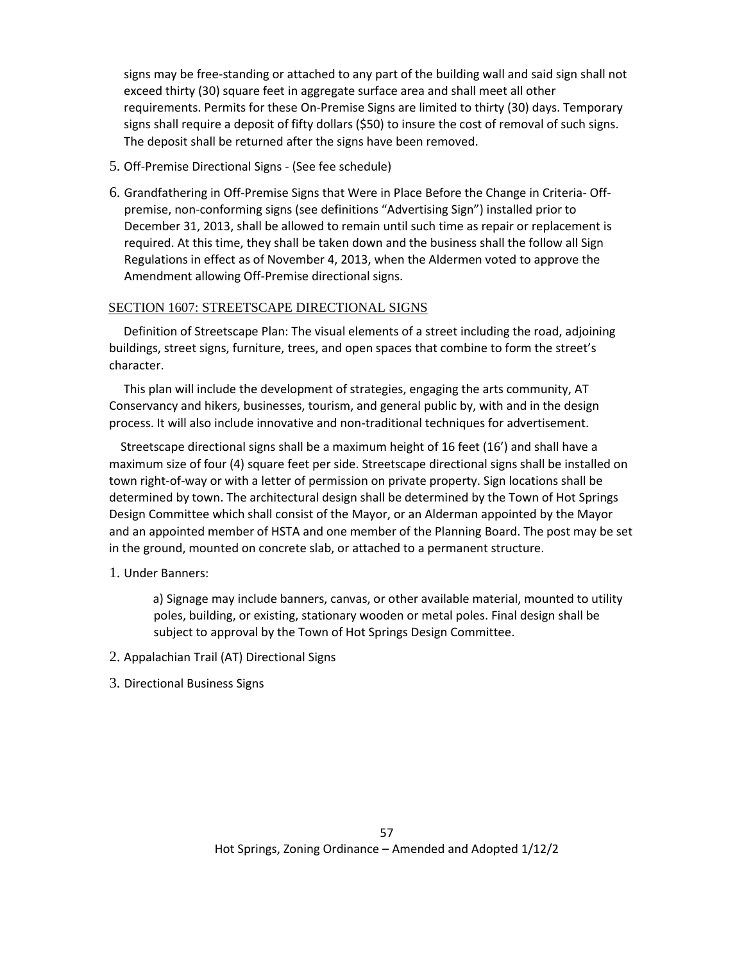signs may be free-standing or attached to any part of the building wall and said sign shall not exceed thirty (30) square feet in aggregate surface area and shall meet all other requirements. Permits for these On-Premise Signs are limited to thirty (30) days. Temporary signs shall require a deposit of fifty dollars (\$50) to insure the cost of removal of such signs. The deposit shall be returned after the signs have been removed.

- 5. Off-Premise Directional Signs (See fee schedule)
- 6. Grandfathering in Off-Premise Signs that Were in Place Before the Change in Criteria- Offpremise, non-conforming signs (see definitions "Advertising Sign") installed prior to December 31, 2013, shall be allowed to remain until such time as repair or replacement is required. At this time, they shall be taken down and the business shall the follow all Sign Regulations in effect as of November 4, 2013, when the Aldermen voted to approve the Amendment allowing Off-Premise directional signs.

#### SECTION 1607: STREETSCAPE DIRECTIONAL SIGNS

 Definition of Streetscape Plan: The visual elements of a street including the road, adjoining buildings, street signs, furniture, trees, and open spaces that combine to form the street's character.

 This plan will include the development of strategies, engaging the arts community, AT Conservancy and hikers, businesses, tourism, and general public by, with and in the design process. It will also include innovative and non-traditional techniques for advertisement.

 Streetscape directional signs shall be a maximum height of 16 feet (16') and shall have a maximum size of four (4) square feet per side. Streetscape directional signs shall be installed on town right-of-way or with a letter of permission on private property. Sign locations shall be determined by town. The architectural design shall be determined by the Town of Hot Springs Design Committee which shall consist of the Mayor, or an Alderman appointed by the Mayor and an appointed member of HSTA and one member of the Planning Board. The post may be set in the ground, mounted on concrete slab, or attached to a permanent structure.

## 1. Under Banners:

a) Signage may include banners, canvas, or other available material, mounted to utility poles, building, or existing, stationary wooden or metal poles. Final design shall be subject to approval by the Town of Hot Springs Design Committee.

2. Appalachian Trail (AT) Directional Signs

## 3. Directional Business Signs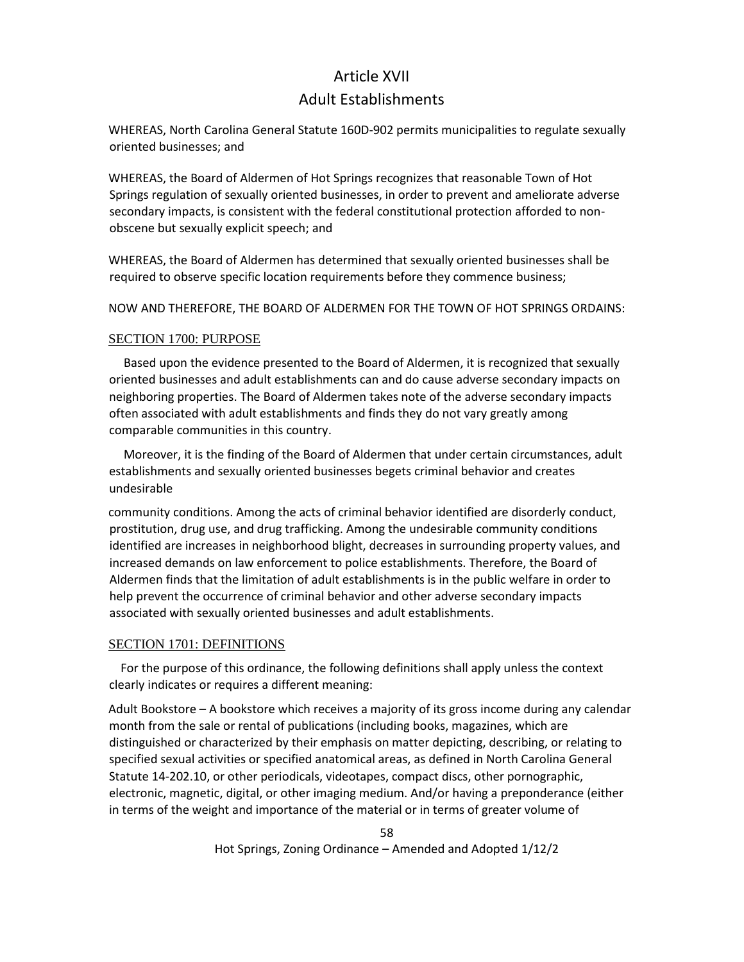## Article XVII

## Adult Establishments

WHEREAS, North Carolina General Statute 160D-902 permits municipalities to regulate sexually oriented businesses; and

WHEREAS, the Board of Aldermen of Hot Springs recognizes that reasonable Town of Hot Springs regulation of sexually oriented businesses, in order to prevent and ameliorate adverse secondary impacts, is consistent with the federal constitutional protection afforded to nonobscene but sexually explicit speech; and

WHEREAS, the Board of Aldermen has determined that sexually oriented businesses shall be required to observe specific location requirements before they commence business;

NOW AND THEREFORE, THE BOARD OF ALDERMEN FOR THE TOWN OF HOT SPRINGS ORDAINS:

#### SECTION 1700: PURPOSE

 Based upon the evidence presented to the Board of Aldermen, it is recognized that sexually oriented businesses and adult establishments can and do cause adverse secondary impacts on neighboring properties. The Board of Aldermen takes note of the adverse secondary impacts often associated with adult establishments and finds they do not vary greatly among comparable communities in this country.

 Moreover, it is the finding of the Board of Aldermen that under certain circumstances, adult establishments and sexually oriented businesses begets criminal behavior and creates undesirable

community conditions. Among the acts of criminal behavior identified are disorderly conduct, prostitution, drug use, and drug trafficking. Among the undesirable community conditions identified are increases in neighborhood blight, decreases in surrounding property values, and increased demands on law enforcement to police establishments. Therefore, the Board of Aldermen finds that the limitation of adult establishments is in the public welfare in order to help prevent the occurrence of criminal behavior and other adverse secondary impacts associated with sexually oriented businesses and adult establishments.

## SECTION 1701: DEFINITIONS

 For the purpose of this ordinance, the following definitions shall apply unless the context clearly indicates or requires a different meaning:

Adult Bookstore – A bookstore which receives a majority of its gross income during any calendar month from the sale or rental of publications (including books, magazines, which are distinguished or characterized by their emphasis on matter depicting, describing, or relating to specified sexual activities or specified anatomical areas, as defined in North Carolina General Statute 14-202.10, or other periodicals, videotapes, compact discs, other pornographic, electronic, magnetic, digital, or other imaging medium. And/or having a preponderance (either in terms of the weight and importance of the material or in terms of greater volume of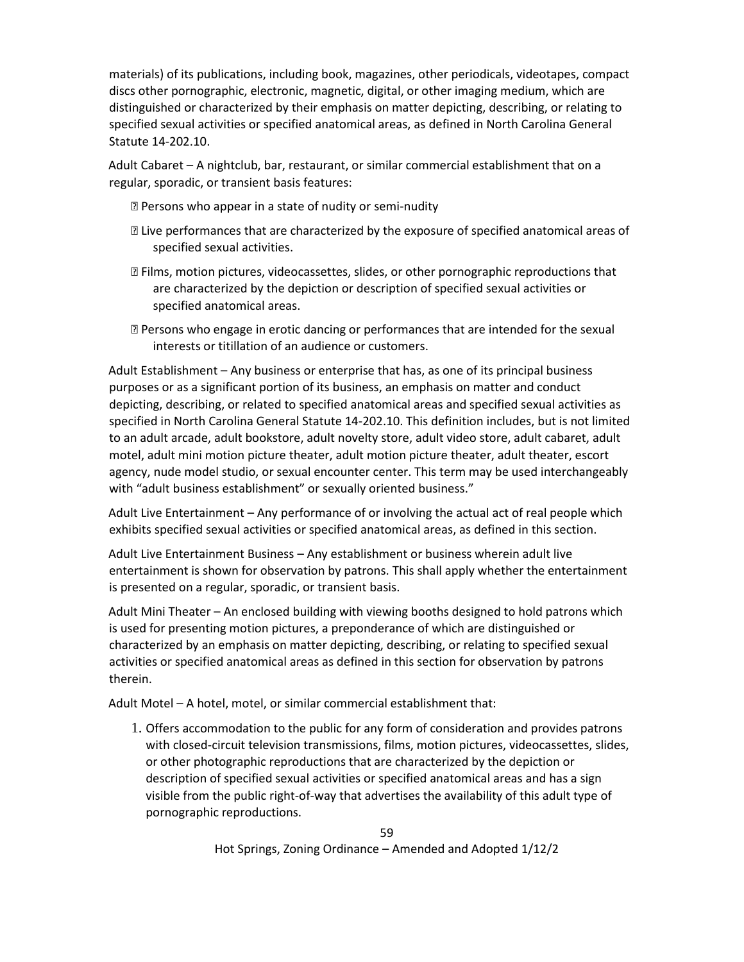materials) of its publications, including book, magazines, other periodicals, videotapes, compact discs other pornographic, electronic, magnetic, digital, or other imaging medium, which are distinguished or characterized by their emphasis on matter depicting, describing, or relating to specified sexual activities or specified anatomical areas, as defined in North Carolina General Statute 14-202.10.

Adult Cabaret – A nightclub, bar, restaurant, or similar commercial establishment that on a regular, sporadic, or transient basis features:

⦁ Persons who appear in a state of nudity or semi-nudity

- ⦁ Live performances that are characterized by the exposure of specified anatomical areas of specified sexual activities.
- ⦁ Films, motion pictures, videocassettes, slides, or other pornographic reproductions that are characterized by the depiction or description of specified sexual activities or specified anatomical areas.
- ⦁ Persons who engage in erotic dancing or performances that are intended for the sexual interests or titillation of an audience or customers.

Adult Establishment – Any business or enterprise that has, as one of its principal business purposes or as a significant portion of its business, an emphasis on matter and conduct depicting, describing, or related to specified anatomical areas and specified sexual activities as specified in North Carolina General Statute 14-202.10. This definition includes, but is not limited to an adult arcade, adult bookstore, adult novelty store, adult video store, adult cabaret, adult motel, adult mini motion picture theater, adult motion picture theater, adult theater, escort agency, nude model studio, or sexual encounter center. This term may be used interchangeably with "adult business establishment" or sexually oriented business."

Adult Live Entertainment – Any performance of or involving the actual act of real people which exhibits specified sexual activities or specified anatomical areas, as defined in this section.

Adult Live Entertainment Business – Any establishment or business wherein adult live entertainment is shown for observation by patrons. This shall apply whether the entertainment is presented on a regular, sporadic, or transient basis.

Adult Mini Theater – An enclosed building with viewing booths designed to hold patrons which is used for presenting motion pictures, a preponderance of which are distinguished or characterized by an emphasis on matter depicting, describing, or relating to specified sexual activities or specified anatomical areas as defined in this section for observation by patrons therein.

Adult Motel – A hotel, motel, or similar commercial establishment that:

1. Offers accommodation to the public for any form of consideration and provides patrons with closed-circuit television transmissions, films, motion pictures, videocassettes, slides, or other photographic reproductions that are characterized by the depiction or description of specified sexual activities or specified anatomical areas and has a sign visible from the public right-of-way that advertises the availability of this adult type of pornographic reproductions.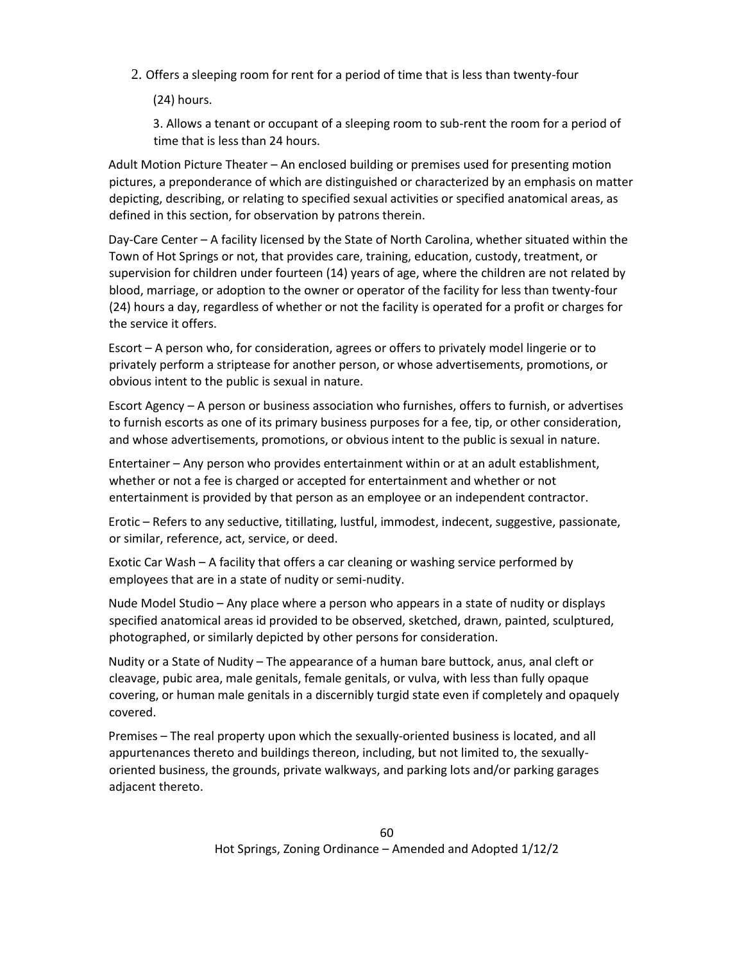2. Offers a sleeping room for rent for a period of time that is less than twenty-four

(24) hours.

3. Allows a tenant or occupant of a sleeping room to sub-rent the room for a period of time that is less than 24 hours.

Adult Motion Picture Theater – An enclosed building or premises used for presenting motion pictures, a preponderance of which are distinguished or characterized by an emphasis on matter depicting, describing, or relating to specified sexual activities or specified anatomical areas, as defined in this section, for observation by patrons therein.

Day-Care Center – A facility licensed by the State of North Carolina, whether situated within the Town of Hot Springs or not, that provides care, training, education, custody, treatment, or supervision for children under fourteen (14) years of age, where the children are not related by blood, marriage, or adoption to the owner or operator of the facility for less than twenty-four (24) hours a day, regardless of whether or not the facility is operated for a profit or charges for the service it offers.

Escort – A person who, for consideration, agrees or offers to privately model lingerie or to privately perform a striptease for another person, or whose advertisements, promotions, or obvious intent to the public is sexual in nature.

Escort Agency – A person or business association who furnishes, offers to furnish, or advertises to furnish escorts as one of its primary business purposes for a fee, tip, or other consideration, and whose advertisements, promotions, or obvious intent to the public is sexual in nature.

Entertainer – Any person who provides entertainment within or at an adult establishment, whether or not a fee is charged or accepted for entertainment and whether or not entertainment is provided by that person as an employee or an independent contractor.

Erotic – Refers to any seductive, titillating, lustful, immodest, indecent, suggestive, passionate, or similar, reference, act, service, or deed.

Exotic Car Wash – A facility that offers a car cleaning or washing service performed by employees that are in a state of nudity or semi-nudity.

Nude Model Studio – Any place where a person who appears in a state of nudity or displays specified anatomical areas id provided to be observed, sketched, drawn, painted, sculptured, photographed, or similarly depicted by other persons for consideration.

Nudity or a State of Nudity – The appearance of a human bare buttock, anus, anal cleft or cleavage, pubic area, male genitals, female genitals, or vulva, with less than fully opaque covering, or human male genitals in a discernibly turgid state even if completely and opaquely covered.

Premises – The real property upon which the sexually-oriented business is located, and all appurtenances thereto and buildings thereon, including, but not limited to, the sexuallyoriented business, the grounds, private walkways, and parking lots and/or parking garages adjacent thereto.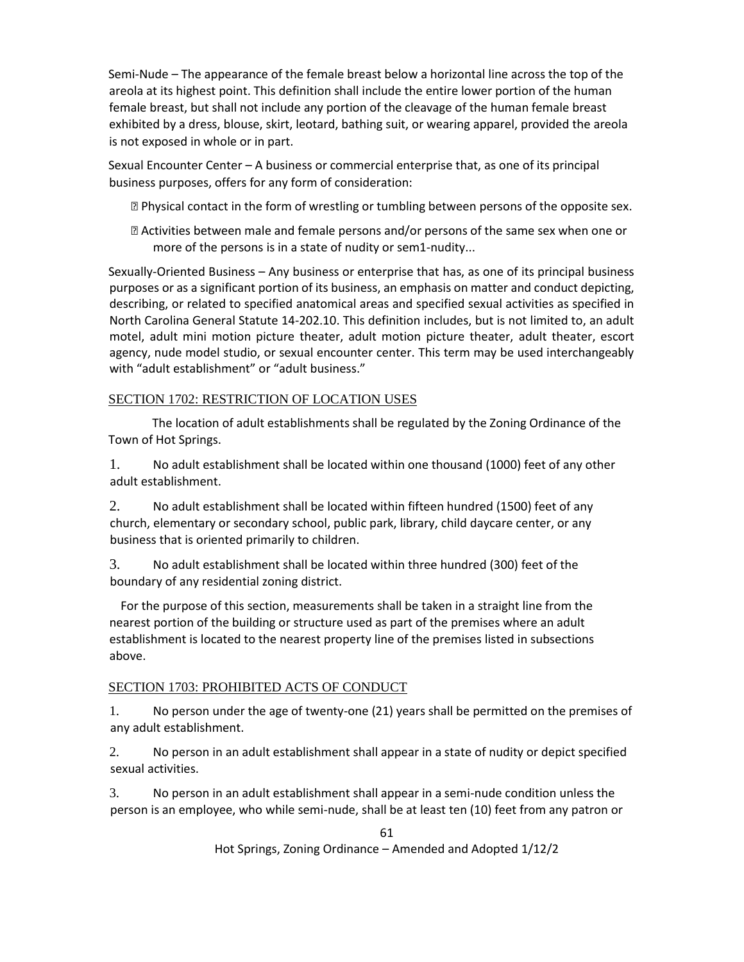Semi-Nude – The appearance of the female breast below a horizontal line across the top of the areola at its highest point. This definition shall include the entire lower portion of the human female breast, but shall not include any portion of the cleavage of the human female breast exhibited by a dress, blouse, skirt, leotard, bathing suit, or wearing apparel, provided the areola is not exposed in whole or in part.

Sexual Encounter Center – A business or commercial enterprise that, as one of its principal business purposes, offers for any form of consideration:

⦁ Physical contact in the form of wrestling or tumbling between persons of the opposite sex.

⦁ Activities between male and female persons and/or persons of the same sex when one or more of the persons is in a state of nudity or sem1-nudity...

Sexually-Oriented Business – Any business or enterprise that has, as one of its principal business purposes or as a significant portion of its business, an emphasis on matter and conduct depicting, describing, or related to specified anatomical areas and specified sexual activities as specified in North Carolina General Statute 14-202.10. This definition includes, but is not limited to, an adult motel, adult mini motion picture theater, adult motion picture theater, adult theater, escort agency, nude model studio, or sexual encounter center. This term may be used interchangeably with "adult establishment" or "adult business."

## SECTION 1702: RESTRICTION OF LOCATION USES

The location of adult establishments shall be regulated by the Zoning Ordinance of the Town of Hot Springs.

1. No adult establishment shall be located within one thousand (1000) feet of any other adult establishment.

2. No adult establishment shall be located within fifteen hundred (1500) feet of any church, elementary or secondary school, public park, library, child daycare center, or any business that is oriented primarily to children.

3. No adult establishment shall be located within three hundred (300) feet of the boundary of any residential zoning district.

 For the purpose of this section, measurements shall be taken in a straight line from the nearest portion of the building or structure used as part of the premises where an adult establishment is located to the nearest property line of the premises listed in subsections above.

## SECTION 1703: PROHIBITED ACTS OF CONDUCT

1. No person under the age of twenty-one (21) years shall be permitted on the premises of any adult establishment.

2. No person in an adult establishment shall appear in a state of nudity or depict specified sexual activities.

3. No person in an adult establishment shall appear in a semi-nude condition unless the person is an employee, who while semi-nude, shall be at least ten (10) feet from any patron or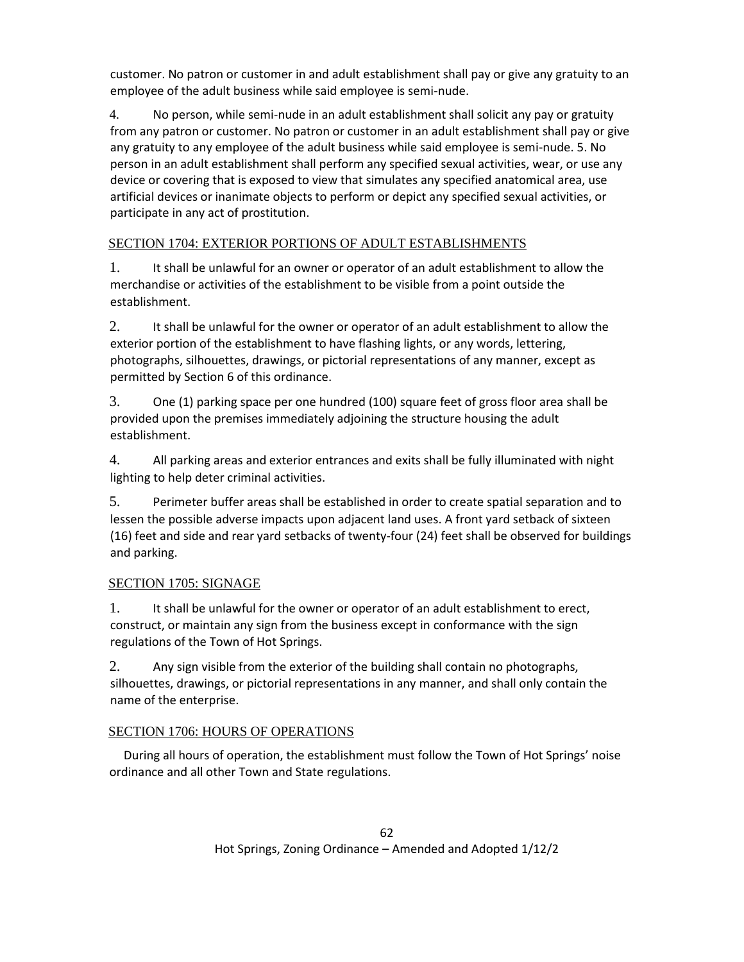customer. No patron or customer in and adult establishment shall pay or give any gratuity to an employee of the adult business while said employee is semi-nude.

4. No person, while semi-nude in an adult establishment shall solicit any pay or gratuity from any patron or customer. No patron or customer in an adult establishment shall pay or give any gratuity to any employee of the adult business while said employee is semi-nude. 5. No person in an adult establishment shall perform any specified sexual activities, wear, or use any device or covering that is exposed to view that simulates any specified anatomical area, use artificial devices or inanimate objects to perform or depict any specified sexual activities, or participate in any act of prostitution.

## SECTION 1704: EXTERIOR PORTIONS OF ADULT ESTABLISHMENTS

1. It shall be unlawful for an owner or operator of an adult establishment to allow the merchandise or activities of the establishment to be visible from a point outside the establishment.

2. It shall be unlawful for the owner or operator of an adult establishment to allow the exterior portion of the establishment to have flashing lights, or any words, lettering, photographs, silhouettes, drawings, or pictorial representations of any manner, except as permitted by Section 6 of this ordinance.

3. One (1) parking space per one hundred (100) square feet of gross floor area shall be provided upon the premises immediately adjoining the structure housing the adult establishment.

4. All parking areas and exterior entrances and exits shall be fully illuminated with night lighting to help deter criminal activities.

5. Perimeter buffer areas shall be established in order to create spatial separation and to lessen the possible adverse impacts upon adjacent land uses. A front yard setback of sixteen (16) feet and side and rear yard setbacks of twenty-four (24) feet shall be observed for buildings and parking.

## SECTION 1705: SIGNAGE

1. It shall be unlawful for the owner or operator of an adult establishment to erect, construct, or maintain any sign from the business except in conformance with the sign regulations of the Town of Hot Springs.

2. Any sign visible from the exterior of the building shall contain no photographs, silhouettes, drawings, or pictorial representations in any manner, and shall only contain the name of the enterprise.

## SECTION 1706: HOURS OF OPERATIONS

 During all hours of operation, the establishment must follow the Town of Hot Springs' noise ordinance and all other Town and State regulations.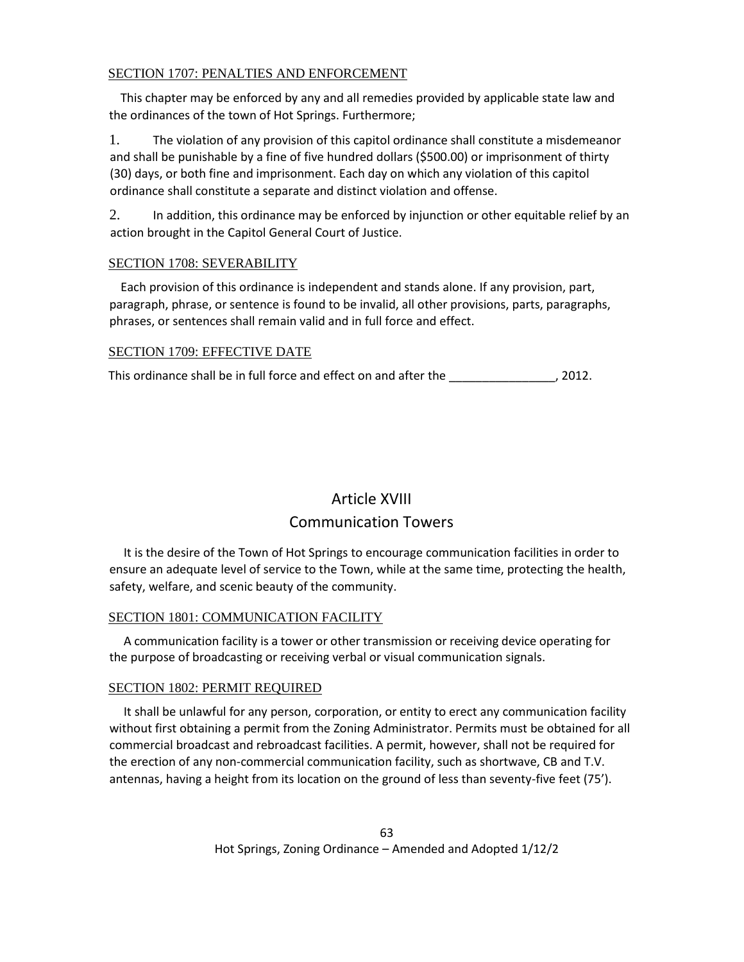## SECTION 1707: PENALTIES AND ENFORCEMENT

 This chapter may be enforced by any and all remedies provided by applicable state law and the ordinances of the town of Hot Springs. Furthermore;

1. The violation of any provision of this capitol ordinance shall constitute a misdemeanor and shall be punishable by a fine of five hundred dollars (\$500.00) or imprisonment of thirty (30) days, or both fine and imprisonment. Each day on which any violation of this capitol ordinance shall constitute a separate and distinct violation and offense.

2. In addition, this ordinance may be enforced by injunction or other equitable relief by an action brought in the Capitol General Court of Justice.

## SECTION 1708: SEVERABILITY

 Each provision of this ordinance is independent and stands alone. If any provision, part, paragraph, phrase, or sentence is found to be invalid, all other provisions, parts, paragraphs, phrases, or sentences shall remain valid and in full force and effect.

## SECTION 1709: EFFECTIVE DATE

This ordinance shall be in full force and effect on and after the \_\_\_\_\_\_\_\_\_\_\_\_\_\_, 2012.

## Article XVIII Communication Towers

 It is the desire of the Town of Hot Springs to encourage communication facilities in order to ensure an adequate level of service to the Town, while at the same time, protecting the health, safety, welfare, and scenic beauty of the community.

## SECTION 1801: COMMUNICATION FACILITY

 A communication facility is a tower or other transmission or receiving device operating for the purpose of broadcasting or receiving verbal or visual communication signals.

## SECTION 1802: PERMIT REQUIRED

 It shall be unlawful for any person, corporation, or entity to erect any communication facility without first obtaining a permit from the Zoning Administrator. Permits must be obtained for all commercial broadcast and rebroadcast facilities. A permit, however, shall not be required for the erection of any non-commercial communication facility, such as shortwave, CB and T.V. antennas, having a height from its location on the ground of less than seventy-five feet (75').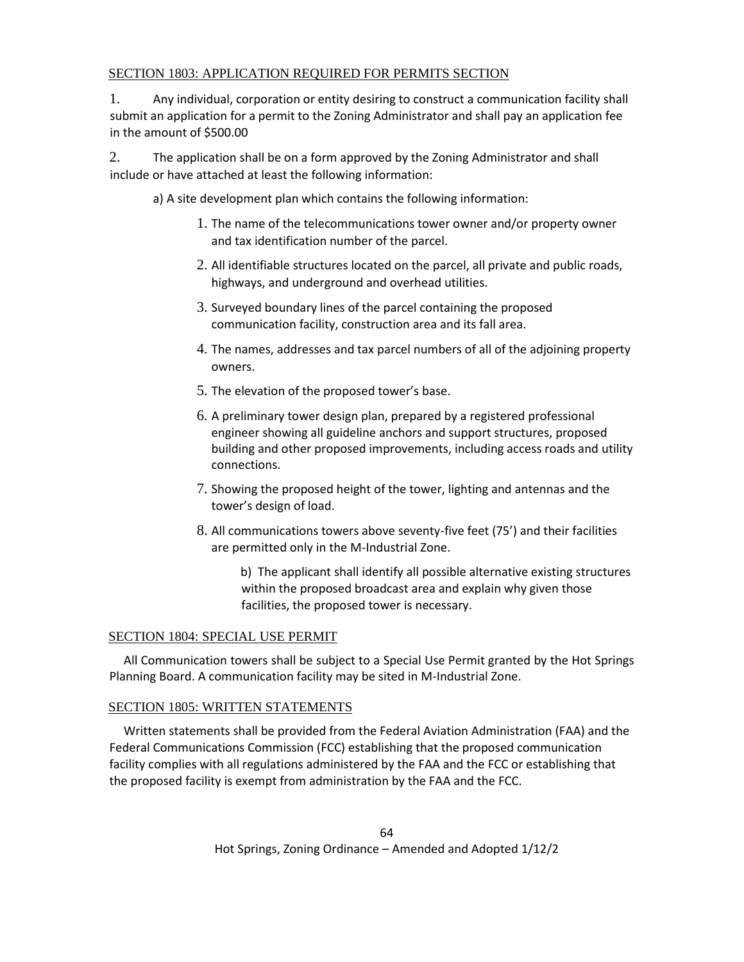## SECTION 1803: APPLICATION REQUIRED FOR PERMITS SECTION

1. Any individual, corporation or entity desiring to construct a communication facility shall submit an application for a permit to the Zoning Administrator and shall pay an application fee in the amount of \$500.00

2. The application shall be on a form approved by the Zoning Administrator and shall include or have attached at least the following information:

a) A site development plan which contains the following information:

- 1. The name of the telecommunications tower owner and/or property owner and tax identification number of the parcel.
- 2. All identifiable structures located on the parcel, all private and public roads, highways, and underground and overhead utilities.
- 3. Surveyed boundary lines of the parcel containing the proposed communication facility, construction area and its fall area.
- 4. The names, addresses and tax parcel numbers of all of the adjoining property owners.
- 5. The elevation of the proposed tower's base.
- 6. A preliminary tower design plan, prepared by a registered professional engineer showing all guideline anchors and support structures, proposed building and other proposed improvements, including access roads and utility connections.
- 7. Showing the proposed height of the tower, lighting and antennas and the tower's design of load.
- 8. All communications towers above seventy-five feet (75') and their facilities are permitted only in the M-Industrial Zone.

b) The applicant shall identify all possible alternative existing structures within the proposed broadcast area and explain why given those facilities, the proposed tower is necessary.

## SECTION 1804: SPECIAL USE PERMIT

 All Communication towers shall be subject to a Special Use Permit granted by the Hot Springs Planning Board. A communication facility may be sited in M-Industrial Zone.

## SECTION 1805: WRITTEN STATEMENTS

 Written statements shall be provided from the Federal Aviation Administration (FAA) and the Federal Communications Commission (FCC) establishing that the proposed communication facility complies with all regulations administered by the FAA and the FCC or establishing that the proposed facility is exempt from administration by the FAA and the FCC.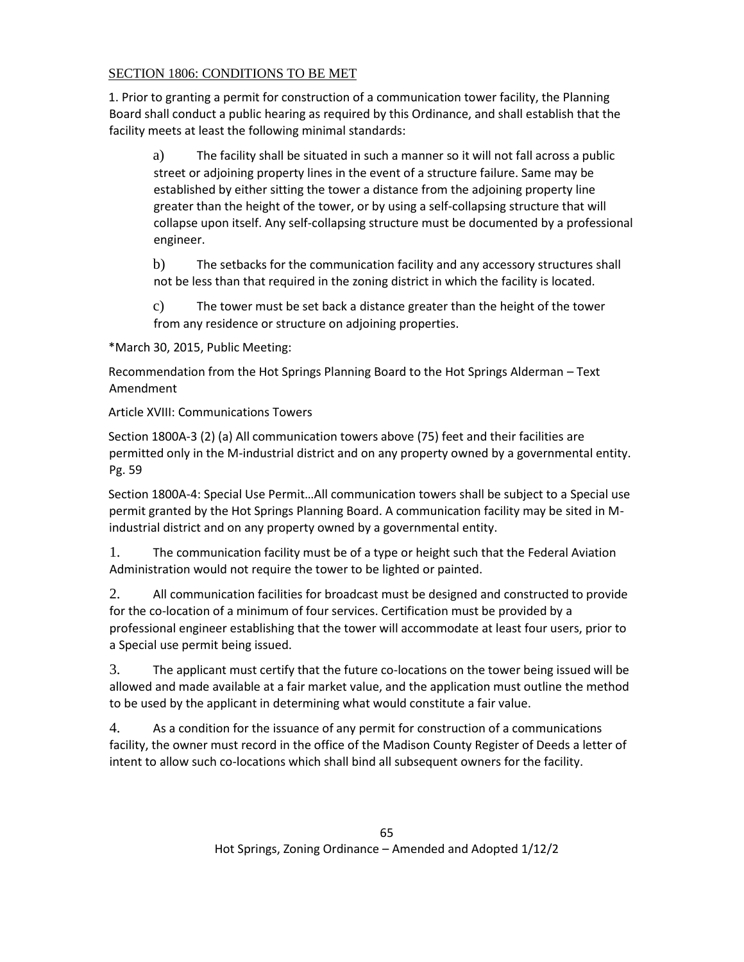## SECTION 1806: CONDITIONS TO BE MET

1. Prior to granting a permit for construction of a communication tower facility, the Planning Board shall conduct a public hearing as required by this Ordinance, and shall establish that the facility meets at least the following minimal standards:

a) The facility shall be situated in such a manner so it will not fall across a public street or adjoining property lines in the event of a structure failure. Same may be established by either sitting the tower a distance from the adjoining property line greater than the height of the tower, or by using a self-collapsing structure that will collapse upon itself. Any self-collapsing structure must be documented by a professional engineer.

b) The setbacks for the communication facility and any accessory structures shall not be less than that required in the zoning district in which the facility is located.

c) The tower must be set back a distance greater than the height of the tower from any residence or structure on adjoining properties.

\*March 30, 2015, Public Meeting:

Recommendation from the Hot Springs Planning Board to the Hot Springs Alderman – Text Amendment

Article XVIII: Communications Towers

Section 1800A-3 (2) (a) All communication towers above (75) feet and their facilities are permitted only in the M-industrial district and on any property owned by a governmental entity. Pg. 59

Section 1800A-4: Special Use Permit…All communication towers shall be subject to a Special use permit granted by the Hot Springs Planning Board. A communication facility may be sited in Mindustrial district and on any property owned by a governmental entity.

1. The communication facility must be of a type or height such that the Federal Aviation Administration would not require the tower to be lighted or painted.

2. All communication facilities for broadcast must be designed and constructed to provide for the co-location of a minimum of four services. Certification must be provided by a professional engineer establishing that the tower will accommodate at least four users, prior to a Special use permit being issued.

3. The applicant must certify that the future co-locations on the tower being issued will be allowed and made available at a fair market value, and the application must outline the method to be used by the applicant in determining what would constitute a fair value.

4. As a condition for the issuance of any permit for construction of a communications facility, the owner must record in the office of the Madison County Register of Deeds a letter of intent to allow such co-locations which shall bind all subsequent owners for the facility.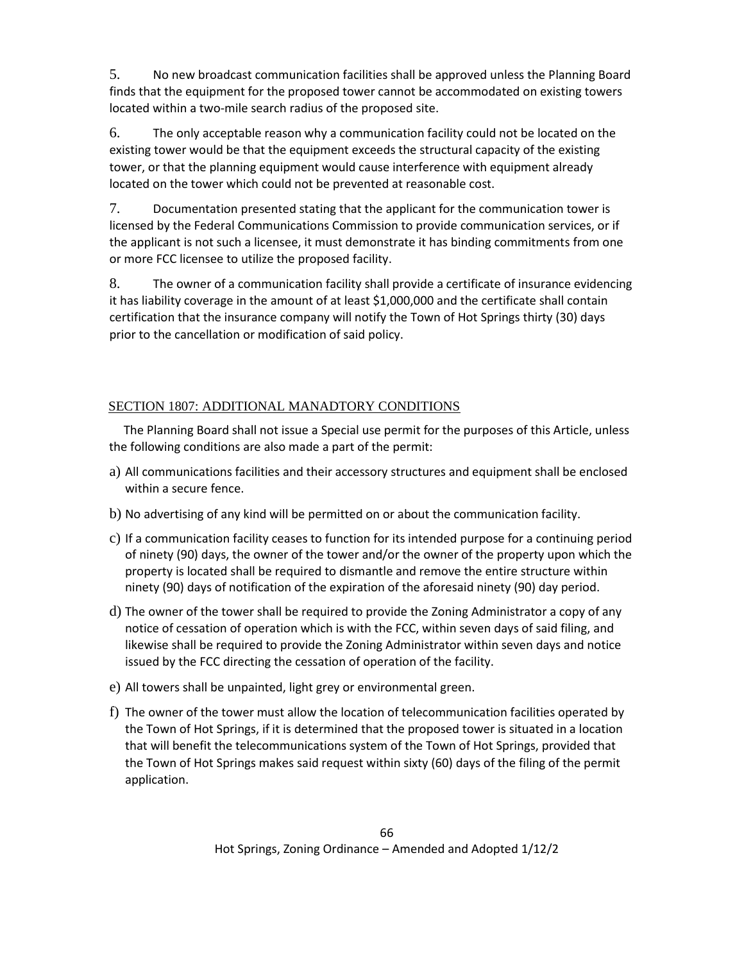5. No new broadcast communication facilities shall be approved unless the Planning Board finds that the equipment for the proposed tower cannot be accommodated on existing towers located within a two-mile search radius of the proposed site.

6. The only acceptable reason why a communication facility could not be located on the existing tower would be that the equipment exceeds the structural capacity of the existing tower, or that the planning equipment would cause interference with equipment already located on the tower which could not be prevented at reasonable cost.

7. Documentation presented stating that the applicant for the communication tower is licensed by the Federal Communications Commission to provide communication services, or if the applicant is not such a licensee, it must demonstrate it has binding commitments from one or more FCC licensee to utilize the proposed facility.

8. The owner of a communication facility shall provide a certificate of insurance evidencing it has liability coverage in the amount of at least \$1,000,000 and the certificate shall contain certification that the insurance company will notify the Town of Hot Springs thirty (30) days prior to the cancellation or modification of said policy.

## SECTION 1807: ADDITIONAL MANADTORY CONDITIONS

 The Planning Board shall not issue a Special use permit for the purposes of this Article, unless the following conditions are also made a part of the permit:

- a) All communications facilities and their accessory structures and equipment shall be enclosed within a secure fence.
- b) No advertising of any kind will be permitted on or about the communication facility.
- c) If a communication facility ceases to function for its intended purpose for a continuing period of ninety (90) days, the owner of the tower and/or the owner of the property upon which the property is located shall be required to dismantle and remove the entire structure within ninety (90) days of notification of the expiration of the aforesaid ninety (90) day period.
- d) The owner of the tower shall be required to provide the Zoning Administrator a copy of any notice of cessation of operation which is with the FCC, within seven days of said filing, and likewise shall be required to provide the Zoning Administrator within seven days and notice issued by the FCC directing the cessation of operation of the facility.
- e) All towers shall be unpainted, light grey or environmental green.
- f) The owner of the tower must allow the location of telecommunication facilities operated by the Town of Hot Springs, if it is determined that the proposed tower is situated in a location that will benefit the telecommunications system of the Town of Hot Springs, provided that the Town of Hot Springs makes said request within sixty (60) days of the filing of the permit application.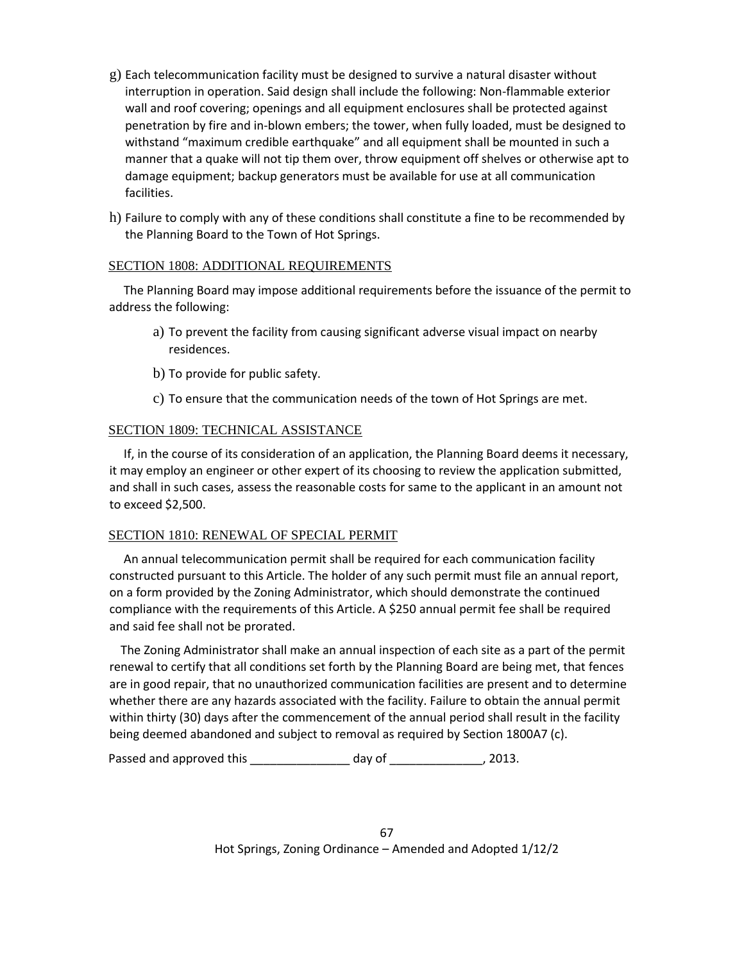- g) Each telecommunication facility must be designed to survive a natural disaster without interruption in operation. Said design shall include the following: Non-flammable exterior wall and roof covering; openings and all equipment enclosures shall be protected against penetration by fire and in-blown embers; the tower, when fully loaded, must be designed to withstand "maximum credible earthquake" and all equipment shall be mounted in such a manner that a quake will not tip them over, throw equipment off shelves or otherwise apt to damage equipment; backup generators must be available for use at all communication facilities.
- h) Failure to comply with any of these conditions shall constitute a fine to be recommended by the Planning Board to the Town of Hot Springs.

#### SECTION 1808: ADDITIONAL REQUIREMENTS

 The Planning Board may impose additional requirements before the issuance of the permit to address the following:

- a) To prevent the facility from causing significant adverse visual impact on nearby residences.
- b) To provide for public safety.
- c) To ensure that the communication needs of the town of Hot Springs are met.

## SECTION 1809: TECHNICAL ASSISTANCE

 If, in the course of its consideration of an application, the Planning Board deems it necessary, it may employ an engineer or other expert of its choosing to review the application submitted, and shall in such cases, assess the reasonable costs for same to the applicant in an amount not to exceed \$2,500.

## SECTION 1810: RENEWAL OF SPECIAL PERMIT

 An annual telecommunication permit shall be required for each communication facility constructed pursuant to this Article. The holder of any such permit must file an annual report, on a form provided by the Zoning Administrator, which should demonstrate the continued compliance with the requirements of this Article. A \$250 annual permit fee shall be required and said fee shall not be prorated.

 The Zoning Administrator shall make an annual inspection of each site as a part of the permit renewal to certify that all conditions set forth by the Planning Board are being met, that fences are in good repair, that no unauthorized communication facilities are present and to determine whether there are any hazards associated with the facility. Failure to obtain the annual permit within thirty (30) days after the commencement of the annual period shall result in the facility being deemed abandoned and subject to removal as required by Section 1800A7 (c).

Passed and approved this \_\_\_\_\_\_\_\_\_\_\_\_\_\_\_\_\_\_\_ day of \_\_\_\_\_\_\_\_\_\_\_\_\_\_\_\_, 2013.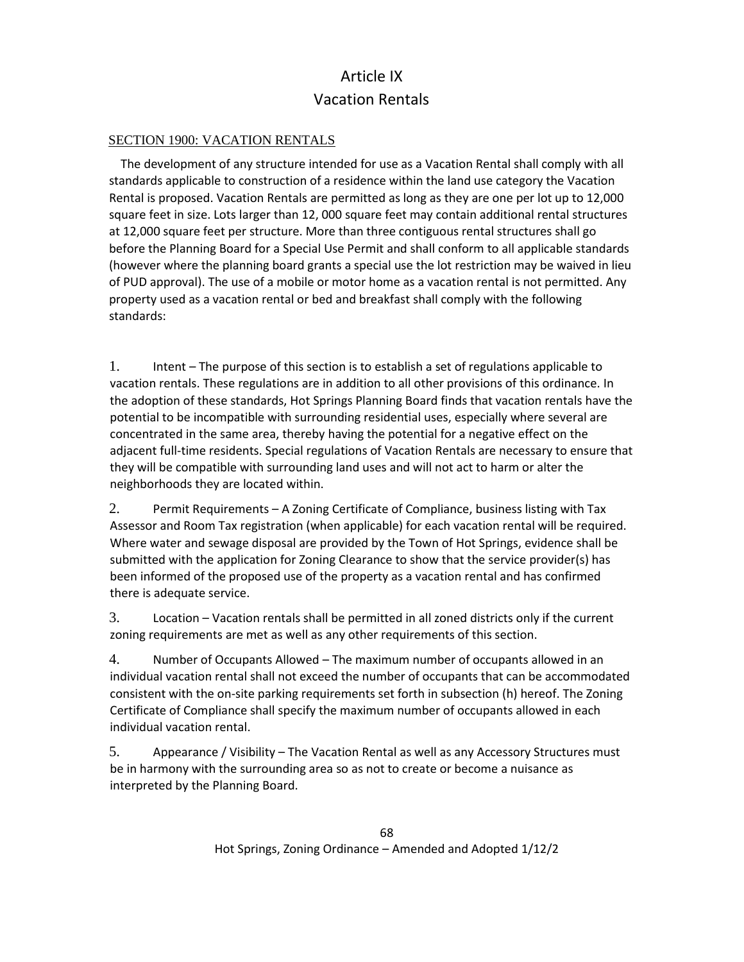## Article IX Vacation Rentals

## SECTION 1900: VACATION RENTALS

 The development of any structure intended for use as a Vacation Rental shall comply with all standards applicable to construction of a residence within the land use category the Vacation Rental is proposed. Vacation Rentals are permitted as long as they are one per lot up to 12,000 square feet in size. Lots larger than 12, 000 square feet may contain additional rental structures at 12,000 square feet per structure. More than three contiguous rental structures shall go before the Planning Board for a Special Use Permit and shall conform to all applicable standards (however where the planning board grants a special use the lot restriction may be waived in lieu of PUD approval). The use of a mobile or motor home as a vacation rental is not permitted. Any property used as a vacation rental or bed and breakfast shall comply with the following standards:

1. Intent – The purpose of this section is to establish a set of regulations applicable to vacation rentals. These regulations are in addition to all other provisions of this ordinance. In the adoption of these standards, Hot Springs Planning Board finds that vacation rentals have the potential to be incompatible with surrounding residential uses, especially where several are concentrated in the same area, thereby having the potential for a negative effect on the adjacent full-time residents. Special regulations of Vacation Rentals are necessary to ensure that they will be compatible with surrounding land uses and will not act to harm or alter the neighborhoods they are located within.

2. Permit Requirements – A Zoning Certificate of Compliance, business listing with Tax Assessor and Room Tax registration (when applicable) for each vacation rental will be required. Where water and sewage disposal are provided by the Town of Hot Springs, evidence shall be submitted with the application for Zoning Clearance to show that the service provider(s) has been informed of the proposed use of the property as a vacation rental and has confirmed there is adequate service.

3. Location – Vacation rentals shall be permitted in all zoned districts only if the current zoning requirements are met as well as any other requirements of this section.

4. Number of Occupants Allowed – The maximum number of occupants allowed in an individual vacation rental shall not exceed the number of occupants that can be accommodated consistent with the on-site parking requirements set forth in subsection (h) hereof. The Zoning Certificate of Compliance shall specify the maximum number of occupants allowed in each individual vacation rental.

5. Appearance / Visibility – The Vacation Rental as well as any Accessory Structures must be in harmony with the surrounding area so as not to create or become a nuisance as interpreted by the Planning Board.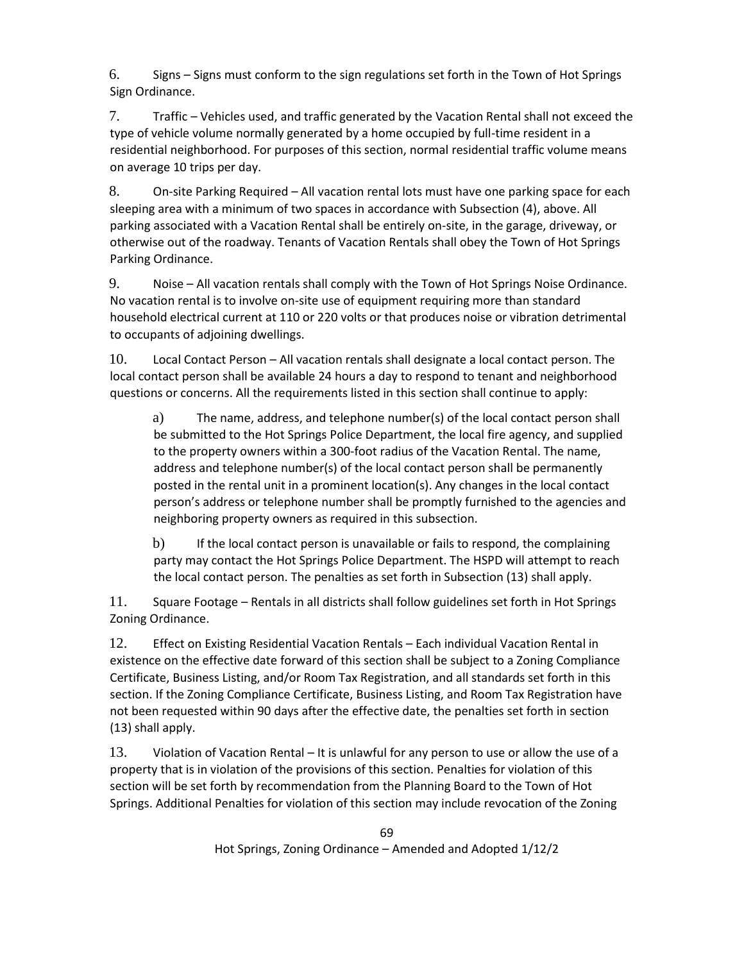6. Signs – Signs must conform to the sign regulations set forth in the Town of Hot Springs Sign Ordinance.

7. Traffic – Vehicles used, and traffic generated by the Vacation Rental shall not exceed the type of vehicle volume normally generated by a home occupied by full-time resident in a residential neighborhood. For purposes of this section, normal residential traffic volume means on average 10 trips per day.

8. On-site Parking Required – All vacation rental lots must have one parking space for each sleeping area with a minimum of two spaces in accordance with Subsection (4), above. All parking associated with a Vacation Rental shall be entirely on-site, in the garage, driveway, or otherwise out of the roadway. Tenants of Vacation Rentals shall obey the Town of Hot Springs Parking Ordinance.

9. Noise – All vacation rentals shall comply with the Town of Hot Springs Noise Ordinance. No vacation rental is to involve on-site use of equipment requiring more than standard household electrical current at 110 or 220 volts or that produces noise or vibration detrimental to occupants of adjoining dwellings.

10. Local Contact Person – All vacation rentals shall designate a local contact person. The local contact person shall be available 24 hours a day to respond to tenant and neighborhood questions or concerns. All the requirements listed in this section shall continue to apply:

a) The name, address, and telephone number(s) of the local contact person shall be submitted to the Hot Springs Police Department, the local fire agency, and supplied to the property owners within a 300-foot radius of the Vacation Rental. The name, address and telephone number(s) of the local contact person shall be permanently posted in the rental unit in a prominent location(s). Any changes in the local contact person's address or telephone number shall be promptly furnished to the agencies and neighboring property owners as required in this subsection.

b) If the local contact person is unavailable or fails to respond, the complaining party may contact the Hot Springs Police Department. The HSPD will attempt to reach the local contact person. The penalties as set forth in Subsection (13) shall apply.

11. Square Footage – Rentals in all districts shall follow guidelines set forth in Hot Springs Zoning Ordinance.

12. Effect on Existing Residential Vacation Rentals – Each individual Vacation Rental in existence on the effective date forward of this section shall be subject to a Zoning Compliance Certificate, Business Listing, and/or Room Tax Registration, and all standards set forth in this section. If the Zoning Compliance Certificate, Business Listing, and Room Tax Registration have not been requested within 90 days after the effective date, the penalties set forth in section (13) shall apply.

13. Violation of Vacation Rental – It is unlawful for any person to use or allow the use of a property that is in violation of the provisions of this section. Penalties for violation of this section will be set forth by recommendation from the Planning Board to the Town of Hot Springs. Additional Penalties for violation of this section may include revocation of the Zoning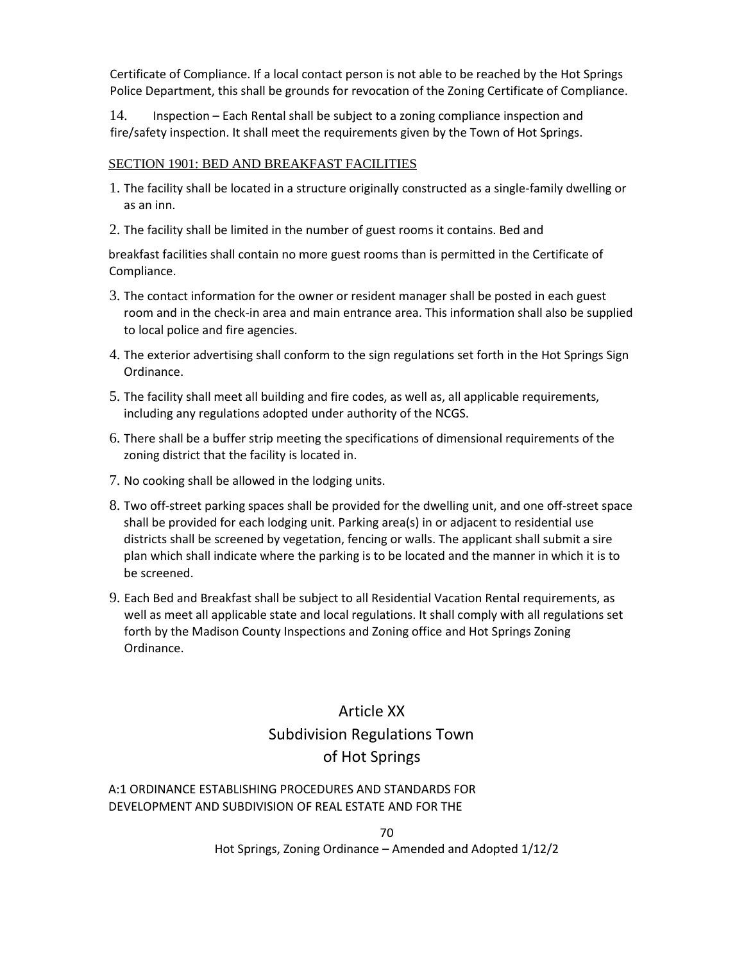Certificate of Compliance. If a local contact person is not able to be reached by the Hot Springs Police Department, this shall be grounds for revocation of the Zoning Certificate of Compliance.

14. Inspection – Each Rental shall be subject to a zoning compliance inspection and fire/safety inspection. It shall meet the requirements given by the Town of Hot Springs.

## SECTION 1901: BED AND BREAKFAST FACILITIES

- 1. The facility shall be located in a structure originally constructed as a single-family dwelling or as an inn.
- 2. The facility shall be limited in the number of guest rooms it contains. Bed and

breakfast facilities shall contain no more guest rooms than is permitted in the Certificate of Compliance.

- 3. The contact information for the owner or resident manager shall be posted in each guest room and in the check-in area and main entrance area. This information shall also be supplied to local police and fire agencies.
- 4. The exterior advertising shall conform to the sign regulations set forth in the Hot Springs Sign Ordinance.
- 5. The facility shall meet all building and fire codes, as well as, all applicable requirements, including any regulations adopted under authority of the NCGS.
- 6. There shall be a buffer strip meeting the specifications of dimensional requirements of the zoning district that the facility is located in.
- 7. No cooking shall be allowed in the lodging units.
- 8. Two off-street parking spaces shall be provided for the dwelling unit, and one off-street space shall be provided for each lodging unit. Parking area(s) in or adjacent to residential use districts shall be screened by vegetation, fencing or walls. The applicant shall submit a sire plan which shall indicate where the parking is to be located and the manner in which it is to be screened.
- 9. Each Bed and Breakfast shall be subject to all Residential Vacation Rental requirements, as well as meet all applicable state and local regulations. It shall comply with all regulations set forth by the Madison County Inspections and Zoning office and Hot Springs Zoning Ordinance.

## Article XX Subdivision Regulations Town of Hot Springs

## A:1 ORDINANCE ESTABLISHING PROCEDURES AND STANDARDS FOR DEVELOPMENT AND SUBDIVISION OF REAL ESTATE AND FOR THE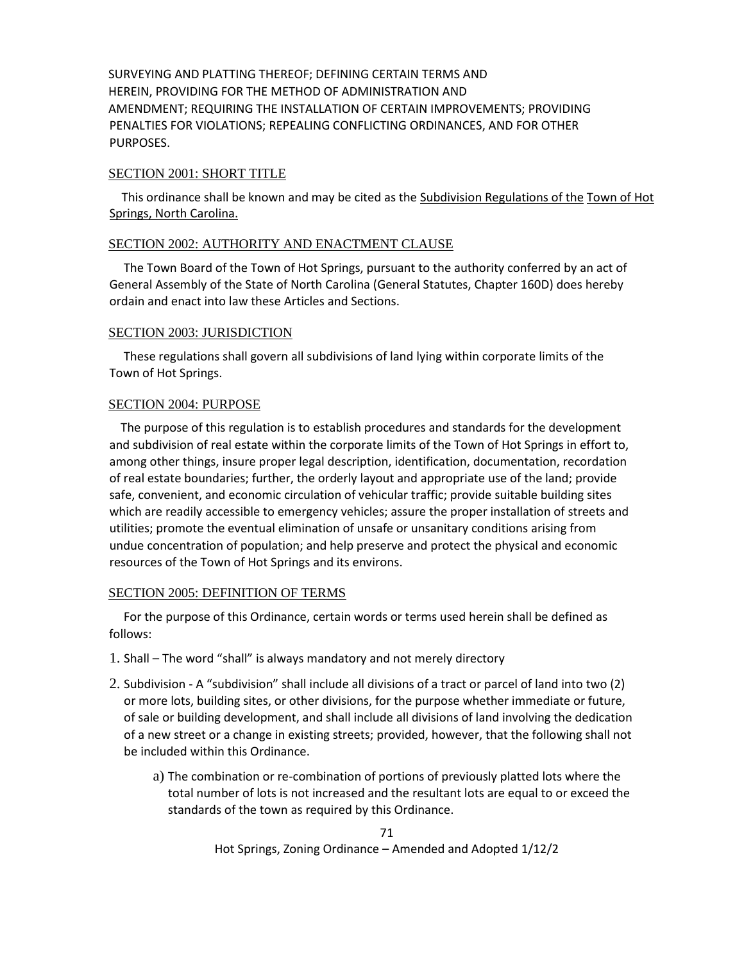SURVEYING AND PLATTING THEREOF; DEFINING CERTAIN TERMS AND HEREIN, PROVIDING FOR THE METHOD OF ADMINISTRATION AND AMENDMENT; REQUIRING THE INSTALLATION OF CERTAIN IMPROVEMENTS; PROVIDING PENALTIES FOR VIOLATIONS; REPEALING CONFLICTING ORDINANCES, AND FOR OTHER PURPOSES.

#### SECTION 2001: SHORT TITLE

 This ordinance shall be known and may be cited as the Subdivision Regulations of the Town of Hot Springs, North Carolina.

#### SECTION 2002: AUTHORITY AND ENACTMENT CLAUSE

 The Town Board of the Town of Hot Springs, pursuant to the authority conferred by an act of General Assembly of the State of North Carolina (General Statutes, Chapter 160D) does hereby ordain and enact into law these Articles and Sections.

#### SECTION 2003: JURISDICTION

 These regulations shall govern all subdivisions of land lying within corporate limits of the Town of Hot Springs.

#### SECTION 2004: PURPOSE

 The purpose of this regulation is to establish procedures and standards for the development and subdivision of real estate within the corporate limits of the Town of Hot Springs in effort to, among other things, insure proper legal description, identification, documentation, recordation of real estate boundaries; further, the orderly layout and appropriate use of the land; provide safe, convenient, and economic circulation of vehicular traffic; provide suitable building sites which are readily accessible to emergency vehicles; assure the proper installation of streets and utilities; promote the eventual elimination of unsafe or unsanitary conditions arising from undue concentration of population; and help preserve and protect the physical and economic resources of the Town of Hot Springs and its environs.

#### SECTION 2005: DEFINITION OF TERMS

 For the purpose of this Ordinance, certain words or terms used herein shall be defined as follows:

- 1. Shall The word "shall" is always mandatory and not merely directory
- 2. Subdivision A "subdivision" shall include all divisions of a tract or parcel of land into two (2) or more lots, building sites, or other divisions, for the purpose whether immediate or future, of sale or building development, and shall include all divisions of land involving the dedication of a new street or a change in existing streets; provided, however, that the following shall not be included within this Ordinance.
	- a) The combination or re-combination of portions of previously platted lots where the total number of lots is not increased and the resultant lots are equal to or exceed the standards of the town as required by this Ordinance.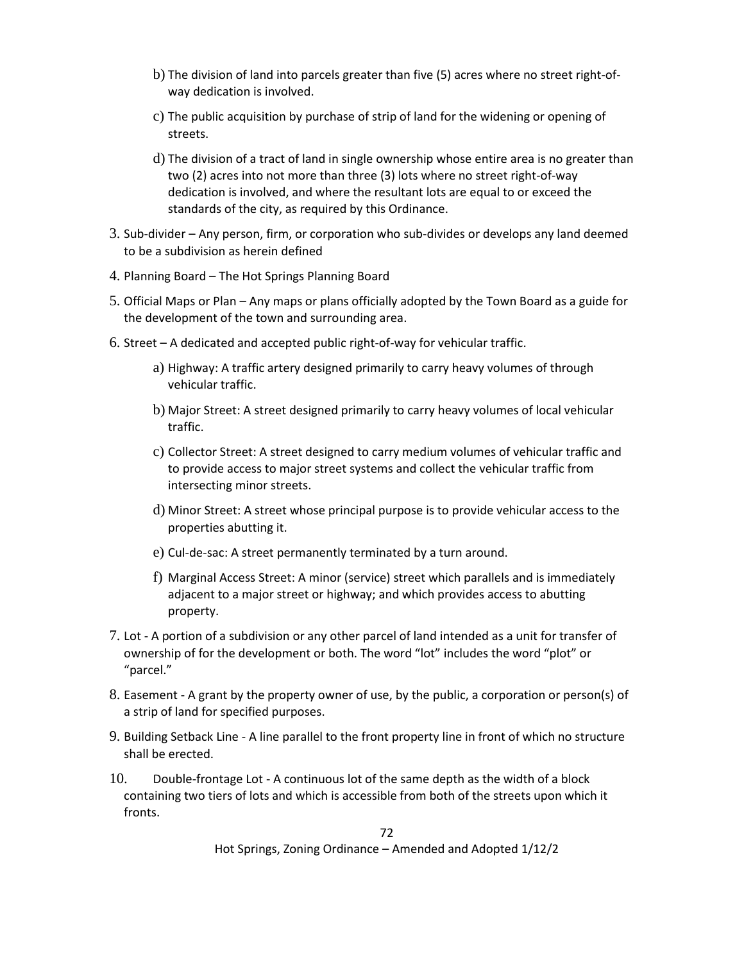- b) The division of land into parcels greater than five (5) acres where no street right-ofway dedication is involved.
- c) The public acquisition by purchase of strip of land for the widening or opening of streets.
- d) The division of a tract of land in single ownership whose entire area is no greater than two (2) acres into not more than three (3) lots where no street right-of-way dedication is involved, and where the resultant lots are equal to or exceed the standards of the city, as required by this Ordinance.
- 3. Sub-divider Any person, firm, or corporation who sub-divides or develops any land deemed to be a subdivision as herein defined
- 4. Planning Board The Hot Springs Planning Board
- 5. Official Maps or Plan Any maps or plans officially adopted by the Town Board as a guide for the development of the town and surrounding area.
- 6. Street A dedicated and accepted public right-of-way for vehicular traffic.
	- a) Highway: A traffic artery designed primarily to carry heavy volumes of through vehicular traffic.
	- b) Major Street: A street designed primarily to carry heavy volumes of local vehicular traffic.
	- c) Collector Street: A street designed to carry medium volumes of vehicular traffic and to provide access to major street systems and collect the vehicular traffic from intersecting minor streets.
	- d) Minor Street: A street whose principal purpose is to provide vehicular access to the properties abutting it.
	- e) Cul-de-sac: A street permanently terminated by a turn around.
	- f) Marginal Access Street: A minor (service) street which parallels and is immediately adjacent to a major street or highway; and which provides access to abutting property.
- 7. Lot A portion of a subdivision or any other parcel of land intended as a unit for transfer of ownership of for the development or both. The word "lot" includes the word "plot" or "parcel."
- 8. Easement A grant by the property owner of use, by the public, a corporation or person(s) of a strip of land for specified purposes.
- 9. Building Setback Line A line parallel to the front property line in front of which no structure shall be erected.
- 10. Double-frontage Lot A continuous lot of the same depth as the width of a block containing two tiers of lots and which is accessible from both of the streets upon which it fronts.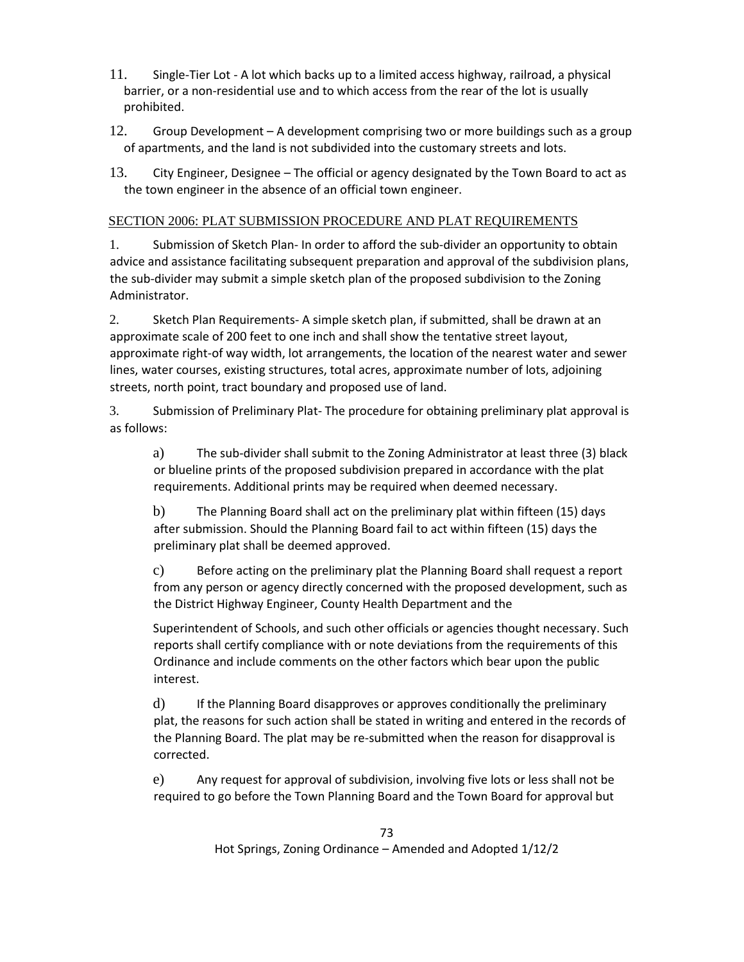- 11. Single-Tier Lot A lot which backs up to a limited access highway, railroad, a physical barrier, or a non-residential use and to which access from the rear of the lot is usually prohibited.
- 12. Group Development A development comprising two or more buildings such as a group of apartments, and the land is not subdivided into the customary streets and lots.
- 13. City Engineer, Designee The official or agency designated by the Town Board to act as the town engineer in the absence of an official town engineer.

### SECTION 2006: PLAT SUBMISSION PROCEDURE AND PLAT REQUIREMENTS

1. Submission of Sketch Plan- In order to afford the sub-divider an opportunity to obtain advice and assistance facilitating subsequent preparation and approval of the subdivision plans, the sub-divider may submit a simple sketch plan of the proposed subdivision to the Zoning Administrator.

2. Sketch Plan Requirements- A simple sketch plan, if submitted, shall be drawn at an approximate scale of 200 feet to one inch and shall show the tentative street layout, approximate right-of way width, lot arrangements, the location of the nearest water and sewer lines, water courses, existing structures, total acres, approximate number of lots, adjoining streets, north point, tract boundary and proposed use of land.

3. Submission of Preliminary Plat- The procedure for obtaining preliminary plat approval is as follows:

a) The sub-divider shall submit to the Zoning Administrator at least three (3) black or blueline prints of the proposed subdivision prepared in accordance with the plat requirements. Additional prints may be required when deemed necessary.

b) The Planning Board shall act on the preliminary plat within fifteen (15) days after submission. Should the Planning Board fail to act within fifteen (15) days the preliminary plat shall be deemed approved.

c) Before acting on the preliminary plat the Planning Board shall request a report from any person or agency directly concerned with the proposed development, such as the District Highway Engineer, County Health Department and the

Superintendent of Schools, and such other officials or agencies thought necessary. Such reports shall certify compliance with or note deviations from the requirements of this Ordinance and include comments on the other factors which bear upon the public interest.

d) If the Planning Board disapproves or approves conditionally the preliminary plat, the reasons for such action shall be stated in writing and entered in the records of the Planning Board. The plat may be re-submitted when the reason for disapproval is corrected.

e) Any request for approval of subdivision, involving five lots or less shall not be required to go before the Town Planning Board and the Town Board for approval but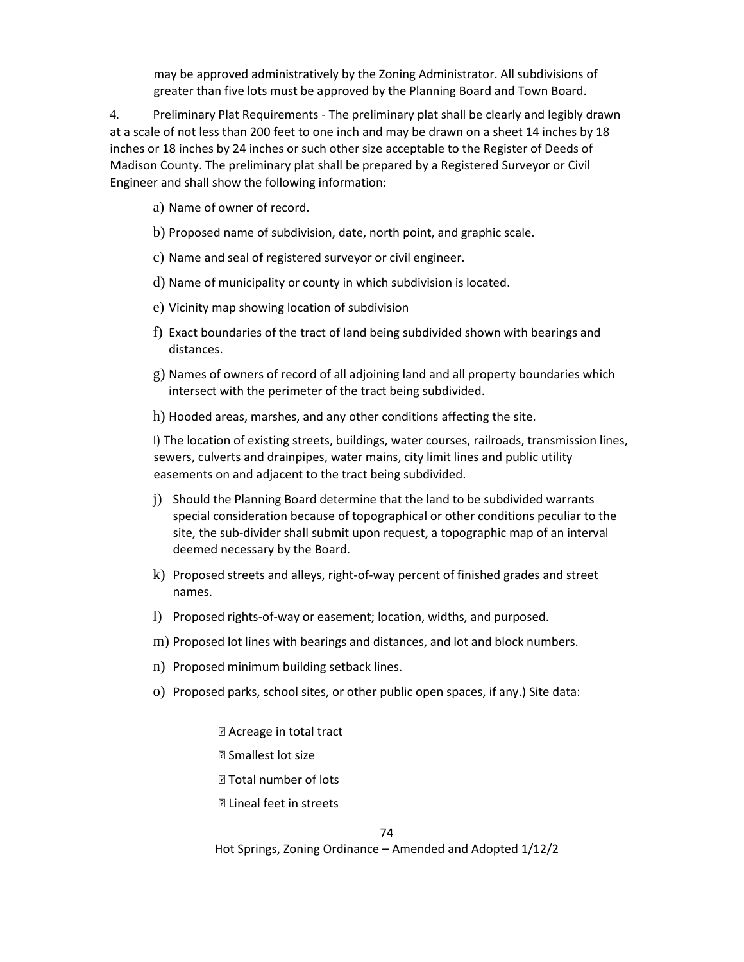may be approved administratively by the Zoning Administrator. All subdivisions of greater than five lots must be approved by the Planning Board and Town Board.

4. Preliminary Plat Requirements - The preliminary plat shall be clearly and legibly drawn at a scale of not less than 200 feet to one inch and may be drawn on a sheet 14 inches by 18 inches or 18 inches by 24 inches or such other size acceptable to the Register of Deeds of Madison County. The preliminary plat shall be prepared by a Registered Surveyor or Civil Engineer and shall show the following information:

- a) Name of owner of record.
- b) Proposed name of subdivision, date, north point, and graphic scale.
- c) Name and seal of registered surveyor or civil engineer.
- d) Name of municipality or county in which subdivision is located.
- e) Vicinity map showing location of subdivision
- f) Exact boundaries of the tract of land being subdivided shown with bearings and distances.
- g) Names of owners of record of all adjoining land and all property boundaries which intersect with the perimeter of the tract being subdivided.
- h) Hooded areas, marshes, and any other conditions affecting the site.

I) The location of existing streets, buildings, water courses, railroads, transmission lines, sewers, culverts and drainpipes, water mains, city limit lines and public utility easements on and adjacent to the tract being subdivided.

- j) Should the Planning Board determine that the land to be subdivided warrants special consideration because of topographical or other conditions peculiar to the site, the sub-divider shall submit upon request, a topographic map of an interval deemed necessary by the Board.
- k) Proposed streets and alleys, right-of-way percent of finished grades and street names.
- l) Proposed rights-of-way or easement; location, widths, and purposed.
- m) Proposed lot lines with bearings and distances, and lot and block numbers.
- n) Proposed minimum building setback lines.
- o) Proposed parks, school sites, or other public open spaces, if any.) Site data:
	- ⦁ Acreage in total tract
	- ⦁ Smallest lot size
	- ⦁ Total number of lots

⦁ Lineal feet in streets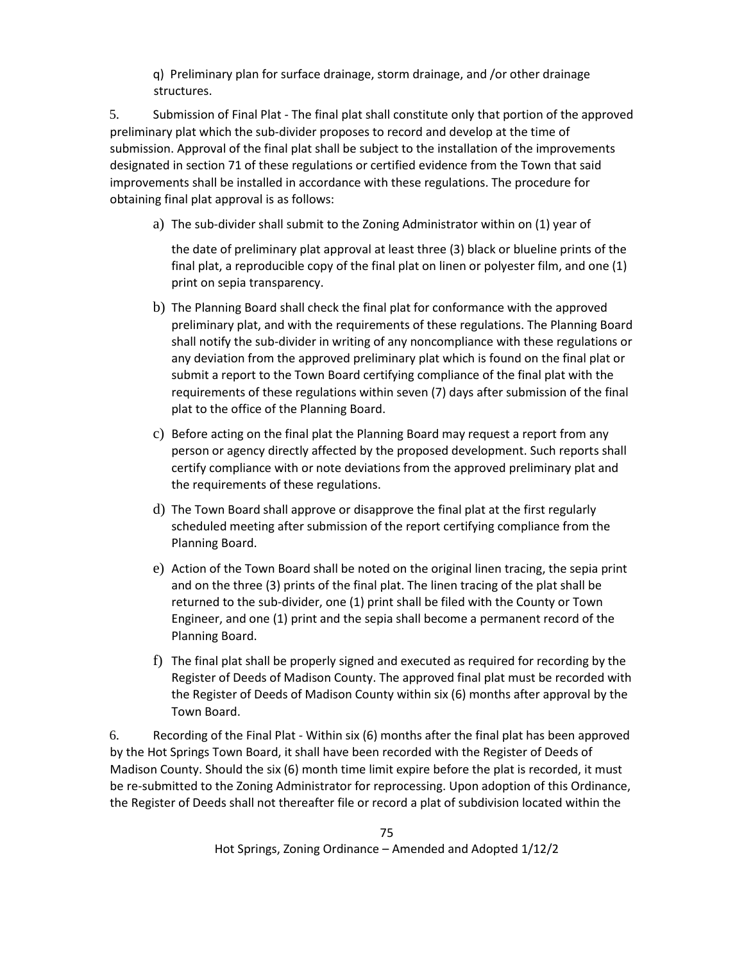q) Preliminary plan for surface drainage, storm drainage, and /or other drainage structures.

5. Submission of Final Plat - The final plat shall constitute only that portion of the approved preliminary plat which the sub-divider proposes to record and develop at the time of submission. Approval of the final plat shall be subject to the installation of the improvements designated in section 71 of these regulations or certified evidence from the Town that said improvements shall be installed in accordance with these regulations. The procedure for obtaining final plat approval is as follows:

a) The sub-divider shall submit to the Zoning Administrator within on (1) year of

the date of preliminary plat approval at least three (3) black or blueline prints of the final plat, a reproducible copy of the final plat on linen or polyester film, and one (1) print on sepia transparency.

- b) The Planning Board shall check the final plat for conformance with the approved preliminary plat, and with the requirements of these regulations. The Planning Board shall notify the sub-divider in writing of any noncompliance with these regulations or any deviation from the approved preliminary plat which is found on the final plat or submit a report to the Town Board certifying compliance of the final plat with the requirements of these regulations within seven (7) days after submission of the final plat to the office of the Planning Board.
- c) Before acting on the final plat the Planning Board may request a report from any person or agency directly affected by the proposed development. Such reports shall certify compliance with or note deviations from the approved preliminary plat and the requirements of these regulations.
- d) The Town Board shall approve or disapprove the final plat at the first regularly scheduled meeting after submission of the report certifying compliance from the Planning Board.
- e) Action of the Town Board shall be noted on the original linen tracing, the sepia print and on the three (3) prints of the final plat. The linen tracing of the plat shall be returned to the sub-divider, one (1) print shall be filed with the County or Town Engineer, and one (1) print and the sepia shall become a permanent record of the Planning Board.
- f) The final plat shall be properly signed and executed as required for recording by the Register of Deeds of Madison County. The approved final plat must be recorded with the Register of Deeds of Madison County within six (6) months after approval by the Town Board.

6. Recording of the Final Plat - Within six (6) months after the final plat has been approved by the Hot Springs Town Board, it shall have been recorded with the Register of Deeds of Madison County. Should the six (6) month time limit expire before the plat is recorded, it must be re-submitted to the Zoning Administrator for reprocessing. Upon adoption of this Ordinance, the Register of Deeds shall not thereafter file or record a plat of subdivision located within the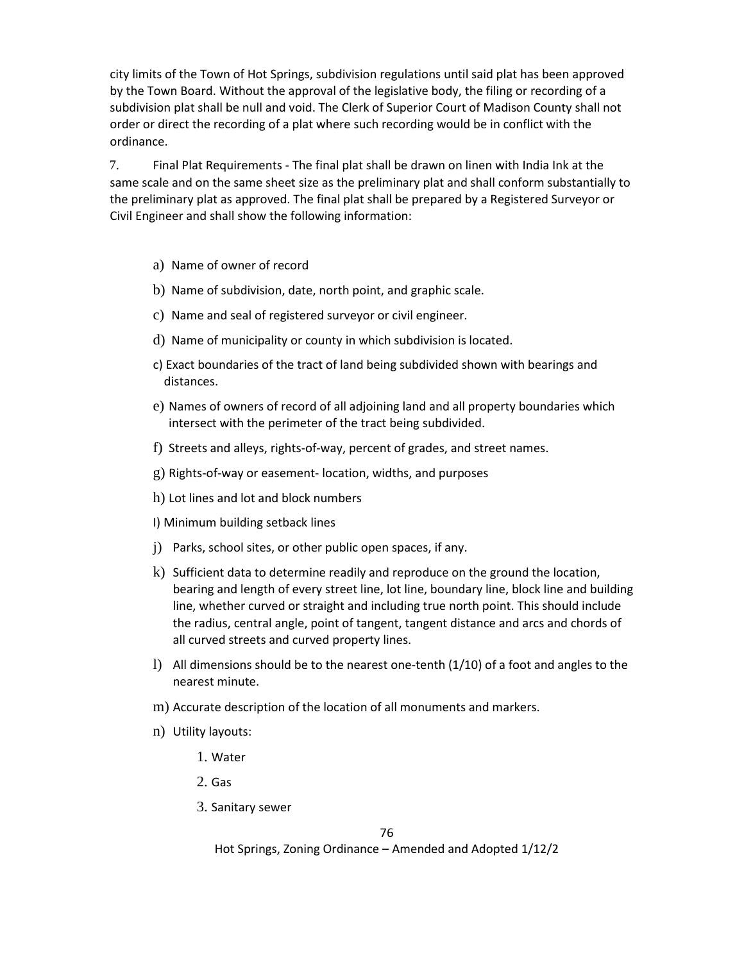city limits of the Town of Hot Springs, subdivision regulations until said plat has been approved by the Town Board. Without the approval of the legislative body, the filing or recording of a subdivision plat shall be null and void. The Clerk of Superior Court of Madison County shall not order or direct the recording of a plat where such recording would be in conflict with the ordinance.

7. Final Plat Requirements - The final plat shall be drawn on linen with India Ink at the same scale and on the same sheet size as the preliminary plat and shall conform substantially to the preliminary plat as approved. The final plat shall be prepared by a Registered Surveyor or Civil Engineer and shall show the following information:

- a) Name of owner of record
- b) Name of subdivision, date, north point, and graphic scale.
- c) Name and seal of registered surveyor or civil engineer.
- d) Name of municipality or county in which subdivision is located.
- c) Exact boundaries of the tract of land being subdivided shown with bearings and distances.
- e) Names of owners of record of all adjoining land and all property boundaries which intersect with the perimeter of the tract being subdivided.
- f) Streets and alleys, rights-of-way, percent of grades, and street names.
- g) Rights-of-way or easement- location, widths, and purposes
- h) Lot lines and lot and block numbers
- I) Minimum building setback lines
- j) Parks, school sites, or other public open spaces, if any.
- k) Sufficient data to determine readily and reproduce on the ground the location, bearing and length of every street line, lot line, boundary line, block line and building line, whether curved or straight and including true north point. This should include the radius, central angle, point of tangent, tangent distance and arcs and chords of all curved streets and curved property lines.
- l) All dimensions should be to the nearest one-tenth (1/10) of a foot and angles to the nearest minute.
- m) Accurate description of the location of all monuments and markers.
- n) Utility layouts:
	- 1. Water
	- 2. Gas
	- 3. Sanitary sewer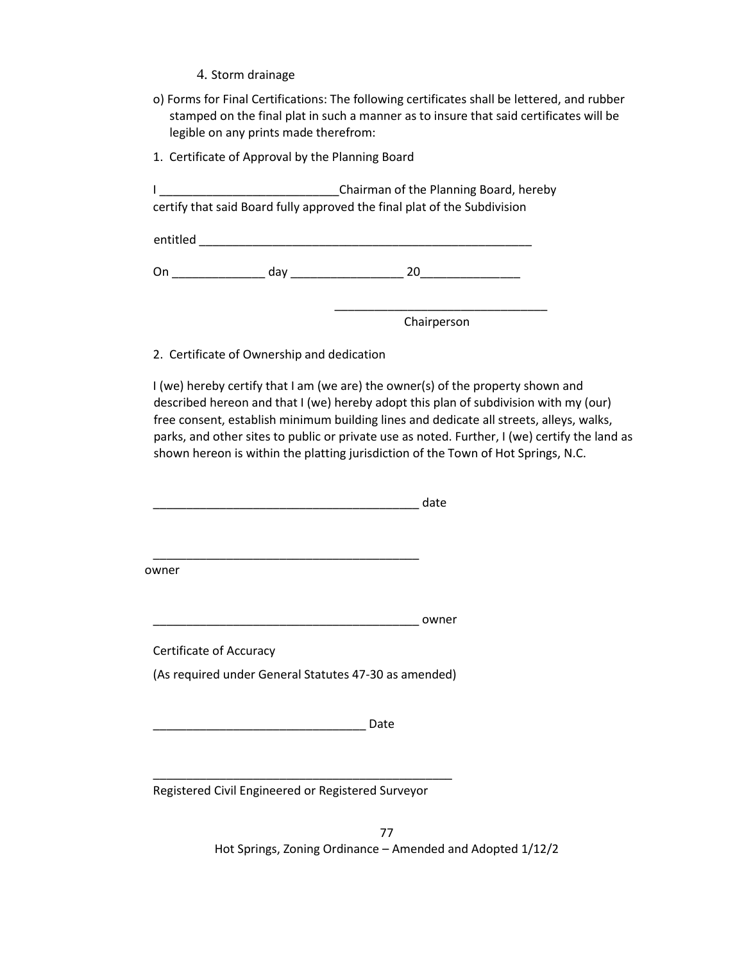- 4. Storm drainage
- o) Forms for Final Certifications: The following certificates shall be lettered, and rubber stamped on the final plat in such a manner as to insure that said certificates will be legible on any prints made therefrom:
- 1. Certificate of Approval by the Planning Board

I **I EXECUTE:** Chairman of the Planning Board, hereby certify that said Board fully approved the final plat of the Subdivision

| heltitled<br>------ |  |  |  |
|---------------------|--|--|--|
|                     |  |  |  |

 $\overline{\phantom{a}}$  ,  $\overline{\phantom{a}}$  ,  $\overline{\phantom{a}}$  ,  $\overline{\phantom{a}}$  ,  $\overline{\phantom{a}}$  ,  $\overline{\phantom{a}}$  ,  $\overline{\phantom{a}}$  ,  $\overline{\phantom{a}}$  ,  $\overline{\phantom{a}}$  ,  $\overline{\phantom{a}}$  ,  $\overline{\phantom{a}}$  ,  $\overline{\phantom{a}}$  ,  $\overline{\phantom{a}}$  ,  $\overline{\phantom{a}}$  ,  $\overline{\phantom{a}}$  ,  $\overline{\phantom{a}}$ 

On \_\_\_\_\_\_\_\_\_\_\_\_\_\_ day \_\_\_\_\_\_\_\_\_\_\_\_\_\_\_\_\_ 20\_\_\_\_\_\_\_\_\_\_\_\_\_\_\_

Chairperson

2. Certificate of Ownership and dedication

I (we) hereby certify that I am (we are) the owner(s) of the property shown and described hereon and that I (we) hereby adopt this plan of subdivision with my (our) free consent, establish minimum building lines and dedicate all streets, alleys, walks, parks, and other sites to public or private use as noted. Further, I (we) certify the land as shown hereon is within the platting jurisdiction of the Town of Hot Springs, N.C.

|                                                       | date  |
|-------------------------------------------------------|-------|
|                                                       |       |
| owner                                                 |       |
|                                                       | owner |
| Certificate of Accuracy                               |       |
| (As required under General Statutes 47-30 as amended) |       |
| Date                                                  |       |
|                                                       |       |
| Registered Civil Engineered or Registered Surveyor    |       |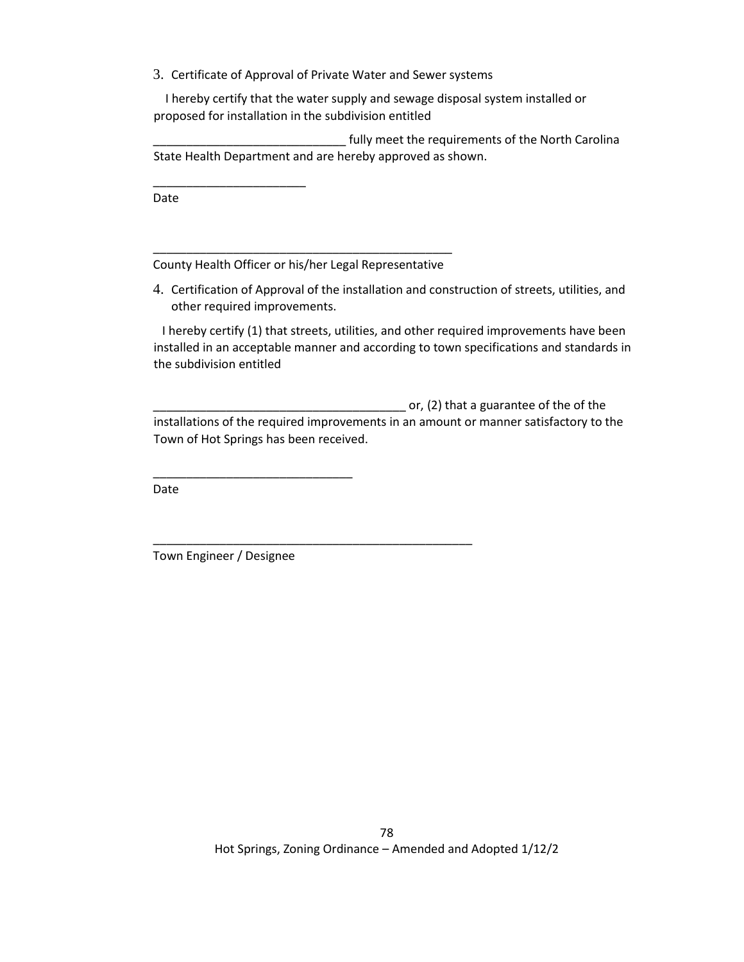3. Certificate of Approval of Private Water and Sewer systems

 I hereby certify that the water supply and sewage disposal system installed or proposed for installation in the subdivision entitled

fully meet the requirements of the North Carolina State Health Department and are hereby approved as shown.

Date

\_\_\_\_\_\_\_\_\_\_\_\_\_\_\_\_\_\_\_\_\_\_\_

\_\_\_\_\_\_\_\_\_\_\_\_\_\_\_\_\_\_\_\_\_\_\_\_\_\_\_\_\_\_\_\_\_\_\_\_\_\_\_\_\_\_\_\_\_ County Health Officer or his/her Legal Representative

\_\_\_\_\_\_\_\_\_\_\_\_\_\_\_\_\_\_\_\_\_\_\_\_\_\_\_\_\_\_\_\_\_\_\_\_\_\_\_\_\_\_\_\_\_\_\_\_

4. Certification of Approval of the installation and construction of streets, utilities, and other required improvements.

 I hereby certify (1) that streets, utilities, and other required improvements have been installed in an acceptable manner and according to town specifications and standards in the subdivision entitled

\_\_\_\_\_\_\_\_\_\_\_\_\_\_\_\_\_\_\_\_\_\_\_\_\_\_\_\_\_\_\_\_\_\_\_\_\_\_ or, (2) that a guarantee of the of the installations of the required improvements in an amount or manner satisfactory to the Town of Hot Springs has been received.

Date

Town Engineer / Designee

\_\_\_\_\_\_\_\_\_\_\_\_\_\_\_\_\_\_\_\_\_\_\_\_\_\_\_\_\_\_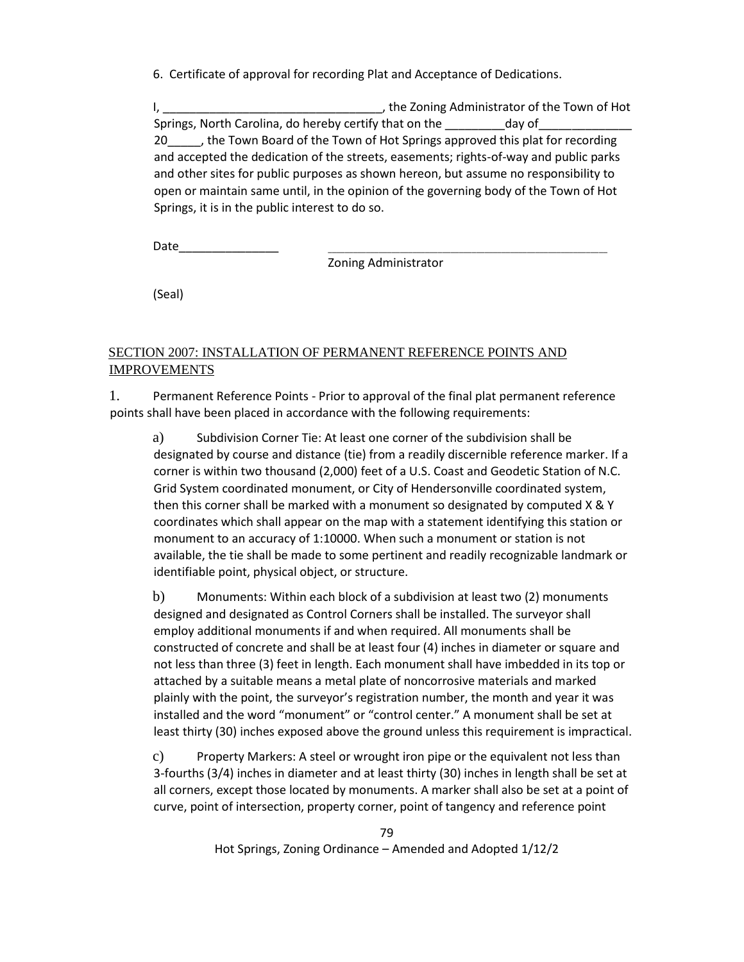6. Certificate of approval for recording Plat and Acceptance of Dedications.

I, \_\_\_\_\_\_\_\_\_\_\_\_\_\_\_\_\_\_\_\_\_\_\_\_\_\_\_\_\_\_\_\_\_, the Zoning Administrator of the Town of Hot Springs, North Carolina, do hereby certify that on the day of 20\_\_\_\_\_, the Town Board of the Town of Hot Springs approved this plat for recording and accepted the dedication of the streets, easements; rights-of-way and public parks and other sites for public purposes as shown hereon, but assume no responsibility to open or maintain same until, in the opinion of the governing body of the Town of Hot Springs, it is in the public interest to do so.

Date\_\_\_\_\_\_\_\_\_\_\_\_\_\_\_ \_\_\_\_\_\_\_\_\_\_\_\_\_\_\_\_\_\_\_\_\_\_\_\_\_\_\_\_\_\_\_\_\_\_\_\_\_\_\_\_\_\_\_\_\_\_\_\_\_\_\_\_\_\_\_\_\_\_\_\_\_\_\_\_\_\_

Zoning Administrator

(Seal)

### SECTION 2007: INSTALLATION OF PERMANENT REFERENCE POINTS AND IMPROVEMENTS

1. Permanent Reference Points - Prior to approval of the final plat permanent reference points shall have been placed in accordance with the following requirements:

a) Subdivision Corner Tie: At least one corner of the subdivision shall be designated by course and distance (tie) from a readily discernible reference marker. If a corner is within two thousand (2,000) feet of a U.S. Coast and Geodetic Station of N.C. Grid System coordinated monument, or City of Hendersonville coordinated system, then this corner shall be marked with a monument so designated by computed X & Y coordinates which shall appear on the map with a statement identifying this station or monument to an accuracy of 1:10000. When such a monument or station is not available, the tie shall be made to some pertinent and readily recognizable landmark or identifiable point, physical object, or structure.

b) Monuments: Within each block of a subdivision at least two (2) monuments designed and designated as Control Corners shall be installed. The surveyor shall employ additional monuments if and when required. All monuments shall be constructed of concrete and shall be at least four (4) inches in diameter or square and not less than three (3) feet in length. Each monument shall have imbedded in its top or attached by a suitable means a metal plate of noncorrosive materials and marked plainly with the point, the surveyor's registration number, the month and year it was installed and the word "monument" or "control center." A monument shall be set at least thirty (30) inches exposed above the ground unless this requirement is impractical.

c) Property Markers: A steel or wrought iron pipe or the equivalent not less than 3-fourths (3/4) inches in diameter and at least thirty (30) inches in length shall be set at all corners, except those located by monuments. A marker shall also be set at a point of curve, point of intersection, property corner, point of tangency and reference point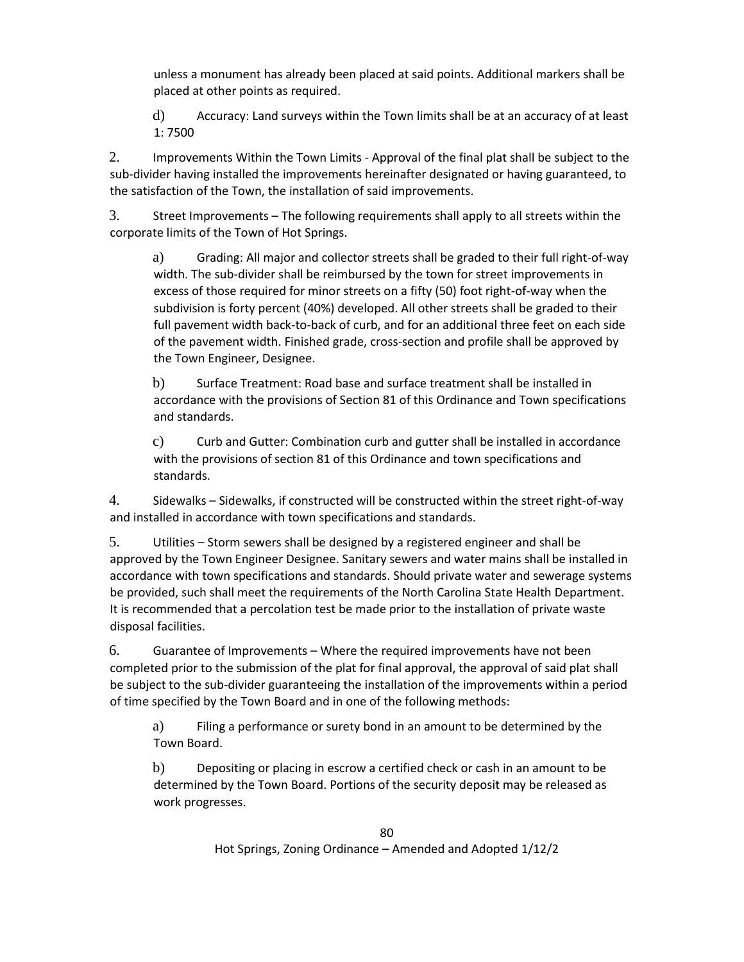unless a monument has already been placed at said points. Additional markers shall be placed at other points as required.

d) Accuracy: Land surveys within the Town limits shall be at an accuracy of at least 1: 7500

2. Improvements Within the Town Limits - Approval of the final plat shall be subject to the sub-divider having installed the improvements hereinafter designated or having guaranteed, to the satisfaction of the Town, the installation of said improvements.

3. Street Improvements – The following requirements shall apply to all streets within the corporate limits of the Town of Hot Springs.

a) Grading: All major and collector streets shall be graded to their full right-of-way width. The sub-divider shall be reimbursed by the town for street improvements in excess of those required for minor streets on a fifty (50) foot right-of-way when the subdivision is forty percent (40%) developed. All other streets shall be graded to their full pavement width back-to-back of curb, and for an additional three feet on each side of the pavement width. Finished grade, cross-section and profile shall be approved by the Town Engineer, Designee.

b) Surface Treatment: Road base and surface treatment shall be installed in accordance with the provisions of Section 81 of this Ordinance and Town specifications and standards.

c) Curb and Gutter: Combination curb and gutter shall be installed in accordance with the provisions of section 81 of this Ordinance and town specifications and standards.

4. Sidewalks – Sidewalks, if constructed will be constructed within the street right-of-way and installed in accordance with town specifications and standards.

5. Utilities – Storm sewers shall be designed by a registered engineer and shall be approved by the Town Engineer Designee. Sanitary sewers and water mains shall be installed in accordance with town specifications and standards. Should private water and sewerage systems be provided, such shall meet the requirements of the North Carolina State Health Department. It is recommended that a percolation test be made prior to the installation of private waste disposal facilities.

6. Guarantee of Improvements – Where the required improvements have not been completed prior to the submission of the plat for final approval, the approval of said plat shall be subject to the sub-divider guaranteeing the installation of the improvements within a period of time specified by the Town Board and in one of the following methods:

a) Filing a performance or surety bond in an amount to be determined by the Town Board.

b) Depositing or placing in escrow a certified check or cash in an amount to be determined by the Town Board. Portions of the security deposit may be released as work progresses.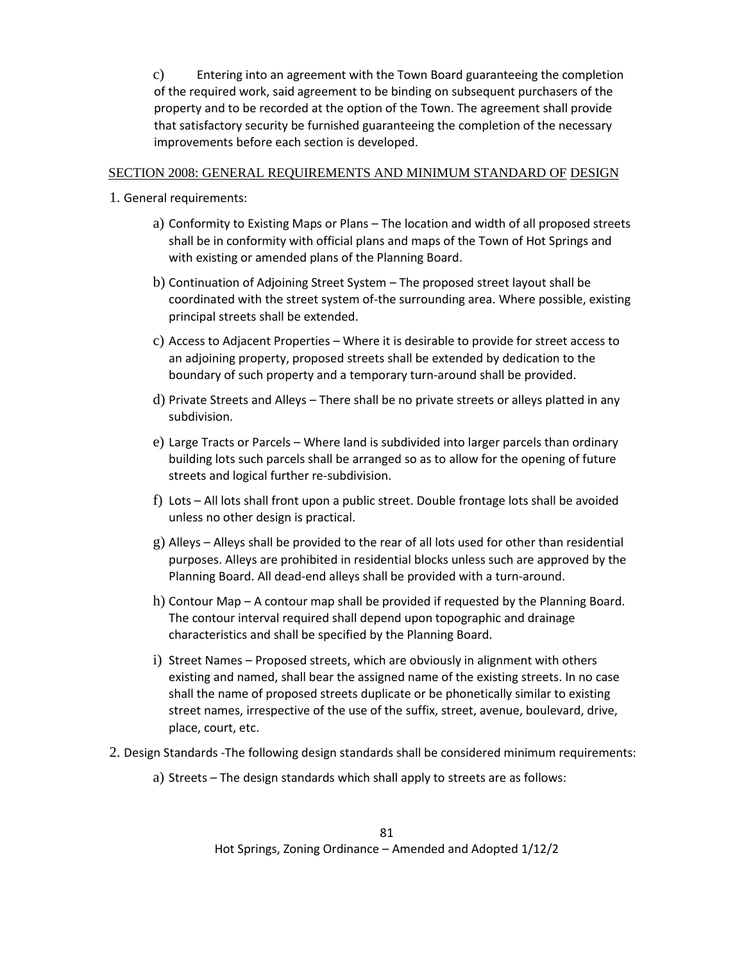c) Entering into an agreement with the Town Board guaranteeing the completion of the required work, said agreement to be binding on subsequent purchasers of the property and to be recorded at the option of the Town. The agreement shall provide that satisfactory security be furnished guaranteeing the completion of the necessary improvements before each section is developed.

### SECTION 2008: GENERAL REQUIREMENTS AND MINIMUM STANDARD OF DESIGN

- 1. General requirements:
	- a) Conformity to Existing Maps or Plans The location and width of all proposed streets shall be in conformity with official plans and maps of the Town of Hot Springs and with existing or amended plans of the Planning Board.
	- b) Continuation of Adjoining Street System The proposed street layout shall be coordinated with the street system of-the surrounding area. Where possible, existing principal streets shall be extended.
	- c) Access to Adjacent Properties Where it is desirable to provide for street access to an adjoining property, proposed streets shall be extended by dedication to the boundary of such property and a temporary turn-around shall be provided.
	- d) Private Streets and Alleys There shall be no private streets or alleys platted in any subdivision.
	- e) Large Tracts or Parcels Where land is subdivided into larger parcels than ordinary building lots such parcels shall be arranged so as to allow for the opening of future streets and logical further re-subdivision.
	- f) Lots All lots shall front upon a public street. Double frontage lots shall be avoided unless no other design is practical.
	- $g$ ) Alleys Alleys shall be provided to the rear of all lots used for other than residential purposes. Alleys are prohibited in residential blocks unless such are approved by the Planning Board. All dead-end alleys shall be provided with a turn-around.
	- h) Contour Map A contour map shall be provided if requested by the Planning Board. The contour interval required shall depend upon topographic and drainage characteristics and shall be specified by the Planning Board.
	- i) Street Names Proposed streets, which are obviously in alignment with others existing and named, shall bear the assigned name of the existing streets. In no case shall the name of proposed streets duplicate or be phonetically similar to existing street names, irrespective of the use of the suffix, street, avenue, boulevard, drive, place, court, etc.
- 2. Design Standards -The following design standards shall be considered minimum requirements:
	- a) Streets The design standards which shall apply to streets are as follows: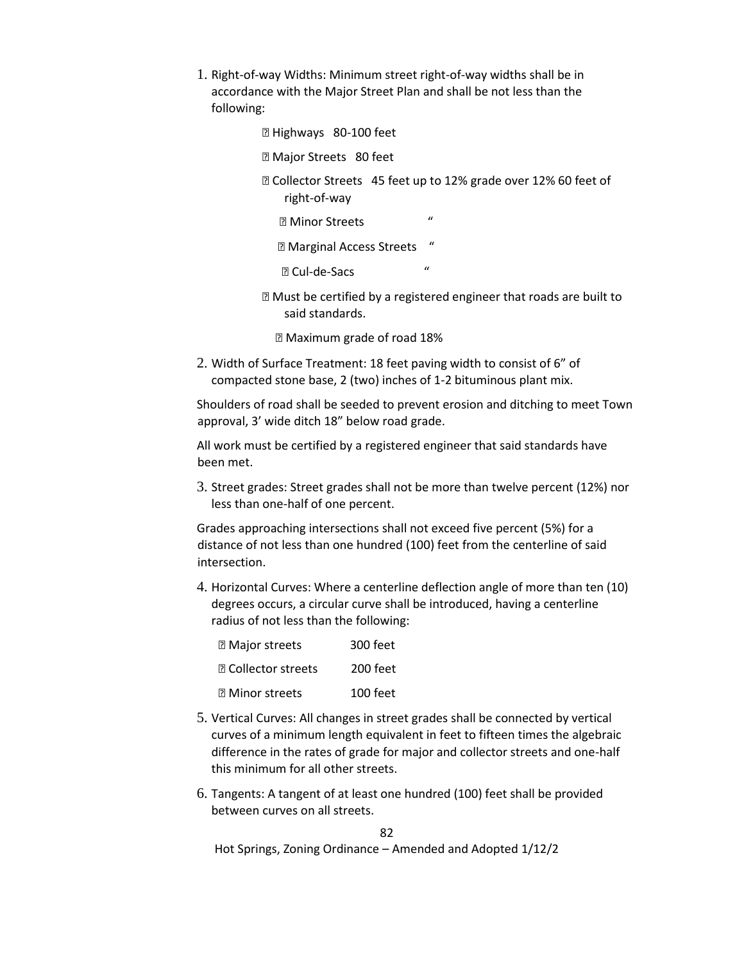- 1. Right-of-way Widths: Minimum street right-of-way widths shall be in accordance with the Major Street Plan and shall be not less than the following:
	- ⦁ Highways 80-100 feet
	- **Z Major Streets 80 feet**
	- ⦁ Collector Streets 45 feet up to 12% grade over 12% 60 feet of right-of-way
		- ⦁ Minor Streets "
		- ⦁ Marginal Access Streets "
		- ⦁ Cul-de-Sacs "
	- Must be certified by a registered engineer that roads are built to said standards.
		- ⦁ Maximum grade of road 18%
- 2. Width of Surface Treatment: 18 feet paving width to consist of 6" of compacted stone base, 2 (two) inches of 1-2 bituminous plant mix.

Shoulders of road shall be seeded to prevent erosion and ditching to meet Town approval, 3' wide ditch 18" below road grade.

All work must be certified by a registered engineer that said standards have been met.

3. Street grades: Street grades shall not be more than twelve percent (12%) nor less than one-half of one percent.

Grades approaching intersections shall not exceed five percent (5%) for a distance of not less than one hundred (100) feet from the centerline of said intersection.

4. Horizontal Curves: Where a centerline deflection angle of more than ten (10) degrees occurs, a circular curve shall be introduced, having a centerline radius of not less than the following:

| <b>2 Major streets</b>     | $300$ feet |
|----------------------------|------------|
| <b>图 Collector streets</b> | 200 feet   |
| <b>2 Minor streets</b>     | $100$ feet |

- 5. Vertical Curves: All changes in street grades shall be connected by vertical curves of a minimum length equivalent in feet to fifteen times the algebraic difference in the rates of grade for major and collector streets and one-half this minimum for all other streets.
- 6. Tangents: A tangent of at least one hundred (100) feet shall be provided between curves on all streets.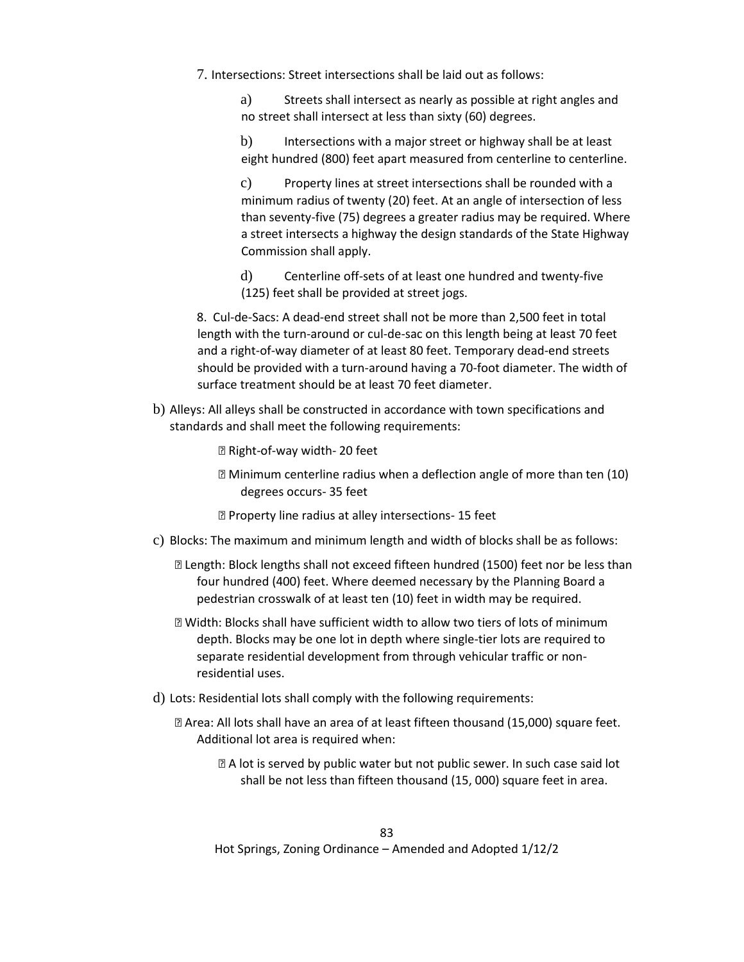- 7. Intersections: Street intersections shall be laid out as follows:
	- a) Streets shall intersect as nearly as possible at right angles and no street shall intersect at less than sixty (60) degrees.
	- b) Intersections with a major street or highway shall be at least eight hundred (800) feet apart measured from centerline to centerline.

c) Property lines at street intersections shall be rounded with a minimum radius of twenty (20) feet. At an angle of intersection of less than seventy-five (75) degrees a greater radius may be required. Where a street intersects a highway the design standards of the State Highway Commission shall apply.

d) Centerline off-sets of at least one hundred and twenty-five (125) feet shall be provided at street jogs.

8. Cul-de-Sacs: A dead-end street shall not be more than 2,500 feet in total length with the turn-around or cul-de-sac on this length being at least 70 feet and a right-of-way diameter of at least 80 feet. Temporary dead-end streets should be provided with a turn-around having a 70-foot diameter. The width of surface treatment should be at least 70 feet diameter.

b) Alleys: All alleys shall be constructed in accordance with town specifications and standards and shall meet the following requirements:

⦁ Right-of-way width- 20 feet

- **sqrtMinimum centerline radius when a deflection angle of more than ten (10)** degrees occurs- 35 feet
- **<b>sqrtP}** Property line radius at alley intersections-15 feet
- c) Blocks: The maximum and minimum length and width of blocks shall be as follows:
	- ⦁ Length: Block lengths shall not exceed fifteen hundred (1500) feet nor be less than four hundred (400) feet. Where deemed necessary by the Planning Board a pedestrian crosswalk of at least ten (10) feet in width may be required.
	- ⦁ Width: Blocks shall have sufficient width to allow two tiers of lots of minimum depth. Blocks may be one lot in depth where single-tier lots are required to separate residential development from through vehicular traffic or nonresidential uses.
- d) Lots: Residential lots shall comply with the following requirements:
	- ⦁ Area: All lots shall have an area of at least fifteen thousand (15,000) square feet. Additional lot area is required when:
		- **<b>EXA lot is served by public water but not public sewer. In such case said lot** shall be not less than fifteen thousand (15, 000) square feet in area.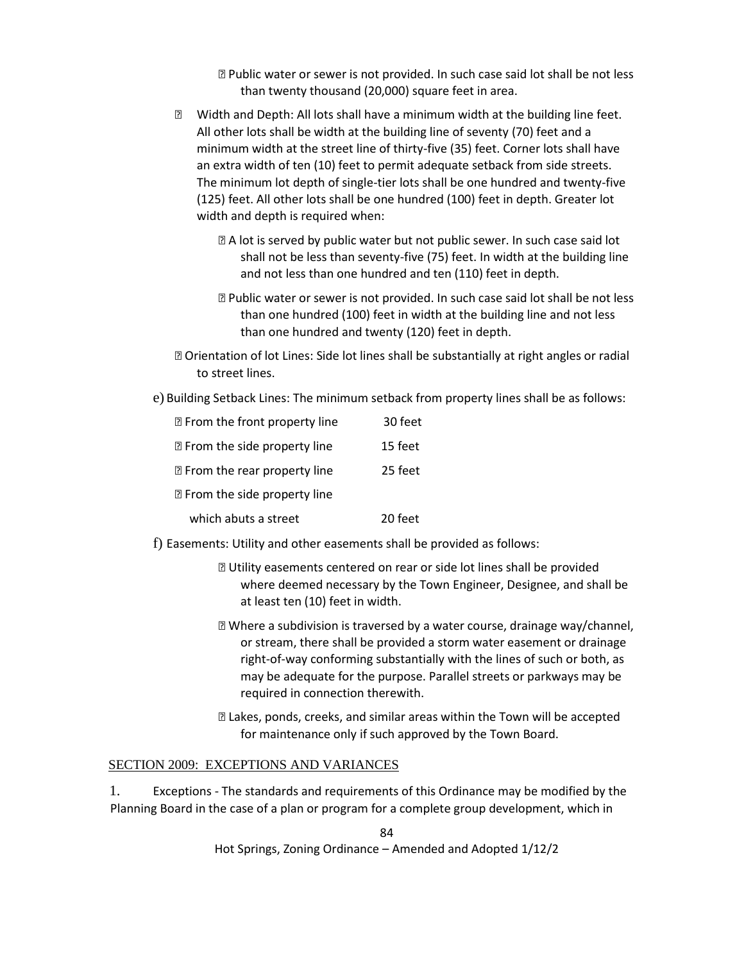⦁ Public water or sewer is not provided. In such case said lot shall be not less than twenty thousand (20,000) square feet in area.

- ⦁ Width and Depth: All lots shall have a minimum width at the building line feet. All other lots shall be width at the building line of seventy (70) feet and a minimum width at the street line of thirty-five (35) feet. Corner lots shall have an extra width of ten (10) feet to permit adequate setback from side streets. The minimum lot depth of single-tier lots shall be one hundred and twenty-five (125) feet. All other lots shall be one hundred (100) feet in depth. Greater lot width and depth is required when:
	- **sqrt** A lot is served by public water but not public sewer. In such case said lot shall not be less than seventy-five (75) feet. In width at the building line and not less than one hundred and ten (110) feet in depth.
	- ⦁ Public water or sewer is not provided. In such case said lot shall be not less than one hundred (100) feet in width at the building line and not less than one hundred and twenty (120) feet in depth.
- ⦁ Orientation of lot Lines: Side lot lines shall be substantially at right angles or radial to street lines.
- e) Building Setback Lines: The minimum setback from property lines shall be as follows:

| <b>Z</b> From the front property line | 30 feet |
|---------------------------------------|---------|
| <b>E</b> From the side property line  | 15 feet |
| <b>Z</b> From the rear property line  | 25 feet |
| <b>E</b> From the side property line  |         |
| which abuts a street                  | 20 feet |

- f) Easements: Utility and other easements shall be provided as follows:
	- ⦁ Utility easements centered on rear or side lot lines shall be provided where deemed necessary by the Town Engineer, Designee, and shall be at least ten (10) feet in width.
	- ⦁ Where a subdivision is traversed by a water course, drainage way/channel, or stream, there shall be provided a storm water easement or drainage right-of-way conforming substantially with the lines of such or both, as may be adequate for the purpose. Parallel streets or parkways may be required in connection therewith.
	- ⦁ Lakes, ponds, creeks, and similar areas within the Town will be accepted for maintenance only if such approved by the Town Board.

#### SECTION 2009: EXCEPTIONS AND VARIANCES

1. Exceptions - The standards and requirements of this Ordinance may be modified by the Planning Board in the case of a plan or program for a complete group development, which in